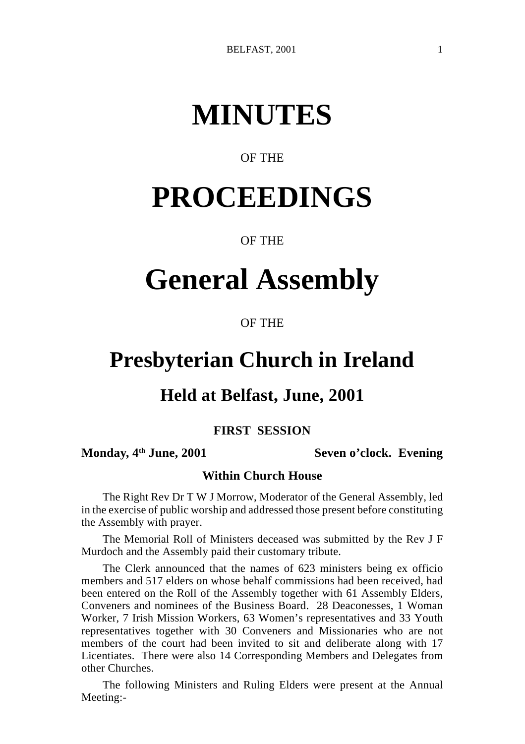# **MINUTES**

# OF THE

# **PROCEEDINGS**

# OF THE

# **General Assembly**

# OF THE

# **Presbyterian Church in Ireland**

# **Held at Belfast, June, 2001**

# **FIRST SESSION**

# **Monday, 4th June, 2001 Seven o'clock. Evening**

# **Within Church House**

The Right Rev Dr T W J Morrow, Moderator of the General Assembly, led in the exercise of public worship and addressed those present before constituting the Assembly with prayer.

The Memorial Roll of Ministers deceased was submitted by the Rev J F Murdoch and the Assembly paid their customary tribute.

The Clerk announced that the names of 623 ministers being ex officio members and 517 elders on whose behalf commissions had been received, had been entered on the Roll of the Assembly together with 61 Assembly Elders, Conveners and nominees of the Business Board. 28 Deaconesses, 1 Woman Worker, 7 Irish Mission Workers, 63 Women's representatives and 33 Youth representatives together with 30 Conveners and Missionaries who are not members of the court had been invited to sit and deliberate along with 17 Licentiates. There were also 14 Corresponding Members and Delegates from other Churches.

The following Ministers and Ruling Elders were present at the Annual Meeting:-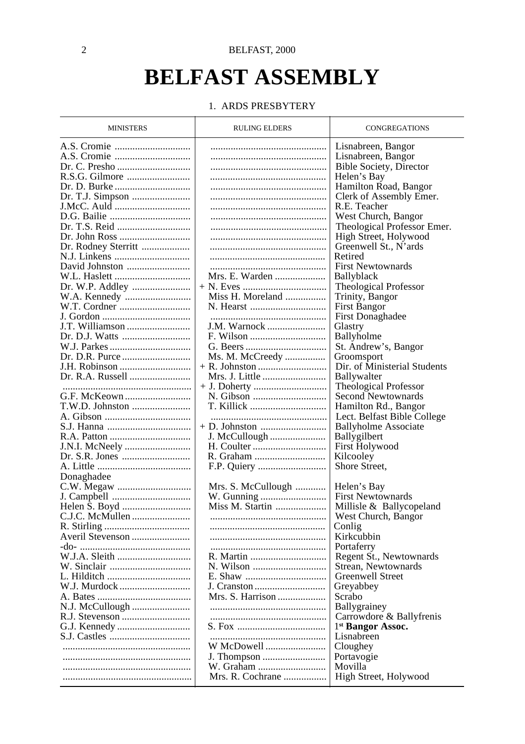# **BELFAST ASSEMBLY**

#### 1. ARDS PRESBYTERY

| <b>MINISTERS</b>    | <b>RULING ELDERS</b> | CONGREGATIONS                |
|---------------------|----------------------|------------------------------|
|                     |                      | Lisnabreen, Bangor           |
|                     |                      | Lisnabreen, Bangor           |
|                     |                      | Bible Society, Director      |
|                     |                      | Helen's Bay                  |
|                     |                      | Hamilton Road, Bangor        |
|                     |                      |                              |
|                     |                      | Clerk of Assembly Emer.      |
| J.McC. Auld         |                      | R.E. Teacher                 |
|                     |                      | West Church, Bangor          |
|                     |                      | Theological Professor Emer.  |
|                     |                      | High Street, Holywood        |
| Dr. Rodney Sterritt |                      | Greenwell St., N'ards        |
|                     |                      | Retired                      |
|                     |                      | <b>First Newtownards</b>     |
|                     | Mrs. E. Warden       | Ballyblack                   |
|                     |                      | Theological Professor        |
|                     | Miss H. Moreland     | Trinity, Bangor              |
|                     | N. Hearst            | <b>First Bangor</b>          |
| J. Gordon           |                      | <b>First Donaghadee</b>      |
| J.T. Williamson     | J.M. Warnock         | Glastry                      |
|                     |                      |                              |
|                     |                      | Ballyholme                   |
|                     |                      | St. Andrew's, Bangor         |
|                     | Ms. M. McCreedy      | Groomsport                   |
| J.H. Robinson       |                      | Dir. of Ministerial Students |
| Dr. R.A. Russell    | Mrs. J. Little       | Ballywalter                  |
|                     |                      | Theological Professor        |
|                     |                      | <b>Second Newtownards</b>    |
| T.W.D. Johnston     | T. Killick           | Hamilton Rd., Bangor         |
|                     |                      | Lect. Belfast Bible College  |
|                     |                      | <b>Ballyholme Associate</b>  |
|                     | J. McCullough        | Ballygilbert                 |
| J.N.I. McNeely      |                      | <b>First Holywood</b>        |
|                     |                      | Kilcooley                    |
|                     |                      | Shore Street,                |
| Donaghadee          |                      |                              |
|                     | Mrs. S. McCullough   | Helen's Bay                  |
|                     |                      | <b>First Newtownards</b>     |
|                     | Miss M. Startin      | Millisle & Ballycopeland     |
|                     |                      | West Church, Bangor          |
|                     |                      | Conlig                       |
|                     |                      | Kirkcubbin                   |
|                     |                      | Portaferry                   |
|                     |                      | Regent St., Newtownards      |
|                     | N. Wilson            | Strean, Newtownards          |
| L. Hilditch         |                      | Greenwell Street             |
|                     |                      |                              |
|                     | Mrs. S. Harrison     | Greyabbey                    |
|                     |                      | Scrabo                       |
| N.J. McCullough     |                      | Ballygrainey                 |
|                     |                      | Carrowdore & Ballyfrenis     |
|                     |                      | <sup>1st</sup> Bangor Assoc. |
|                     |                      | Lisnabreen                   |
|                     | W McDowell           | Cloughey                     |
|                     | J. Thompson          | Portavogie                   |
|                     |                      | Movilla                      |
|                     | Mrs. R. Cochrane     | High Street, Holywood        |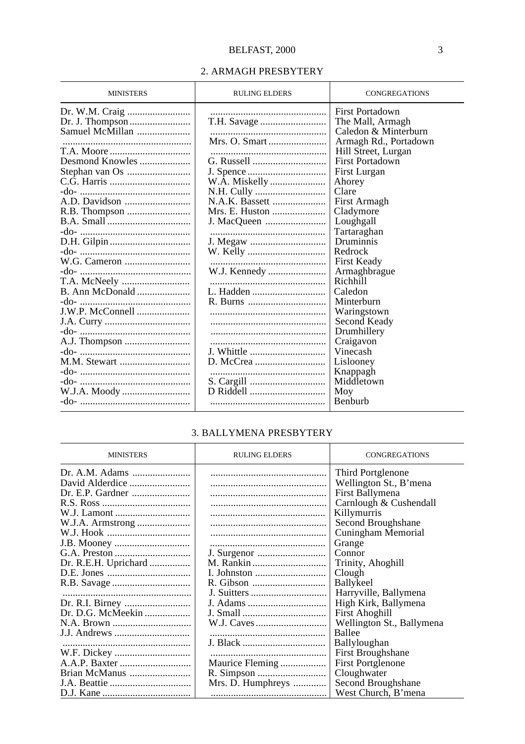### 2. ARMAGH PRESBYTERY

| <b>MINISTERS</b> | <b>RULING ELDERS</b> | <b>CONGREGATIONS</b>   |
|------------------|----------------------|------------------------|
|                  |                      | <b>First Portadown</b> |
|                  |                      | The Mall, Armagh       |
| Samuel McMillan  |                      | Caledon & Minterburn   |
|                  |                      | Armagh Rd., Portadown  |
|                  |                      | Hill Street, Lurgan    |
| Desmond Knowles  | G. Russell           | First Portadown        |
|                  |                      | First Lurgan           |
|                  | W.A. Miskelly        | Ahorey                 |
|                  |                      | Clare                  |
|                  | N.A.K. Bassett       | First Armagh           |
|                  | Mrs. E. Huston       | Cladymore              |
|                  |                      | Loughgall              |
|                  |                      | Tartaraghan            |
|                  | J. Megaw             | Druminnis              |
|                  |                      | Redrock                |
|                  |                      | <b>First Keady</b>     |
|                  |                      | Armaghbrague           |
| T.A. McNeely     |                      | Richhill               |
| B. Ann McDonald  |                      | Caledon                |
|                  |                      | Minterburn             |
|                  |                      | Waringstown            |
|                  |                      | Second Keady           |
|                  |                      | Drumhillery            |
|                  |                      | Craigavon              |
|                  |                      | Vinecash               |
| M.M. Stewart     |                      | Lislooney              |
|                  |                      | Knappagh               |
|                  |                      | Middletown             |
|                  |                      | Moy                    |
|                  |                      | Benburb                |

# 3. BALLYMENA PRESBYTERY

| <b>MINISTERS</b>     | <b>RULING ELDERS</b> | <b>CONGREGATIONS</b>      |
|----------------------|----------------------|---------------------------|
|                      |                      | Third Portglenone         |
| David Alderdice      |                      | Wellington St., B'mena    |
|                      |                      | First Ballymena           |
|                      |                      | Carnlough & Cushendall    |
|                      |                      | Killymurris               |
| W.J.A. Armstrong     |                      | Second Broughshane        |
|                      |                      | Cuningham Memorial        |
|                      |                      | Grange                    |
|                      |                      | Connor                    |
| Dr. R.E.H. Uprichard |                      | Trinity, Ahoghill         |
|                      |                      | Clough                    |
|                      |                      | <b>Ballykeel</b>          |
|                      |                      | Harryville, Ballymena     |
| Dr. R.I. Birney      |                      | High Kirk, Ballymena      |
| Dr. D.G. McMeekin    |                      | <b>First Ahoghill</b>     |
|                      |                      | Wellington St., Ballymena |
| J.J. Andrews         |                      | Ballee                    |
|                      |                      | Ballyloughan              |
| W.F. Dickey          |                      | First Broughshane         |
|                      | Maurice Fleming      | <b>First Portglenone</b>  |
| Brian McManus        |                      | Cloughwater               |
|                      | Mrs. D. Humphreys    | Second Broughshane        |
|                      |                      | West Church, B'mena       |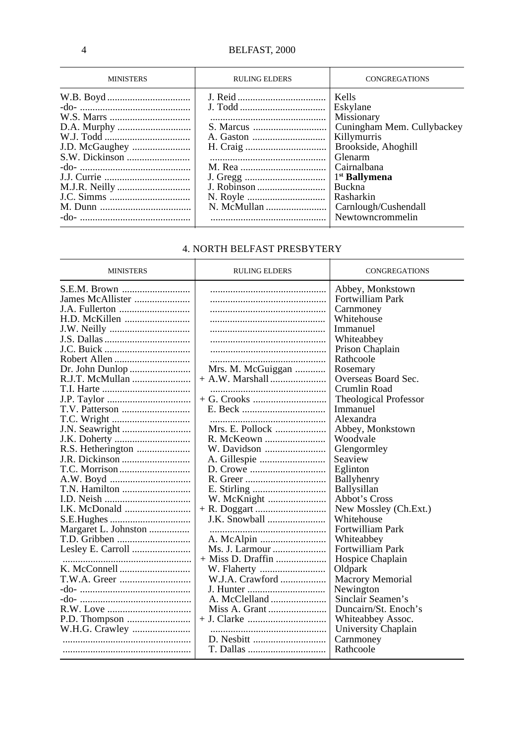| <b>MINISTERS</b> | <b>RULING ELDERS</b> | <b>CONGREGATIONS</b>       |
|------------------|----------------------|----------------------------|
|                  |                      | Kells                      |
|                  |                      | Eskylane                   |
|                  |                      | Missionary                 |
|                  |                      | Cuningham Mem. Cullybackey |
|                  |                      | Killymurris                |
| J.D. McGaughey   |                      | Brookside, Ahoghill        |
|                  |                      | Glenarm                    |
|                  |                      | Cairnalbana                |
|                  |                      | <sup>1st</sup> Ballymena   |
|                  |                      | <b>Buckna</b>              |
|                  |                      | Rasharkin                  |
|                  |                      | Carnlough/Cushendall       |
|                  |                      | Newtowncrommelin           |

# 4. NORTH BELFAST PRESBYTERY

 $\rightarrow$ 

| <b>MINISTERS</b>     | <b>RULING ELDERS</b> | <b>CONGREGATIONS</b>         |
|----------------------|----------------------|------------------------------|
|                      |                      | Abbey, Monkstown             |
| James McAllister     |                      | Fortwilliam Park             |
|                      |                      | Carnmoney                    |
|                      |                      | Whitehouse                   |
|                      |                      | Immanuel                     |
|                      |                      | Whiteabbey                   |
|                      |                      | Prison Chaplain              |
|                      |                      | Rathcoole                    |
| Dr. John Dunlop      | Mrs. M. McGuiggan    | Rosemary                     |
| R.J.T. McMullan      |                      | Overseas Board Sec.          |
|                      |                      | Crumlin Road                 |
|                      |                      | <b>Theological Professor</b> |
|                      |                      | Immanuel                     |
|                      |                      | Alexandra                    |
|                      | Mrs. E. Pollock      | Abbey, Monkstown             |
|                      |                      | Woodvale                     |
|                      | W. Davidson          | Glengormley                  |
|                      |                      | Seaview                      |
|                      |                      | Eglinton                     |
|                      |                      | Ballyhenry                   |
| T.N. Hamilton        |                      | <b>Ballysillan</b>           |
|                      |                      | Abbot's Cross                |
|                      |                      | New Mossley (Ch.Ext.)        |
|                      |                      | Whitehouse                   |
| Margaret L. Johnston |                      | Fortwilliam Park             |
| T.D. Gribben         |                      | Whiteabbey                   |
| Lesley E. Carroll    | Ms. J. Larmour       | Fortwilliam Park             |
|                      | + Miss D. Draffin    | Hospice Chaplain             |
|                      |                      | Oldpark                      |
|                      | W.J.A. Crawford      | <b>Macrory Memorial</b>      |
|                      |                      | Newington                    |
|                      |                      | Sinclair Seamen's            |
|                      | Miss A. Grant        | Duncairn/St. Enoch's         |
|                      |                      | Whiteabbey Assoc.            |
|                      |                      | University Chaplain          |
|                      |                      | Carnmoney                    |
|                      | T. Dallas            | Rathcoole                    |
|                      |                      |                              |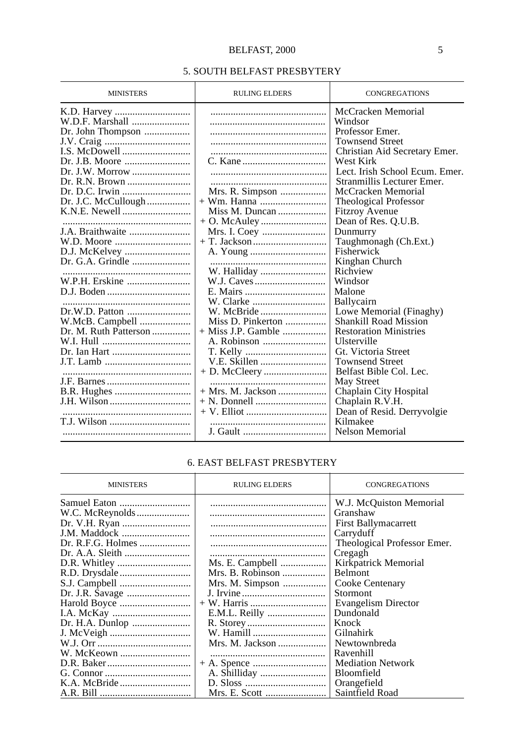# BELFAST, 2000 5

## 5. SOUTH BELFAST PRESBYTERY

| <b>MINISTERS</b>                                                                                                                                                                                                  | <b>RULING ELDERS</b>                                                                                                                                | <b>CONGREGATIONS</b>                                                                                                                                                                                                                                                                                                                                                                                                                                                                                                                                                                                                                                                                                           |
|-------------------------------------------------------------------------------------------------------------------------------------------------------------------------------------------------------------------|-----------------------------------------------------------------------------------------------------------------------------------------------------|----------------------------------------------------------------------------------------------------------------------------------------------------------------------------------------------------------------------------------------------------------------------------------------------------------------------------------------------------------------------------------------------------------------------------------------------------------------------------------------------------------------------------------------------------------------------------------------------------------------------------------------------------------------------------------------------------------------|
| W.D.F. Marshall<br>Dr. John Thompson<br>Dr. J.W. Morrow<br>Dr. J.C. McCullough<br>J.A. Braithwaite<br>W.D. Moore<br>D.J. McKelvey<br>W.P.H. Erskine<br>Dr.W.D. Patton<br>W.McB. Campbell<br>Dr. M. Ruth Patterson | Mrs. R. Simpson<br>Miss M. Duncan<br>W. Halliday<br>Miss D. Pinkerton<br>$+$ Miss J.P. Gamble<br>A. Robinson<br>V.E. Skillen<br>$+$ Mrs. M. Jackson | McCracken Memorial<br>Windsor<br>Professor Emer.<br><b>Townsend Street</b><br>Christian Aid Secretary Emer.<br>West Kirk<br>Lect. Irish School Ecum. Emer.<br>Stranmillis Lecturer Emer.<br>McCracken Memorial<br><b>Theological Professor</b><br><b>Fitzroy Avenue</b><br>Dean of Res. Q.U.B.<br>Dunmurry<br>Taughmonagh (Ch.Ext.)<br>Fisherwick<br>Kinghan Church<br>Richview<br>Windsor<br>Malone<br>Ballycairn<br>Lowe Memorial (Finaghy)<br><b>Shankill Road Mission</b><br><b>Restoration Ministries</b><br>Ulsterville<br>Gt. Victoria Street<br><b>Townsend Street</b><br>Belfast Bible Col. Lec.<br>May Street<br>Chaplain City Hospital<br>Chaplain R.V.H.<br>Dean of Resid. Derryvolgie<br>Kilmakee |
|                                                                                                                                                                                                                   |                                                                                                                                                     | Nelson Memorial                                                                                                                                                                                                                                                                                                                                                                                                                                                                                                                                                                                                                                                                                                |

#### 6. EAST BELFAST PRESBYTERY

| <b>MINISTERS</b>  | <b>RULING ELDERS</b> | <b>CONGREGATIONS</b>        |
|-------------------|----------------------|-----------------------------|
|                   |                      | W.J. McQuiston Memorial     |
|                   |                      | Granshaw                    |
|                   |                      | <b>First Ballymacarrett</b> |
|                   |                      | Carryduff                   |
| Dr. R.F.G. Holmes |                      | Theological Professor Emer. |
|                   |                      | Cregagh                     |
|                   | Ms. E. Campbell      | Kirkpatrick Memorial        |
|                   |                      | <b>Belmont</b>              |
|                   | Mrs. M. Simpson      | Cooke Centenary             |
|                   |                      | Stormont                    |
|                   |                      | <b>Evangelism Director</b>  |
|                   | E.M.L. Reilly        | Dundonald                   |
|                   |                      | Knock                       |
|                   | W. Hamill            | Gilnahirk                   |
|                   |                      | Newtownbreda                |
|                   |                      | Ravenhill                   |
|                   |                      | <b>Mediation Network</b>    |
|                   |                      | <b>Bloomfield</b>           |
|                   |                      | Orangefield                 |
|                   |                      | Saintfield Road             |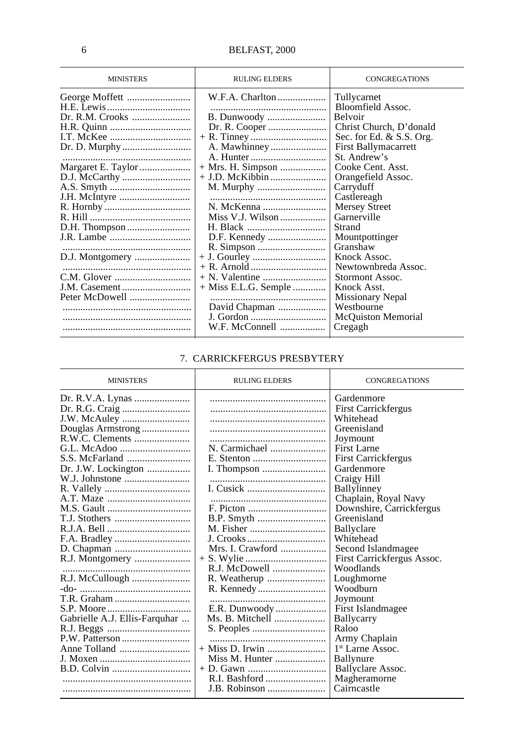| <b>MINISTERS</b> | <b>RULING ELDERS</b>   | <b>CONGREGATIONS</b>                                                                                                       |
|------------------|------------------------|----------------------------------------------------------------------------------------------------------------------------|
| Dr. R.M. Crooks  | W.F.A. Charlton        | Tullycarnet<br>Bloomfield Assoc.<br>Belvoir<br>Christ Church, D'donald<br>Sec. for Ed. & S.S. Org.<br>First Ballymacarrett |
|                  |                        | St. Andrew's                                                                                                               |
|                  | $+$ Mrs. H. Simpson    | Cooke Cent. Asst.                                                                                                          |
| D.J. McCarthy    |                        | Orangefield Assoc.                                                                                                         |
|                  |                        | Carryduff                                                                                                                  |
|                  |                        | Castlereagh                                                                                                                |
|                  |                        | <b>Mersey Street</b>                                                                                                       |
|                  |                        | Garnerville                                                                                                                |
| D.H. Thompson    |                        | Strand                                                                                                                     |
| J.R. Lambe       |                        | Mountpottinger                                                                                                             |
|                  |                        | Granshaw                                                                                                                   |
| D.J. Montgomery  |                        | Knock Assoc.                                                                                                               |
|                  |                        | Newtownbreda Assoc.                                                                                                        |
|                  |                        | Stormont Assoc.                                                                                                            |
| J.M. Casement    | $+$ Miss E.L.G. Semple | Knock Asst.                                                                                                                |
| Peter McDowell   |                        | Missionary Nepal                                                                                                           |
|                  | David Chapman          | Westbourne                                                                                                                 |
|                  | J. Gordon              | <b>McQuiston Memorial</b>                                                                                                  |
|                  | W.F. McConnell         | Cregagh                                                                                                                    |

# 7. CARRICKFERGUS PRESBYTERY

| <b>MINISTERS</b>                                            | <b>RULING ELDERS</b>                                                 | <b>CONGREGATIONS</b>                                                                                                                                                                                                                                                    |
|-------------------------------------------------------------|----------------------------------------------------------------------|-------------------------------------------------------------------------------------------------------------------------------------------------------------------------------------------------------------------------------------------------------------------------|
| Douglas Armstrong<br>R.W.C. Clements<br>Dr. J.W. Lockington | N. Carmichael<br>B.P. Smyth<br>Mrs. I. Crawford                      | Gardenmore<br><b>First Carrickfergus</b><br>Whitehead<br>Greenisland<br>Joymount<br>First Larne<br><b>First Carrickfergus</b><br>Gardenmore<br>Craigy Hill<br>Ballylinney<br>Chaplain, Royal Navy<br>Downshire, Carrickfergus<br>Greenisland<br>Ballyclare<br>Whitehead |
| R.J. Montgomery<br>Gabrielle A.J. Ellis-Farquhar            | E.R. Dunwoody<br>Ms. B. Mitchell<br>+ Miss D. Irwin<br>J.B. Robinson | Second Islandmagee<br>First Carrickfergus Assoc.<br>Woodlands<br>Loughmorne<br>Woodburn<br>Joymount<br>First Islandmagee<br>Ballycarry<br>Raloo<br>Army Chaplain<br>1 <sup>st</sup> Larne Assoc.<br>Ballynure<br>Ballyclare Assoc.<br>Magheramorne<br>Cairncastle       |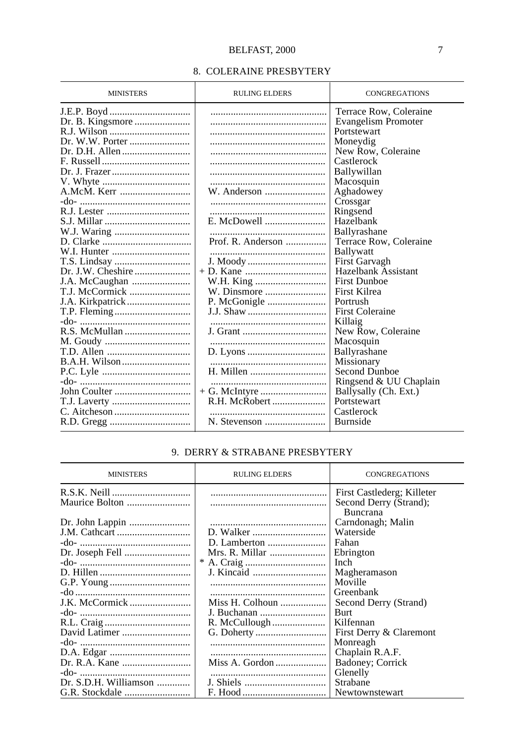### 8. COLERAINE PRESBYTERY

| <b>MINISTERS</b> | <b>RULING ELDERS</b> | <b>CONGREGATIONS</b>   |
|------------------|----------------------|------------------------|
|                  |                      | Terrace Row, Coleraine |
|                  |                      | Evangelism Promoter    |
|                  |                      | Portstewart            |
|                  |                      | Moneydig               |
|                  |                      | New Row, Coleraine     |
|                  |                      | Castlerock             |
|                  |                      | Ballywillan            |
|                  |                      | Macosquin              |
|                  |                      | Aghadowey              |
|                  |                      | Crossgar               |
|                  |                      | Ringsend               |
|                  | E. McDowell          | Hazelbank              |
|                  |                      | Ballyrashane           |
|                  | Prof. R. Anderson    | Terrace Row, Coleraine |
|                  |                      | <b>Ballywatt</b>       |
|                  |                      | First Garvagh          |
|                  |                      | Hazelbank Assistant    |
|                  |                      | <b>First Dunboe</b>    |
| T.J. McCormick   |                      | First Kilrea           |
|                  |                      | Portrush               |
|                  |                      | <b>First Coleraine</b> |
|                  |                      | Killaig                |
|                  |                      | New Row, Coleraine     |
|                  |                      | Macosquin              |
|                  |                      | Ballyrashane           |
|                  |                      | Missionary             |
|                  |                      | Second Dunboe          |
|                  |                      | Ringsend & UU Chaplain |
|                  |                      | Ballysally (Ch. Ext.)  |
|                  | R.H. McRobert        | Portstewart            |
|                  |                      | Castlerock             |
|                  | N. Stevenson         | <b>Burnside</b>        |

# 9. DERRY & STRABANE PRESBYTERY

| <b>MINISTERS</b>      | <b>RULING ELDERS</b> | CONGREGATIONS                                                    |
|-----------------------|----------------------|------------------------------------------------------------------|
| Maurice Bolton        |                      | First Castlederg; Killeter<br>Second Derry (Strand);<br>Buncrana |
| Dr. John Lappin       |                      | Carndonagh; Malin                                                |
|                       |                      | Waterside                                                        |
|                       |                      | Fahan                                                            |
| Dr. Joseph Fell       | Mrs. R. Millar       | Ebrington                                                        |
|                       |                      | Inch                                                             |
|                       |                      | Magheramason                                                     |
|                       |                      | Moville                                                          |
|                       |                      | Greenbank                                                        |
| J.K. McCormick        |                      | Second Derry (Strand)                                            |
|                       |                      | <b>Burt</b>                                                      |
|                       |                      | Kilfennan                                                        |
|                       |                      | First Derry & Claremont                                          |
|                       |                      | Monreagh                                                         |
|                       |                      | Chaplain R.A.F.                                                  |
|                       |                      | Badoney; Corrick                                                 |
|                       |                      | Glenelly                                                         |
| Dr. S.D.H. Williamson |                      | Strabane                                                         |
|                       |                      | Newtownstewart                                                   |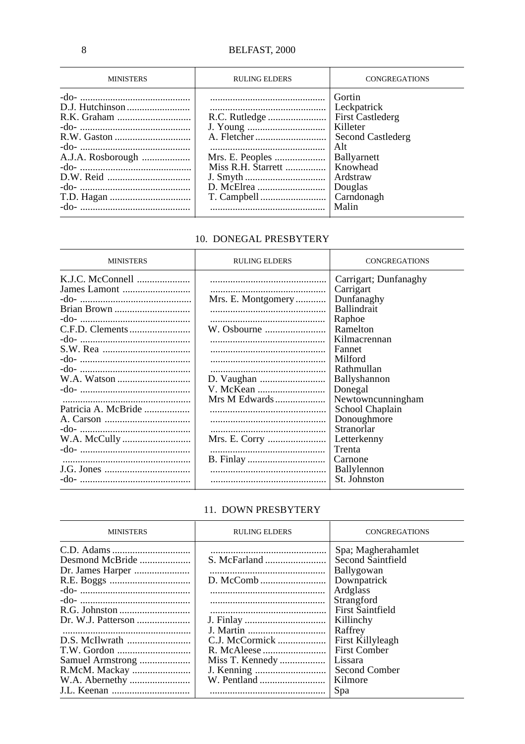| <b>MINISTERS</b>  | <b>RULING ELDERS</b>                  | <b>CONGREGATIONS</b>                                                                                                                                              |
|-------------------|---------------------------------------|-------------------------------------------------------------------------------------------------------------------------------------------------------------------|
| A.J.A. Rosborough | Mrs. E. Peoples<br>Miss R.H. Starrett | Gortin<br>Leckpatrick<br><b>First Castlederg</b><br>Killeter<br>Second Castlederg<br>Alt<br>Ballyarnett<br>Knowhead<br>Ardstraw<br>Douglas<br>Carndonagh<br>Malin |

# 10. DONEGAL PRESBYTERY

| <b>MINISTERS</b>    | <b>RULING ELDERS</b> | <b>CONGREGATIONS</b>  |
|---------------------|----------------------|-----------------------|
|                     |                      | Carrigart; Dunfanaghy |
|                     |                      | Carrigart             |
|                     | Mrs. E. Montgomery   | Dunfanaghy            |
|                     |                      | <b>Ballindrait</b>    |
|                     |                      | Raphoe                |
|                     |                      | Ramelton              |
|                     |                      | Kilmacrennan          |
|                     |                      | Fannet                |
|                     |                      | Milford               |
|                     |                      | Rathmullan            |
|                     |                      | Ballyshannon          |
|                     |                      | Donegal               |
|                     | Mrs M Edwards        | Newtowncunningham     |
| Patricia A. McBride |                      | School Chaplain       |
|                     |                      | Donoughmore           |
|                     |                      | Stranorlar            |
|                     |                      | Letterkenny           |
|                     |                      | Trenta                |
|                     |                      | Carnone               |
|                     |                      | Ballylennon           |
|                     |                      | St. Johnston          |

# 11. DOWN PRESBYTERY

| <b>MINISTERS</b>   | <b>RULING ELDERS</b> | <b>CONGREGATIONS</b>    |
|--------------------|----------------------|-------------------------|
|                    |                      | Spa; Magherahamlet      |
| Desmond McBride    |                      | Second Saintfield       |
|                    |                      | Ballygowan              |
|                    |                      | Downpatrick             |
|                    |                      | Ardglass                |
|                    |                      | Strangford              |
|                    |                      | <b>First Saintfield</b> |
| Dr. W.J. Patterson |                      | Killinchy               |
|                    |                      | Raffrey                 |
|                    | C.J. McCormick       | First Killyleagh        |
|                    |                      | <b>First Comber</b>     |
|                    | Miss T. Kennedy      | Lissara                 |
|                    |                      | Second Comber           |
|                    |                      | Kilmore                 |
|                    |                      | Spa                     |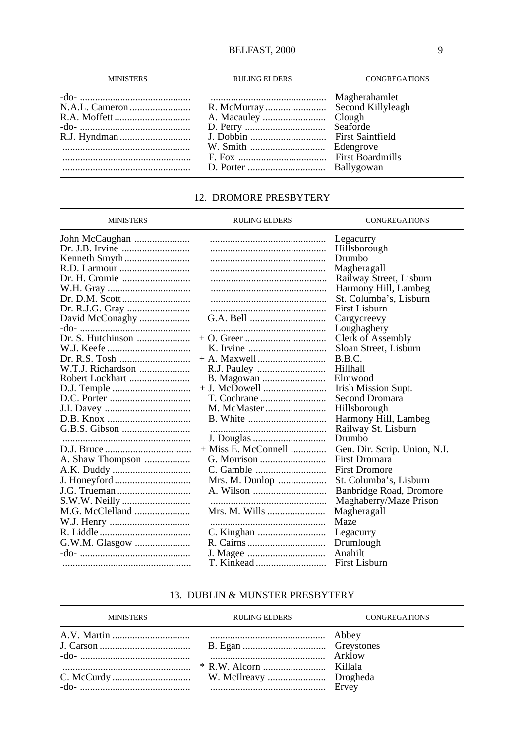| <b>MINISTERS</b> | <b>RULING ELDERS</b> | <b>CONGREGATIONS</b>                   |
|------------------|----------------------|----------------------------------------|
|                  |                      | Magherahamlet<br>Seaforde<br>Edengrove |

### 12. DROMORE PRESBYTERY

| <b>MINISTERS</b>  | <b>RULING ELDERS</b>  | <b>CONGREGATIONS</b>         |
|-------------------|-----------------------|------------------------------|
| John McCaughan    |                       | Legacurry                    |
|                   |                       | Hillsborough                 |
|                   |                       | Drumbo                       |
|                   |                       | Magheragall                  |
| Dr. H. Cromie     |                       | Railway Street, Lisburn      |
|                   |                       | Harmony Hill, Lambeg         |
|                   |                       | St. Columba's, Lisburn       |
| Dr. R.J.G. Gray   |                       | First Lisburn                |
| David McConaghy   |                       | Cargycreevy                  |
|                   |                       | Loughaghery                  |
|                   |                       | Clerk of Assembly            |
|                   |                       | Sloan Street, Lisburn        |
|                   |                       | B.B.C.                       |
| W.T.J. Richardson |                       | Hillhall                     |
| Robert Lockhart   |                       | Elmwood                      |
|                   | $+$ J. McDowell       | Irish Mission Supt.          |
|                   |                       | Second Dromara               |
|                   |                       | Hillsborough                 |
|                   |                       | Harmony Hill, Lambeg         |
|                   |                       | Railway St. Lisburn          |
|                   | J. Douglas            | Drumbo                       |
|                   | $+$ Miss E. McConnell | Gen. Dir. Scrip. Union, N.I. |
| A. Shaw Thompson  |                       | <b>First Dromara</b>         |
| A.K. Duddy        |                       | <b>First Dromore</b>         |
|                   | Mrs. M. Dunlop        | St. Columba's, Lisburn       |
| J.G. Trueman      |                       | Banbridge Road, Dromore      |
|                   |                       | Maghaberry/Maze Prison       |
|                   | Mrs. M. Wills         | Magheragall                  |
|                   |                       | Maze                         |
|                   |                       | Legacurry                    |
|                   |                       | Drumlough                    |
| G.W.M. Glasgow    |                       | Anahilt                      |
|                   |                       | First Lisburn                |
|                   |                       |                              |

#### 13. DUBLIN & MUNSTER PRESBYTERY

| <b>MINISTERS</b> | <b>RULING ELDERS</b> | <b>CONGREGATIONS</b> |
|------------------|----------------------|----------------------|
|                  |                      | Abbey<br>Arklow      |
|                  |                      | Ervey                |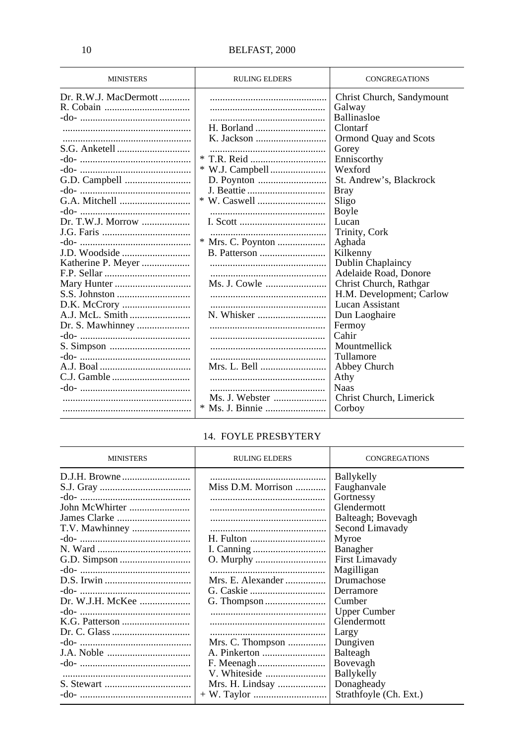| <b>MINISTERS</b>      | <b>RULING ELDERS</b> | <b>CONGREGATIONS</b>      |
|-----------------------|----------------------|---------------------------|
| Dr. R.W.J. MacDermott |                      | Christ Church, Sandymount |
|                       |                      | Galway                    |
|                       |                      | <b>Ballinasloe</b>        |
|                       |                      | Clontarf                  |
|                       |                      | Ormond Quay and Scots     |
|                       |                      | Gorey                     |
|                       |                      | Enniscorthy               |
|                       |                      | Wexford                   |
|                       |                      | St. Andrew's, Blackrock   |
|                       |                      | <b>Bray</b>               |
|                       |                      | Sligo                     |
|                       |                      | Boyle                     |
|                       |                      | Lucan                     |
|                       |                      | Trinity, Cork             |
|                       | * Mrs. C. Poynton    | Aghada                    |
| J.D. Woodside         |                      | Kilkenny                  |
| Katherine P. Meyer    |                      | Dublin Chaplaincy         |
|                       |                      | Adelaide Road, Donore     |
|                       |                      | Christ Church, Rathgar    |
|                       |                      | H.M. Development; Carlow  |
|                       |                      | Lucan Assistant           |
|                       |                      | Dun Laoghaire             |
| Dr. S. Mawhinney      |                      | Fermoy                    |
|                       |                      | Cahir                     |
|                       |                      | Mountmellick              |
|                       |                      | Tullamore                 |
|                       | Mrs. L. Bell         | Abbey Church              |
|                       |                      | Athy                      |
|                       |                      | <b>Naas</b>               |
|                       | Ms. J. Webster       | Christ Church, Limerick   |
|                       |                      | Corboy                    |

# 14. FOYLE PRESBYTERY

| <b>MINISTERS</b> | <b>RULING ELDERS</b> | <b>CONGREGATIONS</b>   |
|------------------|----------------------|------------------------|
|                  |                      | Ballykelly             |
|                  | Miss D.M. Morrison   | Faughanvale            |
|                  |                      | Gortnessy              |
| John McWhirter   |                      | Glendermott            |
| James Clarke     |                      | Balteagh; Bovevagh     |
|                  |                      | Second Limavady        |
|                  |                      | Myroe                  |
|                  |                      | Banagher               |
|                  |                      | First Limavady         |
|                  |                      | Magilligan             |
|                  | Mrs. E. Alexander    | Drumachose             |
|                  |                      | Derramore              |
| Dr. W.J.H. McKee |                      | Cumber                 |
|                  |                      | <b>Upper Cumber</b>    |
|                  |                      | Glendermott            |
|                  |                      | Largy                  |
|                  | Mrs. C. Thompson     | Dungiven               |
|                  |                      | Balteagh               |
|                  |                      | Bovevagh               |
|                  |                      | <b>Ballykelly</b>      |
|                  | Mrs. H. Lindsay      | Donagheady             |
|                  |                      | Strathfoyle (Ch. Ext.) |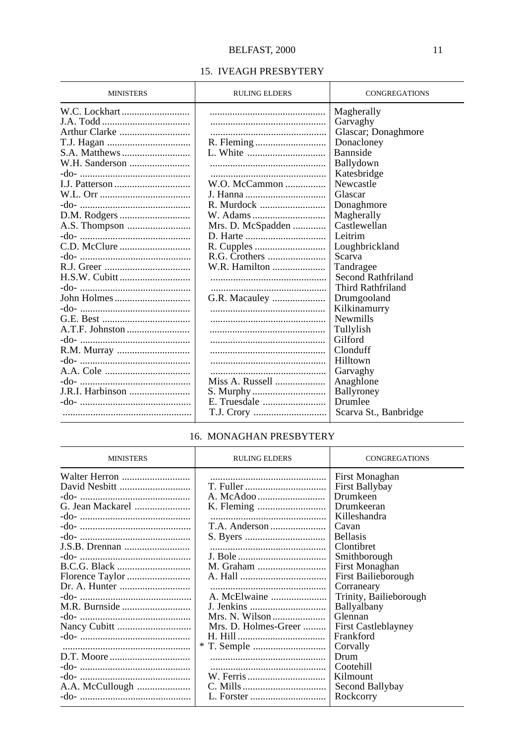#### 15. IVEAGH PRESBYTERY

| <b>MINISTERS</b> | <b>RULING ELDERS</b> | <b>CONGREGATIONS</b>  |
|------------------|----------------------|-----------------------|
|                  |                      | Magherally            |
|                  |                      | Garvaghy              |
| Arthur Clarke    |                      | Glascar; Donaghmore   |
|                  |                      | Donacloney            |
|                  |                      | <b>Bannside</b>       |
|                  |                      | Ballydown             |
|                  |                      | Katesbridge           |
|                  | $W.O.$ McCammon      | Newcastle             |
|                  |                      | Glascar               |
|                  |                      | Donaghmore            |
|                  |                      | Magherally            |
|                  | Mrs. D. McSpadden    | Castlewellan          |
|                  |                      | Leitrim               |
|                  |                      | Loughbrickland        |
|                  |                      | Scarva                |
|                  | W.R. Hamilton        | Tandragee             |
|                  |                      | Second Rathfriland    |
|                  |                      | Third Rathfriland     |
|                  | G.R. Macauley        | Drumgooland           |
|                  |                      | Kilkinamurry          |
|                  |                      | <b>Newmills</b>       |
|                  |                      | Tullylish             |
|                  |                      | Gilford               |
|                  |                      | Clonduff              |
|                  |                      | Hilltown              |
|                  |                      | Garvaghy              |
|                  | Miss A. Russell      | Anaghlone             |
| J.R.I. Harbinson |                      | Ballyroney            |
|                  |                      | Drumlee               |
|                  |                      | Scarva St., Banbridge |

#### 16. MONAGHAN PRESBYTERY

| <b>MINISTERS</b> | <b>RULING ELDERS</b> | CONGREGATIONS              |
|------------------|----------------------|----------------------------|
| Walter Herron    |                      | First Monaghan             |
| David Nesbitt    |                      | First Ballybay             |
|                  |                      | Drumkeen                   |
| G. Jean Mackarel |                      | Drumkeeran                 |
|                  |                      | Killeshandra               |
|                  |                      | Cavan                      |
|                  |                      | <b>Bellasis</b>            |
|                  |                      | Clontibret                 |
|                  |                      | Smithborough               |
|                  |                      | First Monaghan             |
| Florence Taylor  |                      | First Bailieborough        |
|                  |                      | Corraneary                 |
|                  |                      | Trinity, Bailieborough     |
|                  |                      | Ballyalbany                |
|                  | Mrs. N. Wilson       | Glennan                    |
|                  | Mrs. D. Holmes-Greer | <b>First Castleblayney</b> |
|                  |                      | Frankford                  |
|                  |                      | Corvally                   |
|                  |                      | Drum                       |
|                  |                      | Cootehill                  |
|                  |                      | Kilmount                   |
| A.A. McCullough  |                      | Second Ballybay            |
|                  |                      | Rockcorry                  |
|                  |                      |                            |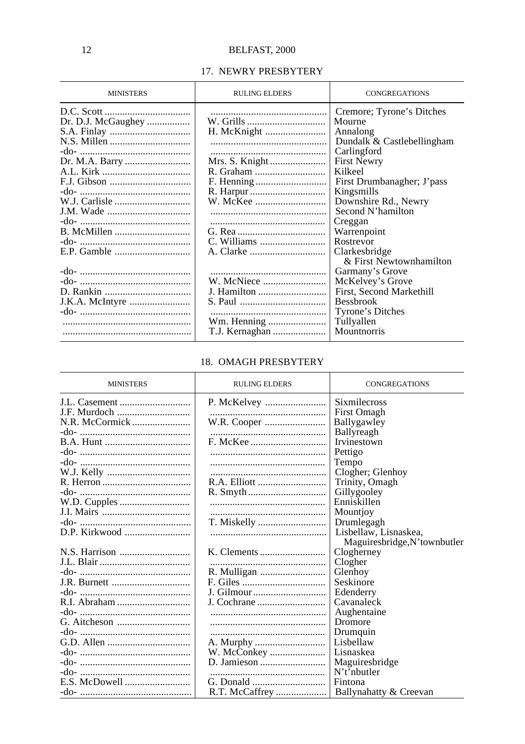#### 17. NEWRY PRESBYTERY

| <b>MINISTERS</b>                     | <b>RULING ELDERS</b>                         | <b>CONGREGATIONS</b>                                                                                                                                                                                                                                                           |
|--------------------------------------|----------------------------------------------|--------------------------------------------------------------------------------------------------------------------------------------------------------------------------------------------------------------------------------------------------------------------------------|
| Dr. D.J. McGaughey<br>Dr. M.A. Barry | W. Grills                                    | Cremore; Tyrone's Ditches<br>Mourne<br>Annalong<br>Dundalk & Castlebellingham<br>Carlingford<br><b>First Newry</b><br>Kilkeel<br>First Drumbanagher; J'pass<br>Kingsmills<br>Downshire Rd., Newry<br>Second N'hamilton<br>Creggan<br>Warrenpoint<br>Rostrevor<br>Clarkesbridge |
|                                      | J. Hamilton<br>Wm. Henning<br>T.J. Kernaghan | & First Newtownhamilton<br>Garmany's Grove<br>McKelvey's Grove<br>First, Second Markethill<br><b>Bessbrook</b><br>Tyrone's Ditches<br>Tullyallen<br>Mountnorris                                                                                                                |

#### 18. OMAGH PRESBYTERY

| <b>MINISTERS</b> | <b>RULING ELDERS</b> | <b>CONGREGATIONS</b>         |
|------------------|----------------------|------------------------------|
|                  |                      | Sixmilecross                 |
|                  |                      | First Omagh                  |
|                  |                      | Ballygawley                  |
|                  |                      | <b>Ballyreagh</b>            |
|                  |                      | Irvinestown                  |
|                  |                      | Pettigo                      |
|                  |                      | Tempo                        |
|                  |                      | Clogher; Glenhoy             |
|                  |                      | Trinity, Omagh               |
|                  |                      | Gillygooley                  |
|                  |                      | Enniskillen                  |
|                  |                      | Mountjoy                     |
|                  | T. Miskelly          | Drumlegagh                   |
|                  |                      | Lisbellaw, Lisnaskea,        |
|                  |                      | Maguiresbridge, N'townbutler |
|                  |                      | Clogherney                   |
|                  |                      | Clogher                      |
|                  |                      | Glenhoy                      |
|                  |                      | Seskinore                    |
|                  | J. Gilmour           | Edenderry                    |
|                  |                      | Cavanaleck                   |
|                  |                      | Aughentaine                  |
|                  |                      | Dromore                      |
|                  |                      | Drumquin                     |
|                  |                      | Lisbellaw                    |
|                  |                      | Lisnaskea                    |
|                  |                      | Maguiresbridge               |
|                  |                      | N't'nbutter                  |
| E.S. McDowell    |                      | Fintona                      |
|                  | R.T. McCaffrey       | Ballynahatty & Creevan       |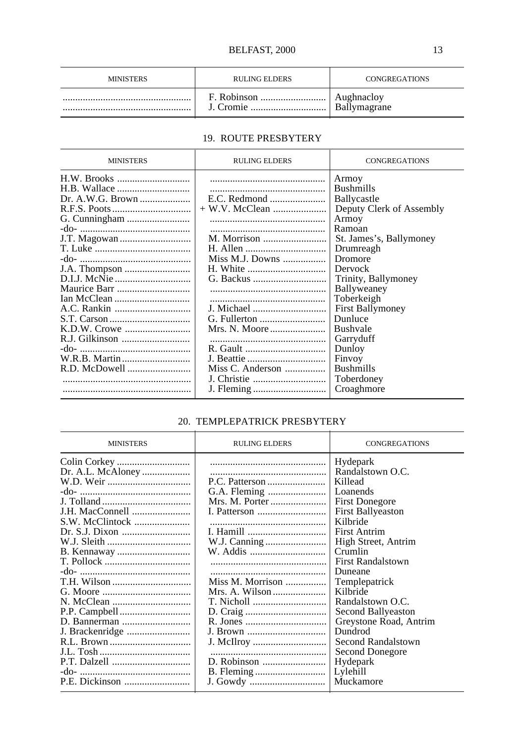| <b>MINISTERS</b> | <b>RULING ELDERS</b> | <b>CONGREGATIONS</b>              |
|------------------|----------------------|-----------------------------------|
|                  | J. Cromie<br>        | Aughnaclov<br><b>Ballymagrane</b> |

# 19. ROUTE PRESBYTERY

| <b>MINISTERS</b> | <b>RULING ELDERS</b>                                                                            | <b>CONGREGATIONS</b>                                                                                                                                                                                                                                                                                                                                |
|------------------|-------------------------------------------------------------------------------------------------|-----------------------------------------------------------------------------------------------------------------------------------------------------------------------------------------------------------------------------------------------------------------------------------------------------------------------------------------------------|
|                  | E.C. Redmond<br>M. Morrison<br>Miss M.J. Downs<br>J. Michael<br>Miss C. Anderson<br>J. Christie | Armoy<br><b>Bushmills</b><br>Ballycastle<br>Deputy Clerk of Assembly<br>Armoy<br>Ramoan<br>St. James's, Ballymoney<br>Drumreagh<br>Dromore<br>Dervock<br>Trinity, Ballymoney<br>Ballyweaney<br>Toberkeigh<br><b>First Ballymoney</b><br>Dunluce<br><b>Bushvale</b><br>Garryduff<br>Dunloy<br>Finvoy<br><b>Bushmills</b><br>Toberdoney<br>Croaghmore |
|                  |                                                                                                 |                                                                                                                                                                                                                                                                                                                                                     |

# 20. TEMPLEPATRICK PRESBYTERY

| <b>MINISTERS</b>                                        | <b>RULING ELDERS</b>                                                             | <b>CONGREGATIONS</b>                                                                                                                                                                                                                                                                                                                                                                       |
|---------------------------------------------------------|----------------------------------------------------------------------------------|--------------------------------------------------------------------------------------------------------------------------------------------------------------------------------------------------------------------------------------------------------------------------------------------------------------------------------------------------------------------------------------------|
| Dr. A.L. McAloney<br>J.H. MacConnell<br>S.W. McClintock | Mrs. M. Porter<br>W.J. Canning<br>Miss M. Morrison<br>Mrs. A. Wilson<br>J. Brown | Hydepark<br>Randalstown O.C.<br>Killead<br>Loanends<br><b>First Donegore</b><br><b>First Ballyeaston</b><br>Kilbride<br>First Antrim<br>High Street, Antrim<br>Crumlin<br><b>First Randalstown</b><br>Duneane<br>Templepatrick<br>Kilbride<br>Randalstown O.C.<br>Second Ballyeaston<br>Greystone Road, Antrim<br>Dundrod<br>Second Randalstown<br>Second Donegore<br>Hydepark<br>Lylehill |
|                                                         |                                                                                  | Muckamore                                                                                                                                                                                                                                                                                                                                                                                  |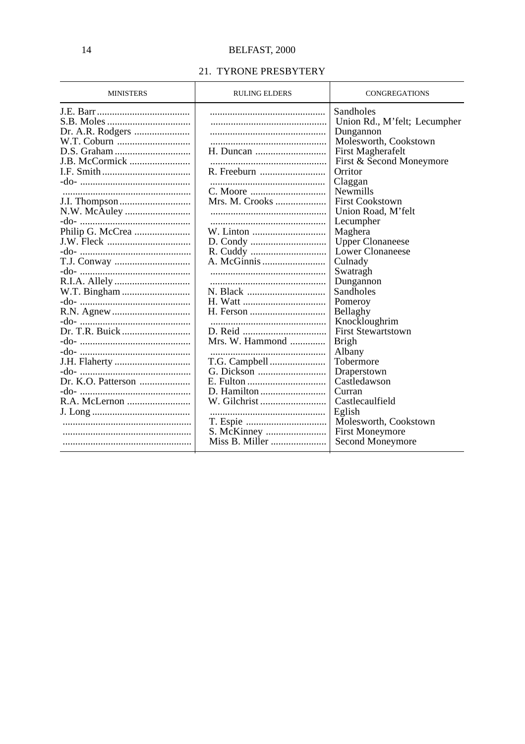# 21. TYRONE PRESBYTERY

| <b>MINISTERS</b>   | <b>RULING ELDERS</b>     | <b>CONGREGATIONS</b>         |
|--------------------|--------------------------|------------------------------|
|                    |                          | Sandholes                    |
|                    |                          | Union Rd., M'felt; Lecumpher |
|                    |                          | Dungannon                    |
| W.T. Coburn        |                          | Molesworth, Cookstown        |
| D.S. Graham        | H. Duncan                | First Magherafelt            |
| J.B. McCormick     |                          | First & Second Moneymore     |
|                    | R. Freeburn              | Orritor                      |
|                    |                          | Claggan                      |
|                    |                          | <b>Newmills</b>              |
|                    | Mrs. M. Crooks           | <b>First Cookstown</b>       |
|                    |                          | Union Road, M'felt           |
|                    |                          | Lecumpher                    |
| Philip G. McCrea   | W. Linton                | Maghera                      |
|                    |                          | <b>Upper Clonaneese</b>      |
|                    |                          | Lower Clonaneese             |
|                    |                          | Culnady                      |
|                    |                          | Swatragh                     |
|                    |                          | Dungannon                    |
|                    |                          | Sandholes                    |
|                    |                          | Pomeroy                      |
|                    |                          | Bellaghy                     |
|                    |                          | Knockloughrim                |
|                    |                          | <b>First Stewartstown</b>    |
|                    | Mrs. W. Hammond $\ldots$ | <b>Brigh</b>                 |
|                    |                          | Albany                       |
| J.H. Flaherty      |                          | Tobermore                    |
|                    |                          | Draperstown                  |
| Dr. K.O. Patterson |                          | Castledawson                 |
|                    |                          | Curran                       |
| R.A. McLernon      | W. Gilchrist             | Castlecaulfield              |
|                    |                          | Eglish                       |
|                    |                          | Molesworth, Cookstown        |
|                    | S. McKinney              | <b>First Moneymore</b>       |
|                    | Miss B. Miller           | Second Moneymore             |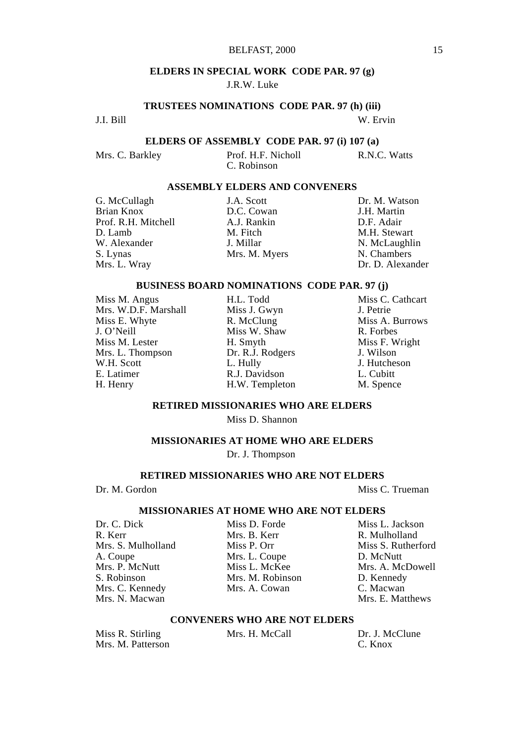#### BELFAST, 2000 15

#### **ELDERS IN SPECIAL WORK CODE PAR. 97 (g)**

#### J.R.W. Luke

**TRUSTEES NOMINATIONS CODE PAR. 97 (h) (iii)**

J.I. Bill W. Ervin

**ELDERS OF ASSEMBLY CODE PAR. 97 (i) 107 (a)**

Mrs. C. Barkley Prof. H.F. Nicholl R.N.C. Watts C. Robinson

#### **ASSEMBLY ELDERS AND CONVENERS**

Prof. R.H. Mitchell A.J. Rankin D. Lamb M. Fitch D. Lamb M. Fitch M.H. Stewart W. Alexander **J. Millar N. McLaughlin** S. Lynas Mrs. M. Myers N. Chambers N. Chambers Mrs. L. Wray Mrs. M. Myers Dr. D. Alexan

D.C. Cowan J.H. Martin<br>A I Rankin D.F. Adair

G. McCullagh J.A. Scott Dr. M. Watson<br>
Brian Knox D.C. Cowan J.H. Martin Dr. D. Alexander

# **BUSINESS BOARD NOMINATIONS CODE PAR. 97 (j)**

| Miss M. Angus        | H.L. Todd        | Miss C. Cath |
|----------------------|------------------|--------------|
| Mrs. W.D.F. Marshall | Miss J. Gwyn     | J. Petrie    |
| Miss E. Whyte        | R. McClung       | Miss A. Buri |
| J. O'Neill           | Miss W. Shaw     | R. Forbes    |
| Miss M. Lester       | H. Smyth         | Miss F. Wrig |
| Mrs. L. Thompson     | Dr. R.J. Rodgers | J. Wilson    |
| W.H. Scott           | L. Hully         | J. Hutcheson |
| E. Latimer           | R.J. Davidson    | L. Cubitt    |
| H. Henry             | H.W. Templeton   | M. Spence    |

H.L. Todd Miss C. Cathcart<br>
Miss J. Gwyn J. Petrie Miss A. Burrows<br>R. Forbes Miss F. Wright<br>J. Wilson

#### **RETIRED MISSIONARIES WHO ARE ELDERS**

Miss D. Shannon

#### **MISSIONARIES AT HOME WHO ARE ELDERS**

Dr. J. Thompson

#### **RETIRED MISSIONARIES WHO ARE NOT ELDERS**

Dr. M. Gordon Miss C. Trueman

#### **MISSIONARIES AT HOME WHO ARE NOT ELDERS**

R. Kerr R. Mulholland<br>
Mrs. S. Mulholland Miss P. Orr Miss S. Rutherford<br>
Miss S. Rutherford Mrs. S. Mulholland Miss P. Orr Miss S. Rutherford Miss S. Rutherford Miss S. Rutherford Mrs. L. Coupe Mrs. P. McNutt Miss L. McKee Mrs. A. McL<br>S. Robinson Mrs. M. Robinson D. Kennedy S. Robinson Mrs. M. Robinson D. Kennedy<br>
Mrs. C. Kennedy Mrs. A. Cowan C. Macwan Mrs. C. Kennedy Mrs. A. Cowan Mrs. N. Macwan

Mrs. L. Coupe D. McNutt<br>Miss L. McKee Mrs. A. McDowell

Dr. C. Dick Miss D. Forde Miss L. Jackson Mrs. E. Matthews

### **CONVENERS WHO ARE NOT ELDERS**

| Miss R. Stirling  | Mrs. H. McCall | Dr. J. McClune |
|-------------------|----------------|----------------|
| Mrs. M. Patterson |                | C. Knox        |
|                   |                |                |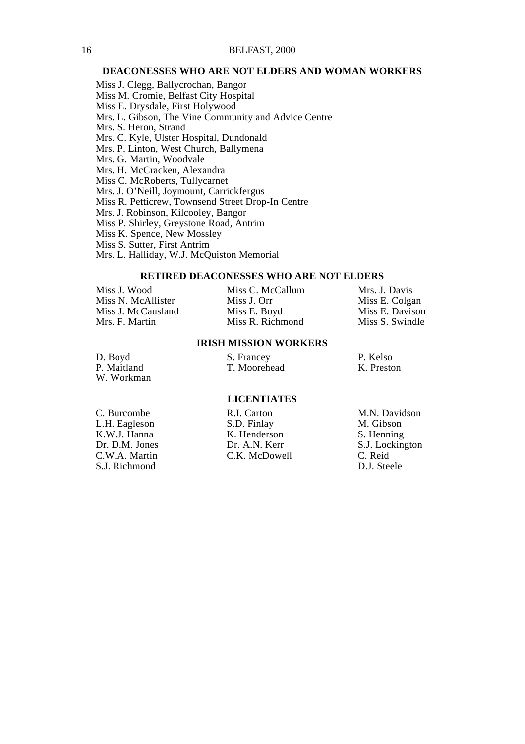#### **DEACONESSES WHO ARE NOT ELDERS AND WOMAN WORKERS**

Miss J. Clegg, Ballycrochan, Bangor Miss M. Cromie, Belfast City Hospital Miss E. Drysdale, First Holywood Mrs. L. Gibson, The Vine Community and Advice Centre Mrs. S. Heron, Strand Mrs. C. Kyle, Ulster Hospital, Dundonald Mrs. P. Linton, West Church, Ballymena Mrs. G. Martin, Woodvale Mrs. H. McCracken, Alexandra Miss C. McRoberts, Tullycarnet Mrs. J. O'Neill, Joymount, Carrickfergus Miss R. Petticrew, Townsend Street Drop-In Centre Mrs. J. Robinson, Kilcooley, Bangor Miss P. Shirley, Greystone Road, Antrim Miss K. Spence, New Mossley Miss S. Sutter, First Antrim Mrs. L. Halliday, W.J. McQuiston Memorial

#### **RETIRED DEACONESSES WHO ARE NOT ELDERS**

| Miss J. Wood       | Miss C. McCallum | Mrs. J. Davis   |
|--------------------|------------------|-----------------|
| Miss N. McAllister | Miss J. Orr      | Miss E. Colgan  |
| Miss J. McCausland | Miss E. Boyd     | Miss E. Davison |
| Mrs. F. Martin     | Miss R. Richmond | Miss S. Swindle |

#### **IRISH MISSION WORKERS**

| D. Boyd     | S. Francey   | P. Kelso   |
|-------------|--------------|------------|
| P. Maitland | T. Moorehead | K. Preston |
| W. Workman  |              |            |

#### **LICENTIATES**

| C. Burcombe    |
|----------------|
| L.H. Eagleson  |
| K.W.J. Hanna   |
| Dr. D.M. Jones |
| C.W.A. Martin  |
| S.J. Richmond  |

C. Burcombe R.I. Carton M.N. Davidson<br>C.H. Eagleson S.D. Finlay M. Gibson S.D. Finlay M. Gibson<br>K. Henderson S. Henning K. Henderson<br>Dr. A.N. Kerr C.K. McDowell

S.J. Lockington<br>C. Reid D.J. Steele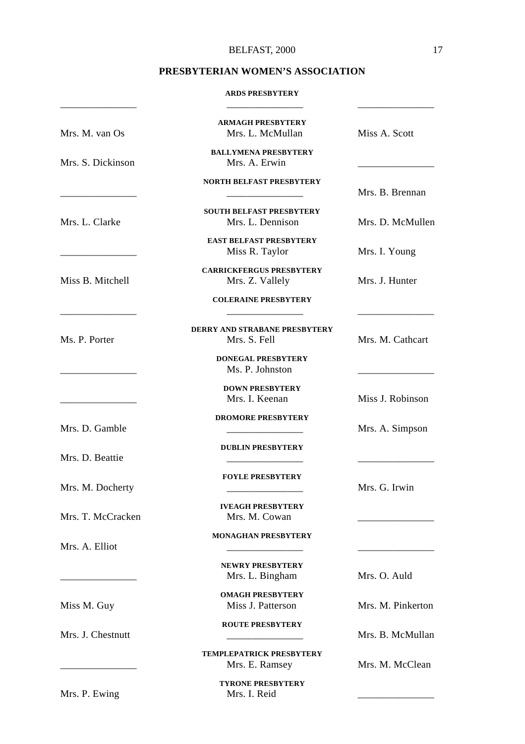# BELFAST, 2000 17

# **PRESBYTERIAN WOMEN'S ASSOCIATION**

#### **ARDS PRESBYTERY**

| Mrs. M. van Os    | <b>ARMAGH PRESBYTERY</b><br>Mrs. L. McMullan        | Miss A. Scott     |
|-------------------|-----------------------------------------------------|-------------------|
| Mrs. S. Dickinson | <b>BALLYMENA PRESBYTERY</b><br>Mrs. A. Erwin        |                   |
|                   | <b>NORTH BELFAST PRESBYTERY</b>                     | Mrs. B. Brennan   |
| Mrs. L. Clarke    | <b>SOUTH BELFAST PRESBYTERY</b><br>Mrs. L. Dennison | Mrs. D. McMullen  |
|                   | <b>EAST BELFAST PRESBYTERY</b><br>Miss R. Taylor    | Mrs. I. Young     |
| Miss B. Mitchell  | <b>CARRICKFERGUS PRESBYTERY</b><br>Mrs. Z. Vallely  | Mrs. J. Hunter    |
|                   | <b>COLERAINE PRESBYTERY</b>                         |                   |
| Ms. P. Porter     | DERRY AND STRABANE PRESBYTERY<br>Mrs. S. Fell       | Mrs. M. Cathcart  |
|                   | <b>DONEGAL PRESBYTERY</b><br>Ms. P. Johnston        |                   |
|                   | <b>DOWN PRESBYTERY</b><br>Mrs. I. Keenan            | Miss J. Robinson  |
| Mrs. D. Gamble    | <b>DROMORE PRESBYTERY</b>                           | Mrs. A. Simpson   |
| Mrs. D. Beattie   | <b>DUBLIN PRESBYTERY</b>                            |                   |
| Mrs. M. Docherty  | <b>FOYLE PRESBYTERY</b>                             | Mrs. G. Irwin     |
| Mrs. T. McCracken | <b>IVEAGH PRESBYTERY</b><br>Mrs. M. Cowan           |                   |
| Mrs. A. Elliot    | <b>MONAGHAN PRESBYTERY</b>                          |                   |
|                   | <b>NEWRY PRESBYTERY</b><br>Mrs. L. Bingham          | Mrs. O. Auld      |
| Miss M. Guy       | <b>OMAGH PRESBYTERY</b><br>Miss J. Patterson        | Mrs. M. Pinkerton |
| Mrs. J. Chestnutt | <b>ROUTE PRESBYTERY</b>                             | Mrs. B. McMullan  |
|                   | <b>TEMPLEPATRICK PRESBYTERY</b><br>Mrs. E. Ramsey   | Mrs. M. McClean   |
| Mrs. P. Ewing     | <b>TYRONE PRESBYTERY</b><br>Mrs. I. Reid            |                   |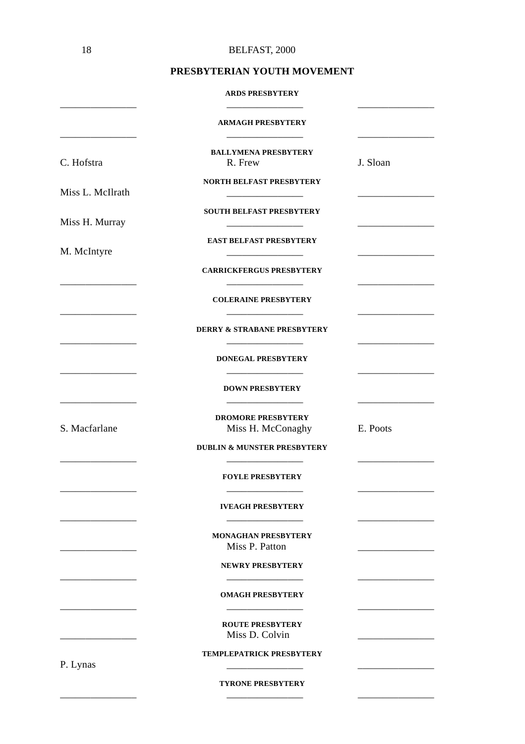#### **PRESBYTERIAN YOUTH MOVEMENT**

#### **ARDS PRESBYTERY**

|                  | <b>ARMAGH PRESBYTERY</b>                       |          |
|------------------|------------------------------------------------|----------|
| C. Hofstra       | <b>BALLYMENA PRESBYTERY</b><br>R. Frew         | J. Sloan |
| Miss L. McIlrath | <b>NORTH BELFAST PRESBYTERY</b>                |          |
| Miss H. Murray   | <b>SOUTH BELFAST PRESBYTERY</b>                |          |
| M. McIntyre      | <b>EAST BELFAST PRESBYTERY</b>                 |          |
|                  | <b>CARRICKFERGUS PRESBYTERY</b>                |          |
|                  | <b>COLERAINE PRESBYTERY</b>                    |          |
|                  | <b>DERRY &amp; STRABANE PRESBYTERY</b>         |          |
|                  | <b>DONEGAL PRESBYTERY</b>                      |          |
|                  | <b>DOWN PRESBYTERY</b>                         |          |
| S. Macfarlane    | <b>DROMORE PRESBYTERY</b><br>Miss H. McConaghy | E. Poots |
|                  | <b>DUBLIN &amp; MUNSTER PRESBYTERY</b>         |          |
|                  | <b>FOYLE PRESBYTERY</b>                        |          |
|                  | <b>IVEAGH PRESBYTERY</b>                       |          |
|                  | <b>MONAGHAN PRESBYTERY</b><br>Miss P. Patton   |          |
|                  | <b>NEWRY PRESBYTERY</b>                        |          |
|                  | <b>OMAGH PRESBYTERY</b>                        |          |
|                  | <b>ROUTE PRESBYTERY</b><br>Miss D. Colvin      |          |
| P. Lynas         | <b>TEMPLEPATRICK PRESBYTERY</b>                |          |
|                  | <b>TYRONE PRESBYTERY</b>                       |          |

\_\_\_\_\_\_\_\_\_\_\_\_\_\_\_ \_\_\_\_\_\_\_\_\_\_\_\_\_\_\_ \_\_\_\_\_\_\_\_\_\_\_\_\_\_\_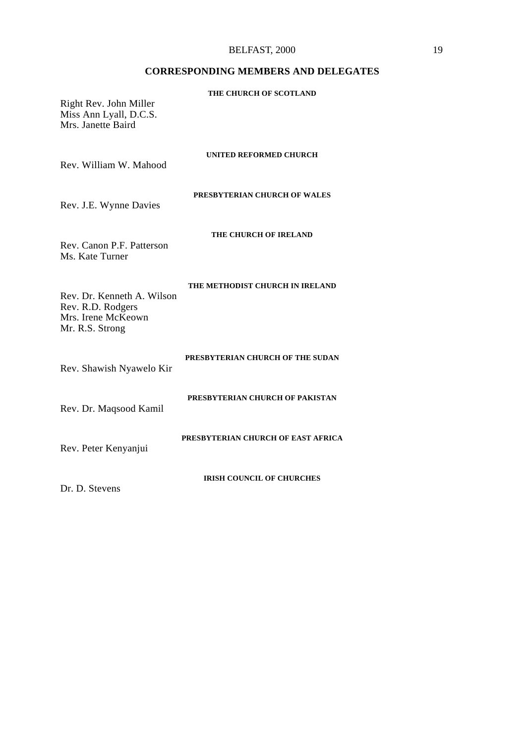#### BELFAST, 2000 19

# **CORRESPONDING MEMBERS AND DELEGATES**

| Right Rev. John Miller<br>Miss Ann Lyall, D.C.S.<br>Mrs. Janette Baird                   | THE CHURCH OF SCOTLAND             |
|------------------------------------------------------------------------------------------|------------------------------------|
| Rev. William W. Mahood                                                                   | <b>UNITED REFORMED CHURCH</b>      |
| Rev. J.E. Wynne Davies                                                                   | PRESBYTERIAN CHURCH OF WALES       |
| Rev. Canon P.F. Patterson<br>Ms. Kate Turner                                             | THE CHURCH OF IRELAND              |
| Rev. Dr. Kenneth A. Wilson<br>Rev. R.D. Rodgers<br>Mrs. Irene McKeown<br>Mr. R.S. Strong | THE METHODIST CHURCH IN IRELAND    |
| Rev. Shawish Nyawelo Kir                                                                 | PRESBYTERIAN CHURCH OF THE SUDAN   |
| Rev. Dr. Maqsood Kamil                                                                   | PRESBYTERIAN CHURCH OF PAKISTAN    |
| Rev. Peter Kenyanjui                                                                     | PRESBYTERIAN CHURCH OF EAST AFRICA |
|                                                                                          | <b>IRISH COUNCIL OF CHURCHES</b>   |

Dr. D. Stevens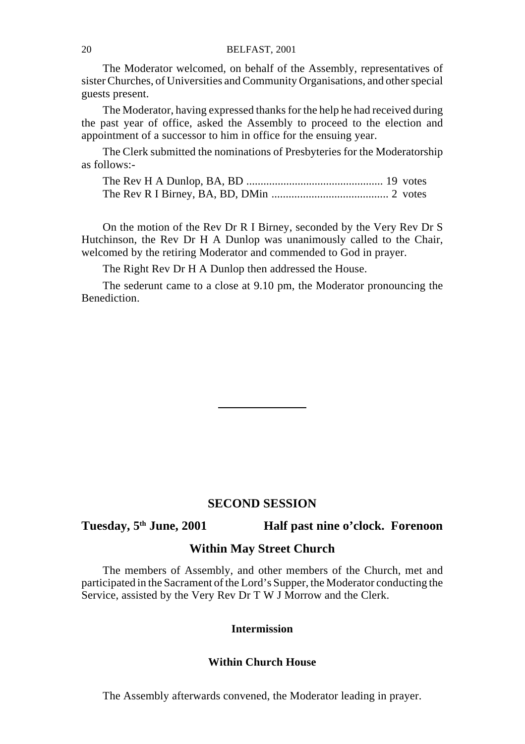The Moderator welcomed, on behalf of the Assembly, representatives of sister Churches, of Universities and Community Organisations, and other special guests present.

The Moderator, having expressed thanks for the help he had received during the past year of office, asked the Assembly to proceed to the election and appointment of a successor to him in office for the ensuing year.

The Clerk submitted the nominations of Presbyteries for the Moderatorship as follows:-

On the motion of the Rev Dr R I Birney, seconded by the Very Rev Dr S Hutchinson, the Rev Dr H A Dunlop was unanimously called to the Chair, welcomed by the retiring Moderator and commended to God in prayer.

The Right Rev Dr H A Dunlop then addressed the House.

The sederunt came to a close at 9.10 pm, the Moderator pronouncing the Benediction.

#### **SECOND SESSION**

# **Tuesday, 5th June, 2001 Half past nine o'clock. Forenoon**

#### **Within May Street Church**

The members of Assembly, and other members of the Church, met and participated in the Sacrament of the Lord's Supper, the Moderator conducting the Service, assisted by the Very Rev Dr T W J Morrow and the Clerk.

# **Intermission**

#### **Within Church House**

The Assembly afterwards convened, the Moderator leading in prayer.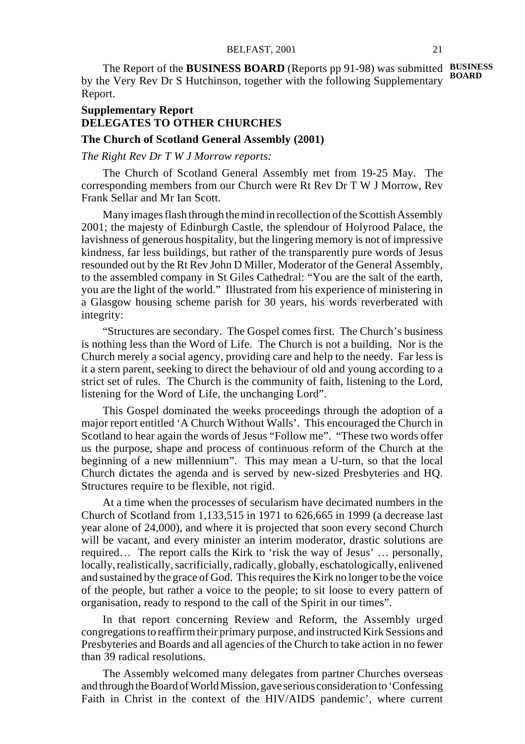The Report of the **BUSINESS BOARD** (Reports pp 91-98) was submitted **BUSINESS** by the Very Rev Dr S Hutchinson, together with the following Supplementary Report. **BOARD**

# **Supplementary Report DELEGATES TO OTHER CHURCHES**

### **The Church of Scotland General Assembly (2001)**

*The Right Rev Dr T W J Morrow reports:*

The Church of Scotland General Assembly met from 19-25 May. The corresponding members from our Church were Rt Rev Dr T W J Morrow, Rev Frank Sellar and Mr Ian Scott.

Many images flash through the mind in recollection of the Scottish Assembly 2001; the majesty of Edinburgh Castle, the splendour of Holyrood Palace, the lavishness of generous hospitality, but the lingering memory is not of impressive kindness, far less buildings, but rather of the transparently pure words of Jesus resounded out by the Rt Rev John D Miller, Moderator of the General Assembly, to the assembled company in St Giles Cathedral: "You are the salt of the earth, you are the light of the world." Illustrated from his experience of ministering in a Glasgow housing scheme parish for 30 years, his words reverberated with integrity:

"Structures are secondary. The Gospel comes first. The Church's business is nothing less than the Word of Life. The Church is not a building. Nor is the Church merely a social agency, providing care and help to the needy. Far less is it a stern parent, seeking to direct the behaviour of old and young according to a strict set of rules. The Church is the community of faith, listening to the Lord, listening for the Word of Life, the unchanging Lord".

This Gospel dominated the weeks proceedings through the adoption of a major report entitled 'A Church Without Walls'. This encouraged the Church in Scotland to hear again the words of Jesus "Follow me". "These two words offer us the purpose, shape and process of continuous reform of the Church at the beginning of a new millennium". This may mean a U-turn, so that the local Church dictates the agenda and is served by new-sized Presbyteries and HQ. Structures require to be flexible, not rigid.

At a time when the processes of secularism have decimated numbers in the Church of Scotland from 1,133,515 in 1971 to 626,665 in 1999 (a decrease last year alone of 24,000), and where it is projected that soon every second Church will be vacant, and every minister an interim moderator, drastic solutions are required… The report calls the Kirk to 'risk the way of Jesus' … personally, locally, realistically, sacrificially, radically, globally, eschatologically, enlivened and sustained by the grace of God. This requires the Kirk no longer to be the voice of the people, but rather a voice to the people; to sit loose to every pattern of organisation, ready to respond to the call of the Spirit in our times".

In that report concerning Review and Reform, the Assembly urged congregations to reaffirm their primary purpose, and instructed Kirk Sessions and Presbyteries and Boards and all agencies of the Church to take action in no fewer than 39 radical resolutions.

The Assembly welcomed many delegates from partner Churches overseas and through the Board of World Mission, gave serious consideration to 'Confessing Faith in Christ in the context of the HIV/AIDS pandemic', where current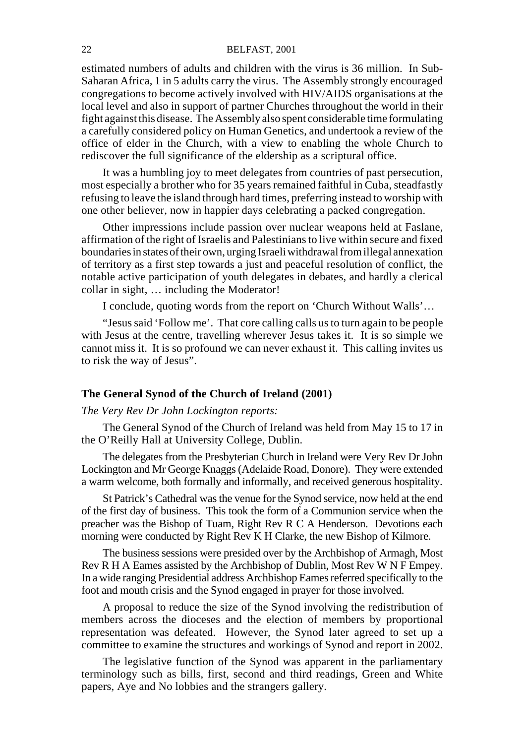estimated numbers of adults and children with the virus is 36 million. In Sub-Saharan Africa, 1 in 5 adults carry the virus. The Assembly strongly encouraged congregations to become actively involved with HIV/AIDS organisations at the local level and also in support of partner Churches throughout the world in their fight against this disease. The Assembly also spent considerable time formulating a carefully considered policy on Human Genetics, and undertook a review of the office of elder in the Church, with a view to enabling the whole Church to rediscover the full significance of the eldership as a scriptural office.

It was a humbling joy to meet delegates from countries of past persecution, most especially a brother who for 35 years remained faithful in Cuba, steadfastly refusing to leave the island through hard times, preferring instead to worship with one other believer, now in happier days celebrating a packed congregation.

Other impressions include passion over nuclear weapons held at Faslane, affirmation of the right of Israelis and Palestinians to live within secure and fixed boundaries in states of their own, urging Israeli withdrawal from illegal annexation of territory as a first step towards a just and peaceful resolution of conflict, the notable active participation of youth delegates in debates, and hardly a clerical collar in sight, … including the Moderator!

I conclude, quoting words from the report on 'Church Without Walls'…

"Jesus said 'Follow me'. That core calling calls us to turn again to be people with Jesus at the centre, travelling wherever Jesus takes it. It is so simple we cannot miss it. It is so profound we can never exhaust it. This calling invites us to risk the way of Jesus".

#### **The General Synod of the Church of Ireland (2001)**

#### *The Very Rev Dr John Lockington reports:*

The General Synod of the Church of Ireland was held from May 15 to 17 in the O'Reilly Hall at University College, Dublin.

The delegates from the Presbyterian Church in Ireland were Very Rev Dr John Lockington and Mr George Knaggs (Adelaide Road, Donore). They were extended a warm welcome, both formally and informally, and received generous hospitality.

St Patrick's Cathedral was the venue for the Synod service, now held at the end of the first day of business. This took the form of a Communion service when the preacher was the Bishop of Tuam, Right Rev R C A Henderson. Devotions each morning were conducted by Right Rev K H Clarke, the new Bishop of Kilmore.

The business sessions were presided over by the Archbishop of Armagh, Most Rev R H A Eames assisted by the Archbishop of Dublin, Most Rev W N F Empey. In a wide ranging Presidential address Archbishop Eames referred specifically to the foot and mouth crisis and the Synod engaged in prayer for those involved.

A proposal to reduce the size of the Synod involving the redistribution of members across the dioceses and the election of members by proportional representation was defeated. However, the Synod later agreed to set up a committee to examine the structures and workings of Synod and report in 2002.

The legislative function of the Synod was apparent in the parliamentary terminology such as bills, first, second and third readings, Green and White papers, Aye and No lobbies and the strangers gallery.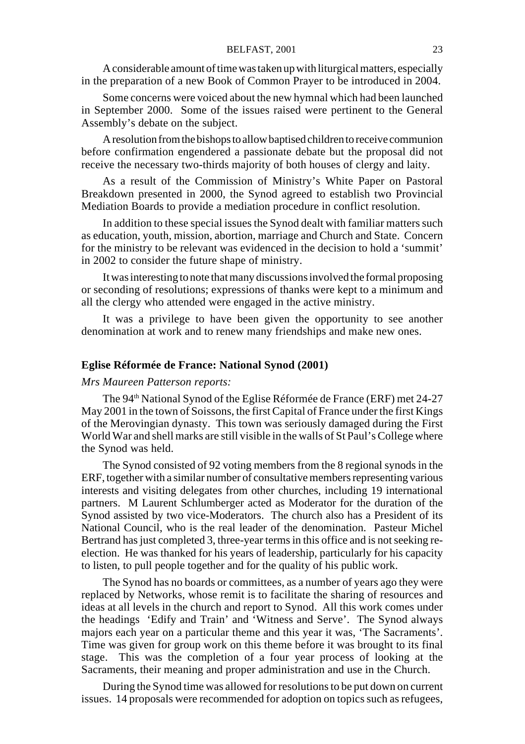A considerable amount of time was taken up with liturgical matters, especially in the preparation of a new Book of Common Prayer to be introduced in 2004.

Some concerns were voiced about the new hymnal which had been launched in September 2000. Some of the issues raised were pertinent to the General Assembly's debate on the subject.

A resolution from the bishops to allow baptised children to receive communion before confirmation engendered a passionate debate but the proposal did not receive the necessary two-thirds majority of both houses of clergy and laity.

As a result of the Commission of Ministry's White Paper on Pastoral Breakdown presented in 2000, the Synod agreed to establish two Provincial Mediation Boards to provide a mediation procedure in conflict resolution.

In addition to these special issues the Synod dealt with familiar matters such as education, youth, mission, abortion, marriage and Church and State. Concern for the ministry to be relevant was evidenced in the decision to hold a 'summit' in 2002 to consider the future shape of ministry.

It was interesting to note that many discussions involved the formal proposing or seconding of resolutions; expressions of thanks were kept to a minimum and all the clergy who attended were engaged in the active ministry.

It was a privilege to have been given the opportunity to see another denomination at work and to renew many friendships and make new ones.

#### **Eglise Réformée de France: National Synod (2001)**

#### *Mrs Maureen Patterson reports:*

The 94<sup>th</sup> National Synod of the Eglise Réformée de France (ERF) met 24-27 May 2001 in the town of Soissons, the first Capital of France under the first Kings of the Merovingian dynasty. This town was seriously damaged during the First World War and shell marks are still visible in the walls of St Paul's College where the Synod was held.

The Synod consisted of 92 voting members from the 8 regional synods in the ERF, together with a similar number of consultative members representing various interests and visiting delegates from other churches, including 19 international partners. M Laurent Schlumberger acted as Moderator for the duration of the Synod assisted by two vice-Moderators. The church also has a President of its National Council, who is the real leader of the denomination. Pasteur Michel Bertrand has just completed 3, three-year terms in this office and is not seeking reelection. He was thanked for his years of leadership, particularly for his capacity to listen, to pull people together and for the quality of his public work.

The Synod has no boards or committees, as a number of years ago they were replaced by Networks, whose remit is to facilitate the sharing of resources and ideas at all levels in the church and report to Synod. All this work comes under the headings 'Edify and Train' and 'Witness and Serve'. The Synod always majors each year on a particular theme and this year it was, 'The Sacraments'. Time was given for group work on this theme before it was brought to its final stage. This was the completion of a four year process of looking at the Sacraments, their meaning and proper administration and use in the Church.

During the Synod time was allowed for resolutions to be put down on current issues. 14 proposals were recommended for adoption on topics such as refugees,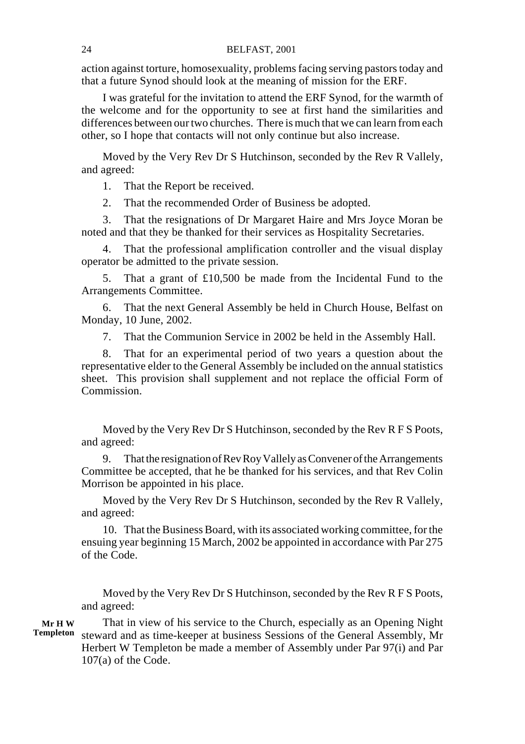action against torture, homosexuality, problems facing serving pastors today and that a future Synod should look at the meaning of mission for the ERF.

I was grateful for the invitation to attend the ERF Synod, for the warmth of the welcome and for the opportunity to see at first hand the similarities and differences between our two churches. There is much that we can learn from each other, so I hope that contacts will not only continue but also increase.

Moved by the Very Rev Dr S Hutchinson, seconded by the Rev R Vallely, and agreed:

1. That the Report be received.

2. That the recommended Order of Business be adopted.

3. That the resignations of Dr Margaret Haire and Mrs Joyce Moran be noted and that they be thanked for their services as Hospitality Secretaries.

4. That the professional amplification controller and the visual display operator be admitted to the private session.

5. That a grant of £10,500 be made from the Incidental Fund to the Arrangements Committee.

6. That the next General Assembly be held in Church House, Belfast on Monday, 10 June, 2002.

7. That the Communion Service in 2002 be held in the Assembly Hall.

8. That for an experimental period of two years a question about the representative elder to the General Assembly be included on the annual statistics sheet. This provision shall supplement and not replace the official Form of Commission.

Moved by the Very Rev Dr S Hutchinson, seconded by the Rev R F S Poots, and agreed:

9. That the resignation of Rev Roy Vallely as Convener of the Arrangements Committee be accepted, that he be thanked for his services, and that Rev Colin Morrison be appointed in his place.

Moved by the Very Rev Dr S Hutchinson, seconded by the Rev R Vallely, and agreed:

10. That the Business Board, with its associated working committee, for the ensuing year beginning 15 March, 2002 be appointed in accordance with Par 275 of the Code.

Moved by the Very Rev Dr S Hutchinson, seconded by the Rev R F S Poots, and agreed:

That in view of his service to the Church, especially as an Opening Night steward and as time-keeper at business Sessions of the General Assembly, Mr Herbert W Templeton be made a member of Assembly under Par 97(i) and Par 107(a) of the Code. **Mr H W Templeton**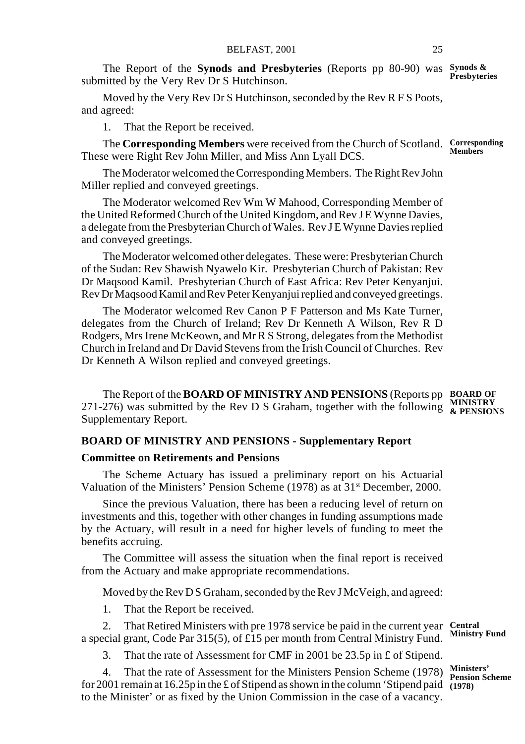The Report of the **Synods and Presbyteries** (Reports pp 80-90) was **Synods & Presbyteries** submitted by the Very Rev Dr S Hutchinson.

Moved by the Very Rev Dr S Hutchinson, seconded by the Rev R F S Poots, and agreed:

1. That the Report be received.

The **Corresponding Members** were received from the Church of Scotland. **Corresponding** These were Right Rev John Miller, and Miss Ann Lyall DCS. **Members**

The Moderator welcomed the Corresponding Members. The Right Rev John Miller replied and conveyed greetings.

The Moderator welcomed Rev Wm W Mahood, Corresponding Member of the United Reformed Church of the United Kingdom, and Rev J E Wynne Davies, a delegate from the Presbyterian Church of Wales. Rev J E Wynne Davies replied and conveyed greetings.

The Moderator welcomed other delegates. These were: Presbyterian Church of the Sudan: Rev Shawish Nyawelo Kir. Presbyterian Church of Pakistan: Rev Dr Maqsood Kamil. Presbyterian Church of East Africa: Rev Peter Kenyanjui. Rev Dr Maqsood Kamil and Rev Peter Kenyanjui replied and conveyed greetings.

The Moderator welcomed Rev Canon P F Patterson and Ms Kate Turner, delegates from the Church of Ireland; Rev Dr Kenneth A Wilson, Rev R D Rodgers, Mrs Irene McKeown, and Mr R S Strong, delegates from the Methodist Church in Ireland and Dr David Stevens from the Irish Council of Churches. Rev Dr Kenneth A Wilson replied and conveyed greetings.

The Report of the **BOARD OF MINISTRY AND PENSIONS** (Reports pp **BOARD OF** 271-276) was submitted by the Rev D S Graham, together with the following **& PENSIONS** Supplementary Report.

#### **BOARD OF MINISTRY AND PENSIONS - Supplementary Report**

#### **Committee on Retirements and Pensions**

The Scheme Actuary has issued a preliminary report on his Actuarial Valuation of the Ministers' Pension Scheme (1978) as at 31st December, 2000.

Since the previous Valuation, there has been a reducing level of return on investments and this, together with other changes in funding assumptions made by the Actuary, will result in a need for higher levels of funding to meet the benefits accruing.

The Committee will assess the situation when the final report is received from the Actuary and make appropriate recommendations.

Moved by the Rev D S Graham, seconded by the Rev J McVeigh, and agreed:

1. That the Report be received.

2. That Retired Ministers with pre 1978 service be paid in the current year **Central** a special grant, Code Par 315(5), of  $\hat{\pounds}$ 15 per month from Central Ministry Fund.

3. That the rate of Assessment for CMF in 2001 be 23.5p in £ of Stipend.

4. That the rate of Assessment for the Ministers Pension Scheme (1978) for 2001 remain at 16.25p in the £ of Stipend as shown in the column 'Stipend paid to the Minister' or as fixed by the Union Commission in the case of a vacancy. **Ministers' Pension Scheme (1978)**

**Ministry Fund**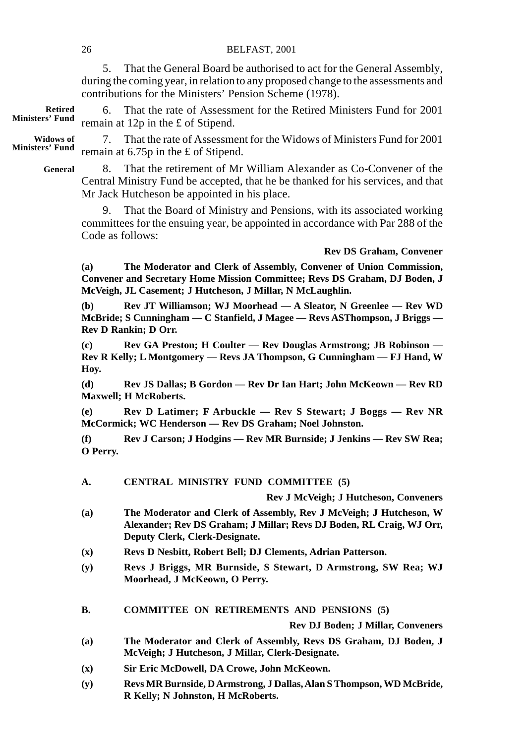| d                |                                     | remain at $12p$ in the £ of Stipend.                                                                                                                                                                    |
|------------------|-------------------------------------|---------------------------------------------------------------------------------------------------------------------------------------------------------------------------------------------------------|
| f<br>$\mathbf d$ | 7.                                  | That the rate of Assessment for the Widows of Ministers Fund for 20<br>remain at $6.75p$ in the £ of Stipend.                                                                                           |
| ı                | 8.                                  | That the retirement of Mr William Alexander as Co-Convener of<br>Central Ministry Fund be accepted, that he be thanked for his services, and t<br>Mr Jack Hutcheson be appointed in his place.          |
|                  | 9.<br>Code as follows:              | That the Board of Ministry and Pensions, with its associated work<br>committees for the ensuing year, be appointed in accordance with Par 288 of                                                        |
|                  |                                     | <b>Rev DS Graham, Conve</b>                                                                                                                                                                             |
|                  | (a)                                 | The Moderator and Clerk of Assembly, Convener of Union Commissi<br>Convener and Secretary Home Mission Committee; Revs DS Graham, DJ Bode<br>McVeigh, JL Casement; J Hutcheson, J Millar, N McLaughlin. |
|                  | (b)                                 | Rev JT Williamson; WJ Moorhead - A Sleator, N Greenlee - Rev V<br>McBride; S Cunningham — C Stanfield, J Magee — Revs ASThompson, J Briggs<br><b>Rev D Rankin; D Orr.</b>                               |
|                  | $\left( \mathbf{c} \right)$<br>Hoy. | Rev GA Preston; H Coulter - Rev Douglas Armstrong; JB Robinson<br>Rev R Kelly; L Montgomery — Revs JA Thompson, G Cunningham — FJ Hand                                                                  |
|                  | (d)                                 | Rev JS Dallas; B Gordon - Rev Dr Ian Hart; John McKeown - Rev<br><b>Maxwell</b> ; <b>H</b> McRoberts.                                                                                                   |
|                  | (e)                                 | Rev D Latimer; F Arbuckle - Rev S Stewart; J Boggs - Rev<br>McCormick; WC Henderson - Rev DS Graham; Noel Johnston.                                                                                     |
|                  | (f)<br>O Perry.                     | Rev J Carson; J Hodgins - Rev MR Burnside; J Jenkins - Rev SW R                                                                                                                                         |
|                  | A.                                  | CENTRAL MINISTRY FUND COMMITTEE (5)                                                                                                                                                                     |
|                  |                                     | Rev J McVeigh; J Hutcheson, Conver                                                                                                                                                                      |
|                  | (a)                                 | The Moderator and Clerk of Assembly, Rev J McVeigh; J Hutcheson.<br>Alexander; Rev DS Graham; J Millar; Revs DJ Boden, RL Craig, WJ (<br>Deputy Clerk, Clerk-Designate.                                 |
|                  | (x)                                 | Revs D Nesbitt, Robert Bell; DJ Clements, Adrian Patterson.                                                                                                                                             |
|                  | (y)                                 | Revs J Briggs, MR Burnside, S Stewart, D Armstrong, SW Rea;<br>Moorhead, J McKeown, O Perry.                                                                                                            |
|                  | В.                                  | <b>COMMITTEE ON RETIREMENTS AND PENSIONS (5)</b>                                                                                                                                                        |
|                  |                                     | Rev DJ Boden; J Millar, Conver                                                                                                                                                                          |
|                  | (a)                                 | The Moderator and Clerk of Assembly, Revs DS Graham, DJ Boder<br>McVeigh; J Hutcheson, J Millar, Clerk-Designate.                                                                                       |
|                  | (x)                                 | Sir Eric McDowell, DA Crowe, John McKeown.                                                                                                                                                              |
|                  | (y)                                 | Revs MR Burnside, D Armstrong, J Dallas, Alan S Thompson, WD McBr<br>R Kelly; N Johnston, H McRoberts.                                                                                                  |
|                  |                                     |                                                                                                                                                                                                         |
|                  |                                     |                                                                                                                                                                                                         |
|                  |                                     |                                                                                                                                                                                                         |

5. That the General Board be authorised to act for the General Assembly, during the coming year, in relation to any proposed change to the assessments and contributions for the Ministers' Pension Scheme (1978).

6. That the rate of Assessment for the Retired Ministers Fund for 2001 **Retired Ministers' Fund** 

7. That the rate of Assessment for the Widows of Ministers Fund for 2001 **Widows of Ministers' Fund** 

8. That the retirement of Mr William Alexander as Co-Convener of the Central Ministry Fund be accepted, that he be thanked for his services, and that **General**

**Rev DS Graham, Convener**

#### **Rev J McVeigh; J Hutcheson, Conveners**

- **(a) The Moderator and Clerk of Assembly, Rev J McVeigh; J Hutcheson, W Alexander; Rev DS Graham; J Millar; Revs DJ Boden, RL Craig, WJ Orr,**
- **(y) Revs J Briggs, MR Burnside, S Stewart, D Armstrong, SW Rea; WJ**

**Rev DJ Boden; J Millar, Conveners**

- **(a) The Moderator and Clerk of Assembly, Revs DS Graham, DJ Boden, J**
- **(y) Revs MR Burnside, D Armstrong, J Dallas, Alan S Thompson, WD McBride,**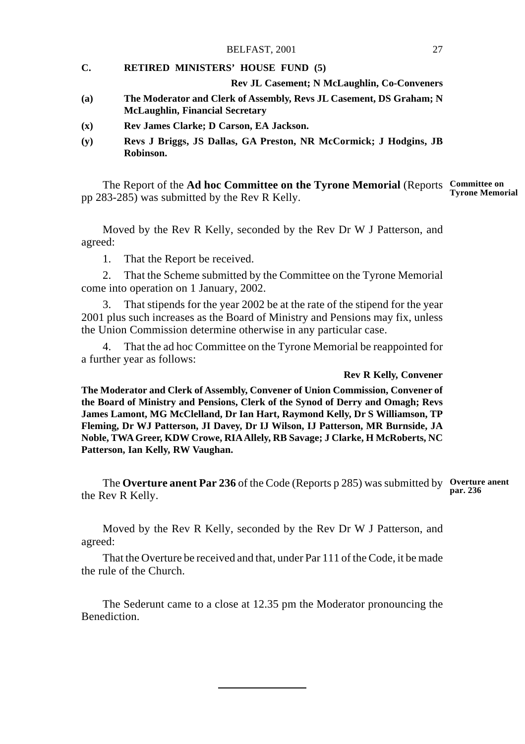#### **C. RETIRED MINISTERS' HOUSE FUND (5)**

#### **Rev JL Casement; N McLaughlin, Co-Conveners**

- **(a) The Moderator and Clerk of Assembly, Revs JL Casement, DS Graham; N McLaughlin, Financial Secretary**
- **(x) Rev James Clarke; D Carson, EA Jackson.**
- **(y) Revs J Briggs, JS Dallas, GA Preston, NR McCormick; J Hodgins, JB Robinson.**

The Report of the **Ad hoc Committee on the Tyrone Memorial** (Reports **Committee on** pp 283-285) was submitted by the Rev R Kelly. **Tyrone Memorial**

Moved by the Rev R Kelly, seconded by the Rev Dr W J Patterson, and agreed:

1. That the Report be received.

2. That the Scheme submitted by the Committee on the Tyrone Memorial come into operation on 1 January, 2002.

3. That stipends for the year 2002 be at the rate of the stipend for the year 2001 plus such increases as the Board of Ministry and Pensions may fix, unless the Union Commission determine otherwise in any particular case.

4. That the ad hoc Committee on the Tyrone Memorial be reappointed for a further year as follows:

#### **Rev R Kelly, Convener**

**The Moderator and Clerk of Assembly, Convener of Union Commission, Convener of the Board of Ministry and Pensions, Clerk of the Synod of Derry and Omagh; Revs James Lamont, MG McClelland, Dr Ian Hart, Raymond Kelly, Dr S Williamson, TP Fleming, Dr WJ Patterson, JI Davey, Dr IJ Wilson, IJ Patterson, MR Burnside, JA Noble, TWA Greer, KDW Crowe, RIA Allely, RB Savage; J Clarke, H McRoberts, NC Patterson, Ian Kelly, RW Vaughan.**

The **Overture anent Par 236** of the Code (Reports p 285) was submitted by **Overture anent** the Rev R Kelly. **par. 236**

Moved by the Rev R Kelly, seconded by the Rev Dr W J Patterson, and agreed:

That the Overture be received and that, under Par 111 of the Code, it be made the rule of the Church.

The Sederunt came to a close at 12.35 pm the Moderator pronouncing the Benediction.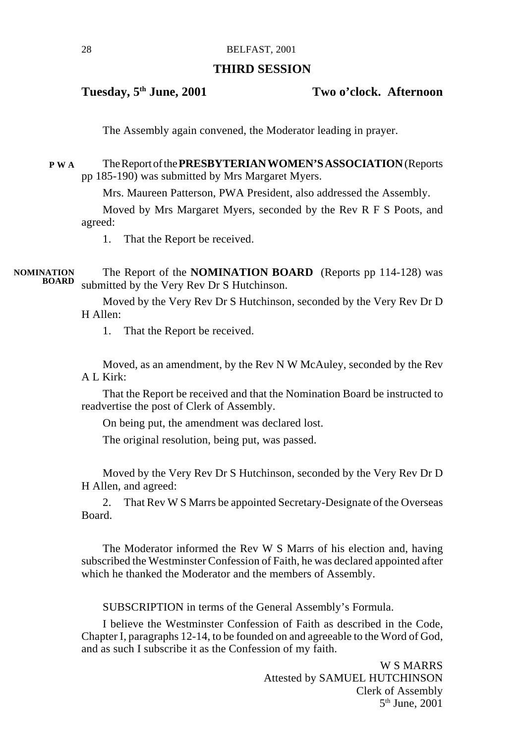# **THIRD SESSION**

**Tuesday, 5th June, 2001 Two o'clock. Afternoon**

The Assembly again convened, the Moderator leading in prayer.

The Report of the **PRESBYTERIAN WOMEN'S ASSOCIATION** (Reports pp 185-190) was submitted by Mrs Margaret Myers. **P W A**

Mrs. Maureen Patterson, PWA President, also addressed the Assembly.

Moved by Mrs Margaret Myers, seconded by the Rev R F S Poots, and agreed:

1. That the Report be received.

The Report of the **NOMINATION BOARD** (Reports pp 114-128) was submitted by the Very Rev Dr S Hutchinson. **BOARDNOMINATION**

> Moved by the Very Rev Dr S Hutchinson, seconded by the Very Rev Dr D H Allen:

1. That the Report be received.

Moved, as an amendment, by the Rev N W McAuley, seconded by the Rev A L Kirk:

That the Report be received and that the Nomination Board be instructed to readvertise the post of Clerk of Assembly.

On being put, the amendment was declared lost.

The original resolution, being put, was passed.

Moved by the Very Rev Dr S Hutchinson, seconded by the Very Rev Dr D H Allen, and agreed:

2. That Rev W S Marrs be appointed Secretary-Designate of the Overseas Board.

The Moderator informed the Rev W S Marrs of his election and, having subscribed the Westminster Confession of Faith, he was declared appointed after which he thanked the Moderator and the members of Assembly.

SUBSCRIPTION in terms of the General Assembly's Formula.

I believe the Westminster Confession of Faith as described in the Code, Chapter I, paragraphs 12-14, to be founded on and agreeable to the Word of God, and as such I subscribe it as the Confession of my faith.

> W S MARRS Attested by SAMUEL HUTCHINSON Clerk of Assembly 5th June, 2001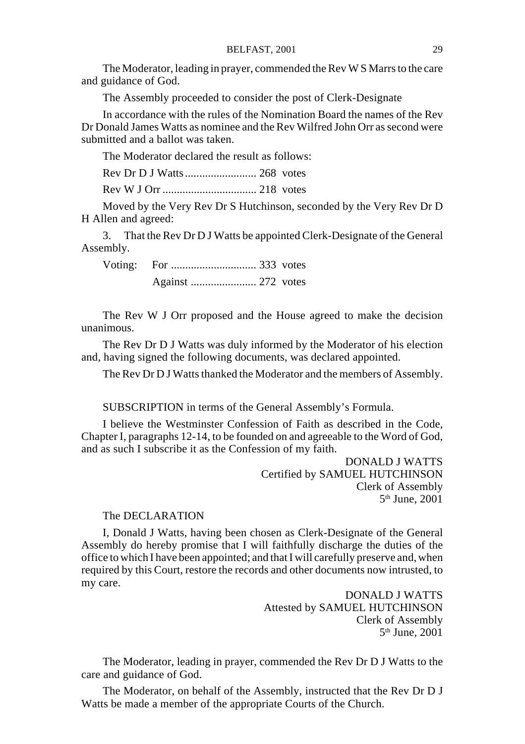The Moderator, leading in prayer, commended the Rev W S Marrs to the care and guidance of God.

The Assembly proceeded to consider the post of Clerk-Designate

In accordance with the rules of the Nomination Board the names of the Rev Dr Donald James Watts as nominee and the Rev Wilfred John Orr as second were submitted and a ballot was taken.

The Moderator declared the result as follows:

Rev Dr D J Watts ......................... 268 votes

Rev W J Orr ................................. 218 votes

Moved by the Very Rev Dr S Hutchinson, seconded by the Very Rev Dr D H Allen and agreed:

3. That the Rev Dr D J Watts be appointed Clerk-Designate of the General Assembly.

Voting: For .............................. 333 votes Against ....................... 272 votes

The Rev W J Orr proposed and the House agreed to make the decision unanimous.

The Rev Dr D J Watts was duly informed by the Moderator of his election and, having signed the following documents, was declared appointed.

The Rev Dr D J Watts thanked the Moderator and the members of Assembly.

SUBSCRIPTION in terms of the General Assembly's Formula.

I believe the Westminster Confession of Faith as described in the Code, Chapter I, paragraphs 12-14, to be founded on and agreeable to the Word of God, and as such I subscribe it as the Confession of my faith.

> DONALD J WATTS Certified by SAMUEL HUTCHINSON Clerk of Assembly  $5<sup>th</sup>$  June, 2001

#### The DECLARATION

I, Donald J Watts, having been chosen as Clerk-Designate of the General Assembly do hereby promise that I will faithfully discharge the duties of the office to which I have been appointed; and that I will carefully preserve and, when required by this Court, restore the records and other documents now intrusted, to my care.

> DONALD J WATTS Attested by SAMUEL HUTCHINSON Clerk of Assembly  $5<sup>th</sup>$  June, 2001

The Moderator, leading in prayer, commended the Rev Dr D J Watts to the care and guidance of God.

The Moderator, on behalf of the Assembly, instructed that the Rev Dr D J Watts be made a member of the appropriate Courts of the Church.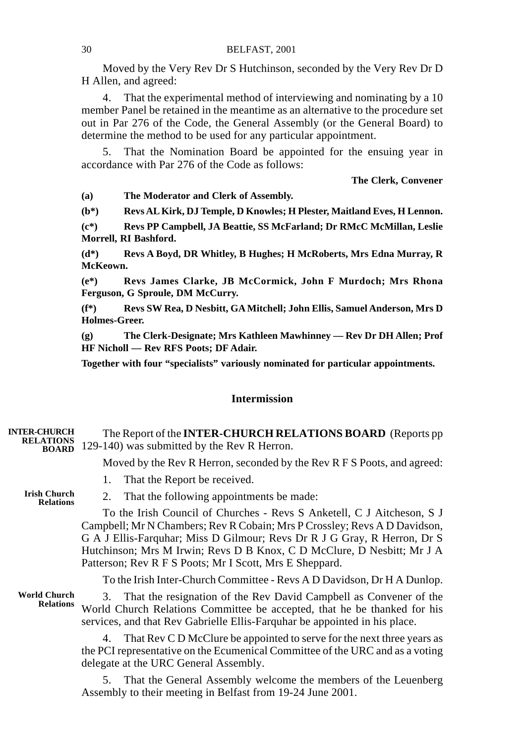Moved by the Very Rev Dr S Hutchinson, seconded by the Very Rev Dr D H Allen, and agreed:

4. That the experimental method of interviewing and nominating by a 10 member Panel be retained in the meantime as an alternative to the procedure set out in Par 276 of the Code, the General Assembly (or the General Board) to determine the method to be used for any particular appointment.

5. That the Nomination Board be appointed for the ensuing year in accordance with Par 276 of the Code as follows:

**The Clerk, Convener**

**(a) The Moderator and Clerk of Assembly.**

**(b\*) Revs AL Kirk, DJ Temple, D Knowles; H Plester, Maitland Eves, H Lennon.**

**(c\*) Revs PP Campbell, JA Beattie, SS McFarland; Dr RMcC McMillan, Leslie Morrell, RI Bashford.**

**(d\*) Revs A Boyd, DR Whitley, B Hughes; H McRoberts, Mrs Edna Murray, R McKeown.**

**(e\*) Revs James Clarke, JB McCormick, John F Murdoch; Mrs Rhona Ferguson, G Sproule, DM McCurry.**

**(f\*) Revs SW Rea, D Nesbitt, GA Mitchell; John Ellis, Samuel Anderson, Mrs D Holmes-Greer.**

**(g) The Clerk-Designate; Mrs Kathleen Mawhinney — Rev Dr DH Allen; Prof HF Nicholl — Rev RFS Poots; DF Adair.**

**Together with four "specialists" variously nominated for particular appointments.**

# **Intermission**

| <b>INTER-CHURCH</b><br><b>RELATIONS</b><br><b>BOARD</b> | The Report of the <b>INTER-CHURCH RELATIONS BOARD</b> (Reports pp)<br>129-140) was submitted by the Rev R Herron.                                                                                                                                                                                                                                                    |
|---------------------------------------------------------|----------------------------------------------------------------------------------------------------------------------------------------------------------------------------------------------------------------------------------------------------------------------------------------------------------------------------------------------------------------------|
|                                                         | Moved by the Rev R Herron, seconded by the Rev R F S Poots, and agreed:                                                                                                                                                                                                                                                                                              |
|                                                         | That the Report be received.<br>1.                                                                                                                                                                                                                                                                                                                                   |
| <b>Irish Church</b><br><b>Relations</b>                 | 2. That the following appointments be made:                                                                                                                                                                                                                                                                                                                          |
|                                                         | To the Irish Council of Churches - Revs S Anketell, C J Aitcheson, S J<br>Campbell; Mr N Chambers; Rev R Cobain; Mrs P Crossley; Revs A D Davidson,<br>G A J Ellis-Farquhar; Miss D Gilmour; Revs Dr R J G Gray, R Herron, Dr S<br>Hutchinson; Mrs M Irwin; Revs D B Knox, C D McClure, D Nesbitt; Mr J A<br>Patterson; Rev R F S Poots; Mr I Scott, Mrs E Sheppard. |
|                                                         | To the Irish Inter-Church Committee - Revs A D Davidson, Dr H A Dunlop.                                                                                                                                                                                                                                                                                              |
| <b>World Church</b><br><b>Relations</b>                 | 3. That the resignation of the Rev David Campbell as Convener of the<br>World Church Relations Committee be accepted, that he be thanked for his<br>services, and that Rev Gabrielle Ellis-Farquhar be appointed in his place.                                                                                                                                       |
|                                                         | 4. That Rev C D McClure be appointed to serve for the next three years as<br>the PCI representative on the Ecumenical Committee of the URC and as a voting<br>delegate at the URC General Assembly.                                                                                                                                                                  |
|                                                         | 5. That the General Assembly welcome the members of the Leuenberg<br>Assembly to their meeting in Belfast from 19-24 June 2001.                                                                                                                                                                                                                                      |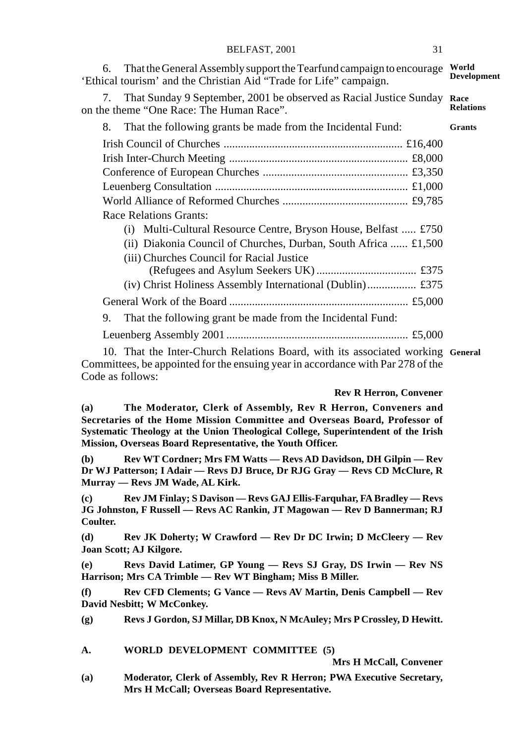6. That the General Assembly support the Tearfund campaign to encourage World 'Ethical tourism' and the Christian Aid "Trade for Life" campaign. 7. That Sunday 9 September, 2001 be observed as Racial Justice Sunday **Race** on the theme "One Race: The Human Race". 8. That the following grants be made from the Incidental Fund: Irish Council of Churches ............................................................... £16,400 Irish Inter-Church Meeting ............................................................... £8,000 Conference of European Churches ................................................... £3,350 Leuenberg Consultation .................................................................... £1,000 World Alliance of Reformed Churches ............................................ £9,785 Race Relations Grants: (i) Multi-Cultural Resource Centre, Bryson House, Belfast ..... £750 (ii) Diakonia Council of Churches, Durban, South Africa ...... £1,500 (iii) Churches Council for Racial Justice (Refugees and Asylum Seekers UK) ................................... £375 (iv) Christ Holiness Assembly International (Dublin)................. £375 General Work of the Board ............................................................... £5,000 9. That the following grant be made from the Incidental Fund: Leuenberg Assembly 2001 ................................................................ £5,000 **Development Relations Grants**

10. That the Inter-Church Relations Board, with its associated working **General**Committees, be appointed for the ensuing year in accordance with Par 278 of the Code as follows:

#### **Rev R Herron, Convener**

**(a) The Moderator, Clerk of Assembly, Rev R Herron, Conveners and Secretaries of the Home Mission Committee and Overseas Board, Professor of Systematic Theology at the Union Theological College, Superintendent of the Irish Mission, Overseas Board Representative, the Youth Officer.**

**(b) Rev WT Cordner; Mrs FM Watts — Revs AD Davidson, DH Gilpin — Rev Dr WJ Patterson; I Adair — Revs DJ Bruce, Dr RJG Gray — Revs CD McClure, R Murray — Revs JM Wade, AL Kirk.**

**(c) Rev JM Finlay; S Davison — Revs GAJ Ellis-Farquhar, FA Bradley — Revs JG Johnston, F Russell — Revs AC Rankin, JT Magowan — Rev D Bannerman; RJ Coulter.**

**(d) Rev JK Doherty; W Crawford — Rev Dr DC Irwin; D McCleery — Rev Joan Scott; AJ Kilgore.**

**(e) Revs David Latimer, GP Young — Revs SJ Gray, DS Irwin — Rev NS Harrison; Mrs CA Trimble — Rev WT Bingham; Miss B Miller.**

**(f) Rev CFD Clements; G Vance — Revs AV Martin, Denis Campbell — Rev David Nesbitt; W McConkey.**

**(g) Revs J Gordon, SJ Millar, DB Knox, N McAuley; Mrs P Crossley, D Hewitt.**

**A. WORLD DEVELOPMENT COMMITTEE (5)**

**Mrs H McCall, Convener**

**(a) Moderator, Clerk of Assembly, Rev R Herron; PWA Executive Secretary, Mrs H McCall; Overseas Board Representative.**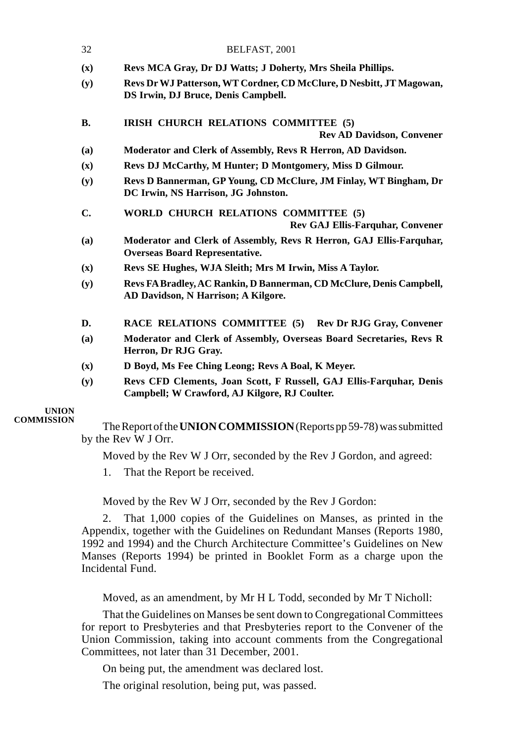| 32             | BELFAST, 2001                                                                                                        |
|----------------|----------------------------------------------------------------------------------------------------------------------|
| (x)            | Revs MCA Gray, Dr DJ Watts; J Doherty, Mrs Sheila Phillips.                                                          |
| (y)            | Revs Dr WJ Patterson, WT Cordner, CD McClure, D Nesbitt, JT Magowan,<br>DS Irwin, DJ Bruce, Denis Campbell.          |
| <b>B.</b>      | IRISH CHURCH RELATIONS COMMITTEE (5)<br><b>Rev AD Davidson, Convener</b>                                             |
| (a)            | Moderator and Clerk of Assembly, Revs R Herron, AD Davidson.                                                         |
| (x)            | Revs DJ McCarthy, M Hunter; D Montgomery, Miss D Gilmour.                                                            |
| (y)            | Revs D Bannerman, GP Young, CD McClure, JM Finlay, WT Bingham, Dr<br>DC Irwin, NS Harrison, JG Johnston.             |
| C.             | WORLD CHURCH RELATIONS COMMITTEE (5)<br>Rev GAJ Ellis-Farquhar, Convener                                             |
| (a)            | Moderator and Clerk of Assembly, Revs R Herron, GAJ Ellis-Farquhar,<br><b>Overseas Board Representative.</b>         |
| (x)            | Revs SE Hughes, WJA Sleith; Mrs M Irwin, Miss A Taylor.                                                              |
| (y)            | Revs FA Bradley, AC Rankin, D Bannerman, CD McClure, Denis Campbell,<br>AD Davidson, N Harrison; A Kilgore.          |
| D.             | RACE RELATIONS COMMITTEE (5) Rev Dr RJG Gray, Convener                                                               |
| (a)            | Moderator and Clerk of Assembly, Overseas Board Secretaries, Revs R<br>Herron, Dr RJG Gray.                          |
| $(\mathbf{x})$ | D Boyd, Ms Fee Ching Leong; Revs A Boal, K Meyer.                                                                    |
| (y)            | Revs CFD Clements, Joan Scott, F Russell, GAJ Ellis-Farquhar, Denis<br>Campbell; W Crawford, AJ Kilgore, RJ Coulter. |
|                |                                                                                                                      |

#### **UNION COMMISSION**

The Report of the **UNION COMMISSION** (Reports pp 59-78) was submitted by the Rev W J Orr.

Moved by the Rev W J Orr, seconded by the Rev J Gordon, and agreed:

1. That the Report be received.

Moved by the Rev W J Orr, seconded by the Rev J Gordon:

2. That 1,000 copies of the Guidelines on Manses, as printed in the Appendix, together with the Guidelines on Redundant Manses (Reports 1980, 1992 and 1994) and the Church Architecture Committee's Guidelines on New Manses (Reports 1994) be printed in Booklet Form as a charge upon the Incidental Fund.

Moved, as an amendment, by Mr H L Todd, seconded by Mr T Nicholl:

That the Guidelines on Manses be sent down to Congregational Committees for report to Presbyteries and that Presbyteries report to the Convener of the Union Commission, taking into account comments from the Congregational Committees, not later than 31 December, 2001.

On being put, the amendment was declared lost.

The original resolution, being put, was passed.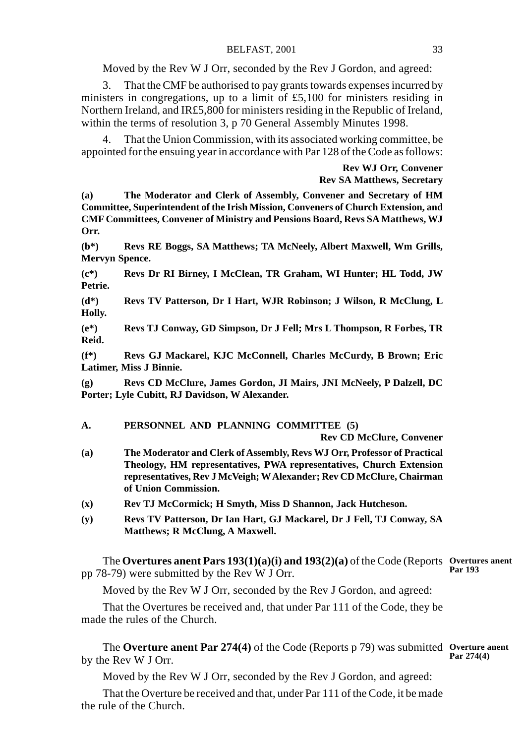Moved by the Rev W J Orr, seconded by the Rev J Gordon, and agreed:

3. That the CMF be authorised to pay grants towards expenses incurred by ministers in congregations, up to a limit of £5,100 for ministers residing in Northern Ireland, and IR£5,800 for ministers residing in the Republic of Ireland, within the terms of resolution 3, p 70 General Assembly Minutes 1998.

4. That the Union Commission, with its associated working committee, be appointed for the ensuing year in accordance with Par 128 of the Code as follows:

> **Rev WJ Orr, Convener Rev SA Matthews, Secretary**

**(a) The Moderator and Clerk of Assembly, Convener and Secretary of HM Committee, Superintendent of the Irish Mission, Conveners of Church Extension, and CMF Committees, Convener of Ministry and Pensions Board, Revs SA Matthews, WJ Orr.**

**(b\*) Revs RE Boggs, SA Matthews; TA McNeely, Albert Maxwell, Wm Grills, Mervyn Spence.**

**(c\*) Revs Dr RI Birney, I McClean, TR Graham, WI Hunter; HL Todd, JW Petrie.**

**(d\*) Revs TV Patterson, Dr I Hart, WJR Robinson; J Wilson, R McClung, L Holly.**

**(e\*) Revs TJ Conway, GD Simpson, Dr J Fell; Mrs L Thompson, R Forbes, TR Reid.**

**(f\*) Revs GJ Mackarel, KJC McConnell, Charles McCurdy, B Brown; Eric Latimer, Miss J Binnie.**

**(g) Revs CD McClure, James Gordon, JI Mairs, JNI McNeely, P Dalzell, DC Porter; Lyle Cubitt, RJ Davidson, W Alexander.**

#### **A. PERSONNEL AND PLANNING COMMITTEE (5)**

**Rev CD McClure, Convener**

- **(a) The Moderator and Clerk of Assembly, Revs WJ Orr, Professor of Practical Theology, HM representatives, PWA representatives, Church Extension representatives, Rev J McVeigh; W Alexander; Rev CD McClure, Chairman of Union Commission.**
- **(x) Rev TJ McCormick; H Smyth, Miss D Shannon, Jack Hutcheson.**
- **(y) Revs TV Patterson, Dr Ian Hart, GJ Mackarel, Dr J Fell, TJ Conway, SA Matthews; R McClung, A Maxwell.**

The **Overtures anent Pars 193(1)(a)(i) and 193(2)(a)** of the Code (Reports **Overtures anent** pp 78-79) were submitted by the Rev W J Orr. **Par 193**

Moved by the Rev W J Orr, seconded by the Rev J Gordon, and agreed:

That the Overtures be received and, that under Par 111 of the Code, they be made the rules of the Church.

The **Overture anent Par 274(4)** of the Code (Reports p 79) was submitted **Overture anent** by the Rev W J Orr. **Par 274(4)**

Moved by the Rev W J Orr, seconded by the Rev J Gordon, and agreed:

That the Overture be received and that, under Par 111 of the Code, it be made the rule of the Church.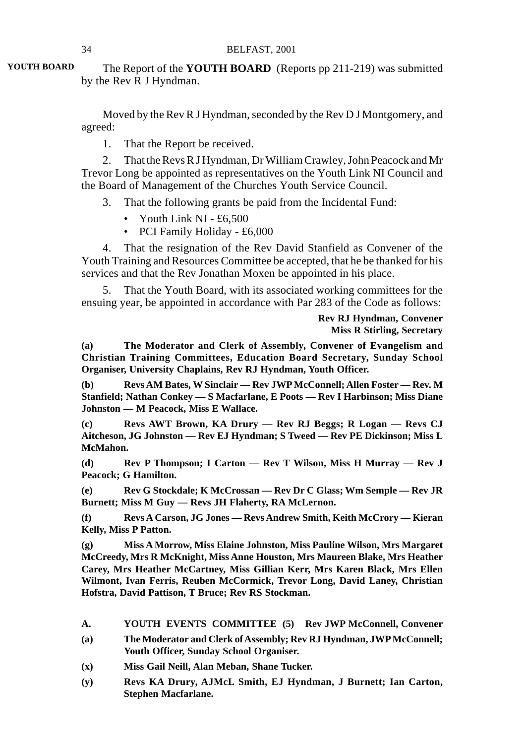The Report of the **YOUTH BOARD** (Reports pp 211-219) was submitted by the Rev R J Hyndman. **YOUTH BOARD**

> Moved by the Rev R J Hyndman, seconded by the Rev D J Montgomery, and agreed:

1. That the Report be received.

2. That the Revs R J Hyndman, Dr William Crawley, John Peacock and Mr Trevor Long be appointed as representatives on the Youth Link NI Council and the Board of Management of the Churches Youth Service Council.

3. That the following grants be paid from the Incidental Fund:

- Youth Link NI £6,500
- PCI Family Holiday £6,000

4. That the resignation of the Rev David Stanfield as Convener of the Youth Training and Resources Committee be accepted, that he be thanked for his services and that the Rev Jonathan Moxen be appointed in his place.

5. That the Youth Board, with its associated working committees for the ensuing year, be appointed in accordance with Par 283 of the Code as follows:

> **Rev RJ Hyndman, Convener Miss R Stirling, Secretary**

**(a) The Moderator and Clerk of Assembly, Convener of Evangelism and Christian Training Committees, Education Board Secretary, Sunday School Organiser, University Chaplains, Rev RJ Hyndman, Youth Officer.**

**(b) Revs AM Bates, W Sinclair — Rev JWP McConnell; Allen Foster — Rev. M Stanfield; Nathan Conkey — S Macfarlane, E Poots — Rev I Harbinson; Miss Diane Johnston — M Peacock, Miss E Wallace.**

**(c) Revs AWT Brown, KA Drury — Rev RJ Beggs; R Logan — Revs CJ Aitcheson, JG Johnston — Rev EJ Hyndman; S Tweed — Rev PE Dickinson; Miss L McMahon.**

**(d) Rev P Thompson; I Carton — Rev T Wilson, Miss H Murray — Rev J Peacock; G Hamilton.**

**(e) Rev G Stockdale; K McCrossan — Rev Dr C Glass; Wm Semple — Rev JR Burnett; Miss M Guy — Revs JH Flaherty, RA McLernon.**

**(f) Revs A Carson, JG Jones — Revs Andrew Smith, Keith McCrory — Kieran Kelly, Miss P Patton.**

**(g) Miss A Morrow, Miss Elaine Johnston, Miss Pauline Wilson, Mrs Margaret McCreedy, Mrs R McKnight, Miss Anne Houston, Mrs Maureen Blake, Mrs Heather Carey, Mrs Heather McCartney, Miss Gillian Kerr, Mrs Karen Black, Mrs Ellen Wilmont, Ivan Ferris, Reuben McCormick, Trevor Long, David Laney, Christian Hofstra, David Pattison, T Bruce; Rev RS Stockman.**

- **A. YOUTH EVENTS COMMITTEE (5) Rev JWP McConnell, Convener**
- **(a) The Moderator and Clerk of Assembly; Rev RJ Hyndman, JWP McConnell; Youth Officer, Sunday School Organiser.**
- **(x) Miss Gail Neill, Alan Meban, Shane Tucker.**
- **(y) Revs KA Drury, AJMcL Smith, EJ Hyndman, J Burnett; Ian Carton, Stephen Macfarlane.**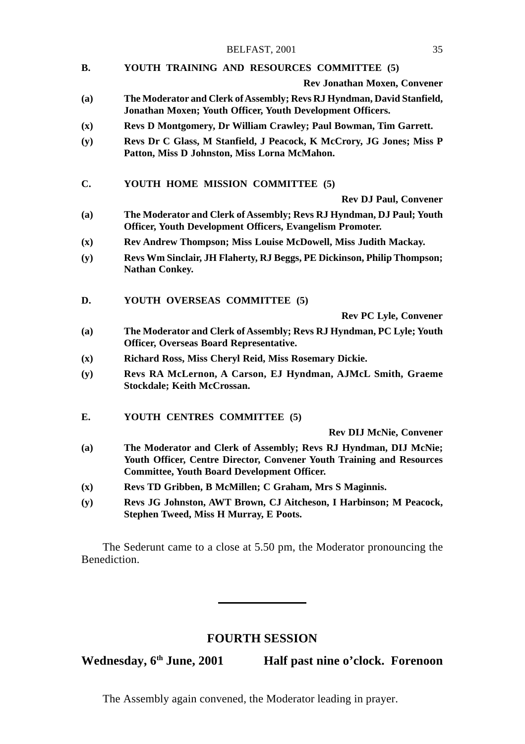#### **B. YOUTH TRAINING AND RESOURCES COMMITTEE (5)**

**Rev Jonathan Moxen, Convener**

- **(a) The Moderator and Clerk of Assembly; Revs RJ Hyndman, David Stanfield, Jonathan Moxen; Youth Officer, Youth Development Officers.**
- **(x) Revs D Montgomery, Dr William Crawley; Paul Bowman, Tim Garrett.**
- **(y) Revs Dr C Glass, M Stanfield, J Peacock, K McCrory, JG Jones; Miss P Patton, Miss D Johnston, Miss Lorna McMahon.**
- **C. YOUTH HOME MISSION COMMITTEE (5)**

**Rev DJ Paul, Convener**

- **(a) The Moderator and Clerk of Assembly; Revs RJ Hyndman, DJ Paul; Youth Officer, Youth Development Officers, Evangelism Promoter.**
- **(x) Rev Andrew Thompson; Miss Louise McDowell, Miss Judith Mackay.**
- **(y) Revs Wm Sinclair, JH Flaherty, RJ Beggs, PE Dickinson, Philip Thompson; Nathan Conkey.**
- **D. YOUTH OVERSEAS COMMITTEE (5)**

**Rev PC Lyle, Convener**

- **(a) The Moderator and Clerk of Assembly; Revs RJ Hyndman, PC Lyle; Youth Officer, Overseas Board Representative.**
- **(x) Richard Ross, Miss Cheryl Reid, Miss Rosemary Dickie.**
- **(y) Revs RA McLernon, A Carson, EJ Hyndman, AJMcL Smith, Graeme Stockdale; Keith McCrossan.**
- **E. YOUTH CENTRES COMMITTEE (5)**

**Rev DIJ McNie, Convener**

- **(a) The Moderator and Clerk of Assembly; Revs RJ Hyndman, DIJ McNie; Youth Officer, Centre Director, Convener Youth Training and Resources Committee, Youth Board Development Officer.**
- **(x) Revs TD Gribben, B McMillen; C Graham, Mrs S Maginnis.**
- **(y) Revs JG Johnston, AWT Brown, CJ Aitcheson, I Harbinson; M Peacock, Stephen Tweed, Miss H Murray, E Poots.**

The Sederunt came to a close at 5.50 pm, the Moderator pronouncing the Benediction.

# **FOURTH SESSION**

Wednesday, 6<sup>th</sup> June, 2001 **Half past nine o'clock. Forenoon** 

The Assembly again convened, the Moderator leading in prayer.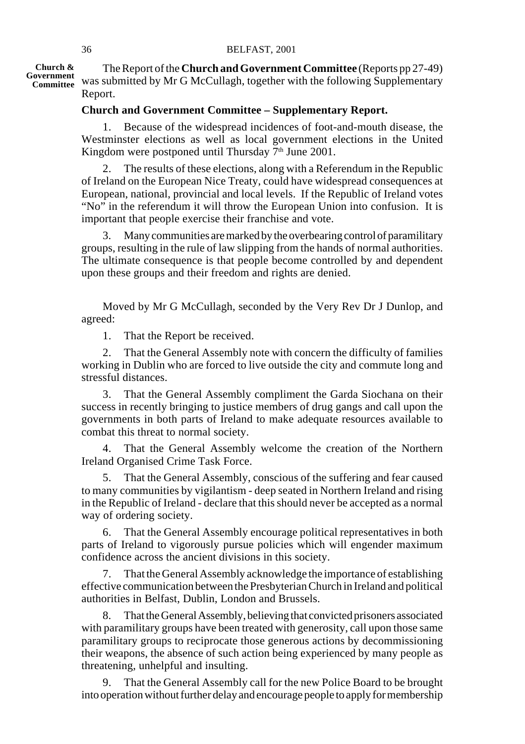**Church & Government Committee** The Report of the **Church and Government Committee** (Reports pp 27-49) was submitted by Mr G McCullagh, together with the following Supplementary Report.

# **Church and Government Committee – Supplementary Report.**

1. Because of the widespread incidences of foot-and-mouth disease, the Westminster elections as well as local government elections in the United Kingdom were postponed until Thursday  $7<sup>th</sup>$  June 2001.

2. The results of these elections, along with a Referendum in the Republic of Ireland on the European Nice Treaty, could have widespread consequences at European, national, provincial and local levels. If the Republic of Ireland votes "No" in the referendum it will throw the European Union into confusion. It is important that people exercise their franchise and vote.

3. Many communities are marked by the overbearing control of paramilitary groups, resulting in the rule of law slipping from the hands of normal authorities. The ultimate consequence is that people become controlled by and dependent upon these groups and their freedom and rights are denied.

Moved by Mr G McCullagh, seconded by the Very Rev Dr J Dunlop, and agreed:

1. That the Report be received.

2. That the General Assembly note with concern the difficulty of families working in Dublin who are forced to live outside the city and commute long and stressful distances.

3. That the General Assembly compliment the Garda Siochana on their success in recently bringing to justice members of drug gangs and call upon the governments in both parts of Ireland to make adequate resources available to combat this threat to normal society.

4. That the General Assembly welcome the creation of the Northern Ireland Organised Crime Task Force.

5. That the General Assembly, conscious of the suffering and fear caused to many communities by vigilantism - deep seated in Northern Ireland and rising in the Republic of Ireland - declare that this should never be accepted as a normal way of ordering society.

6. That the General Assembly encourage political representatives in both parts of Ireland to vigorously pursue policies which will engender maximum confidence across the ancient divisions in this society.

7. That the General Assembly acknowledge the importance of establishing effective communication between the Presbyterian Church in Ireland and political authorities in Belfast, Dublin, London and Brussels.

8. That the General Assembly, believing that convicted prisoners associated with paramilitary groups have been treated with generosity, call upon those same paramilitary groups to reciprocate those generous actions by decommissioning their weapons, the absence of such action being experienced by many people as threatening, unhelpful and insulting.

9. That the General Assembly call for the new Police Board to be brought into operation without further delay and encourage people to apply for membership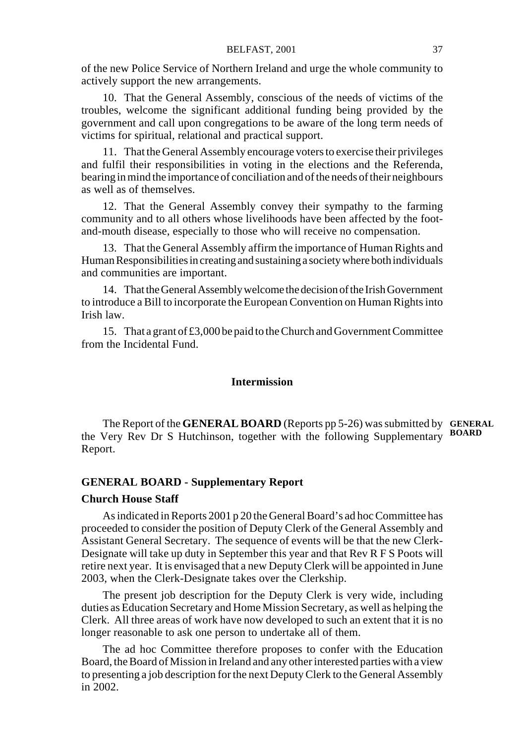of the new Police Service of Northern Ireland and urge the whole community to actively support the new arrangements.

10. That the General Assembly, conscious of the needs of victims of the troubles, welcome the significant additional funding being provided by the government and call upon congregations to be aware of the long term needs of victims for spiritual, relational and practical support.

11. That the General Assembly encourage voters to exercise their privileges and fulfil their responsibilities in voting in the elections and the Referenda, bearing in mind the importance of conciliation and of the needs of their neighbours as well as of themselves.

12. That the General Assembly convey their sympathy to the farming community and to all others whose livelihoods have been affected by the footand-mouth disease, especially to those who will receive no compensation.

13. That the General Assembly affirm the importance of Human Rights and Human Responsibilities in creating and sustaining a society where both individuals and communities are important.

14. That the General Assembly welcome the decision of the Irish Government to introduce a Bill to incorporate the European Convention on Human Rights into Irish law.

15. That a grant of £3,000 be paid to the Church and Government Committee from the Incidental Fund.

## **Intermission**

The Report of the **GENERAL BOARD** (Reports pp 5-26) was submitted by **GENERAL** the Very Rev Dr S Hutchinson, together with the following Supplementary **BOARD**Report.

## **GENERAL BOARD - Supplementary Report**

## **Church House Staff**

As indicated in Reports 2001 p 20 the General Board's ad hoc Committee has proceeded to consider the position of Deputy Clerk of the General Assembly and Assistant General Secretary. The sequence of events will be that the new Clerk-Designate will take up duty in September this year and that Rev R F S Poots will retire next year. It is envisaged that a new Deputy Clerk will be appointed in June 2003, when the Clerk-Designate takes over the Clerkship.

The present job description for the Deputy Clerk is very wide, including duties as Education Secretary and Home Mission Secretary, as well as helping the Clerk. All three areas of work have now developed to such an extent that it is no longer reasonable to ask one person to undertake all of them.

The ad hoc Committee therefore proposes to confer with the Education Board, the Board of Mission in Ireland and any other interested parties with a view to presenting a job description for the next Deputy Clerk to the General Assembly in 2002.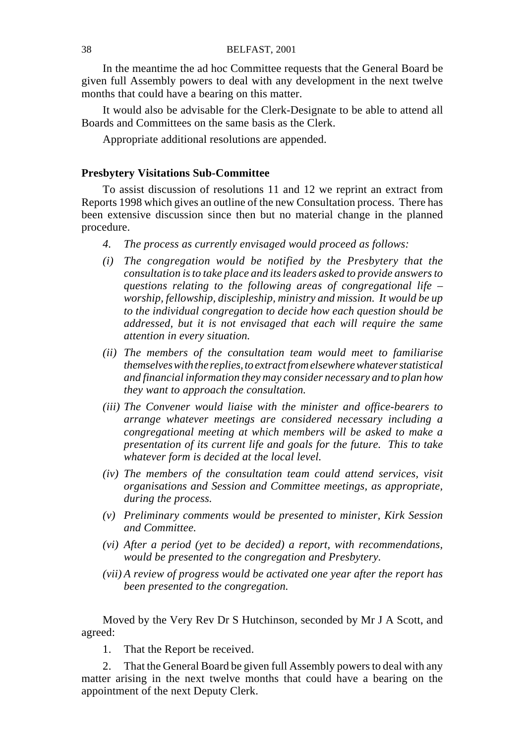In the meantime the ad hoc Committee requests that the General Board be given full Assembly powers to deal with any development in the next twelve months that could have a bearing on this matter.

It would also be advisable for the Clerk-Designate to be able to attend all Boards and Committees on the same basis as the Clerk.

Appropriate additional resolutions are appended.

## **Presbytery Visitations Sub-Committee**

To assist discussion of resolutions 11 and 12 we reprint an extract from Reports 1998 which gives an outline of the new Consultation process. There has been extensive discussion since then but no material change in the planned procedure.

- *4. The process as currently envisaged would proceed as follows:*
- *(i) The congregation would be notified by the Presbytery that the consultation is to take place and its leaders asked to provide answers to questions relating to the following areas of congregational life – worship, fellowship, discipleship, ministry and mission. It would be up to the individual congregation to decide how each question should be addressed, but it is not envisaged that each will require the same attention in every situation.*
- *(ii) The members of the consultation team would meet to familiarise themselves with the replies, to extract from elsewhere whatever statistical and financial information they may consider necessary and to plan how they want to approach the consultation.*
- *(iii) The Convener would liaise with the minister and office-bearers to arrange whatever meetings are considered necessary including a congregational meeting at which members will be asked to make a presentation of its current life and goals for the future. This to take whatever form is decided at the local level.*
- *(iv) The members of the consultation team could attend services, visit organisations and Session and Committee meetings, as appropriate, during the process.*
- *(v) Preliminary comments would be presented to minister, Kirk Session and Committee.*
- *(vi) After a period (yet to be decided) a report, with recommendations, would be presented to the congregation and Presbytery.*
- *(vii) A review of progress would be activated one year after the report has been presented to the congregation.*

Moved by the Very Rev Dr S Hutchinson, seconded by Mr J A Scott, and agreed:

1. That the Report be received.

2. That the General Board be given full Assembly powers to deal with any matter arising in the next twelve months that could have a bearing on the appointment of the next Deputy Clerk.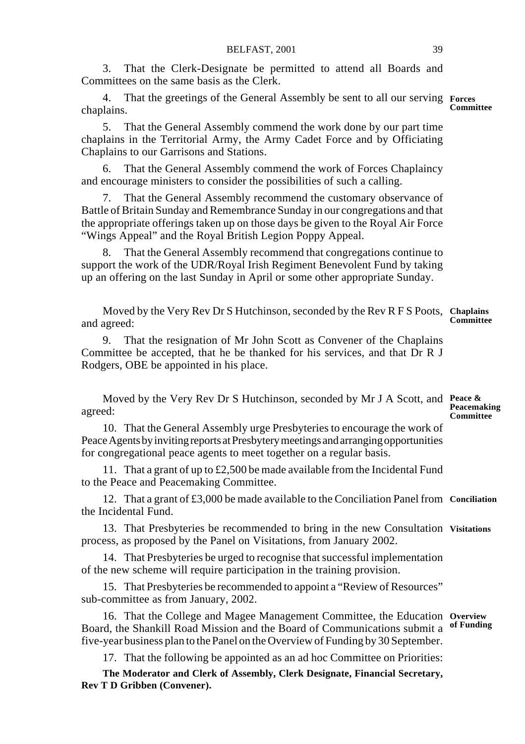3. That the Clerk-Designate be permitted to attend all Boards and Committees on the same basis as the Clerk.

4. That the greetings of the General Assembly be sent to all our serving **Forces** chaplains. **Committee**

5. That the General Assembly commend the work done by our part time chaplains in the Territorial Army, the Army Cadet Force and by Officiating Chaplains to our Garrisons and Stations.

6. That the General Assembly commend the work of Forces Chaplaincy and encourage ministers to consider the possibilities of such a calling.

7. That the General Assembly recommend the customary observance of Battle of Britain Sunday and Remembrance Sunday in our congregations and that the appropriate offerings taken up on those days be given to the Royal Air Force "Wings Appeal" and the Royal British Legion Poppy Appeal.

That the General Assembly recommend that congregations continue to support the work of the UDR/Royal Irish Regiment Benevolent Fund by taking up an offering on the last Sunday in April or some other appropriate Sunday.

Moved by the Very Rev Dr S Hutchinson, seconded by the Rev R F S Poots, **Chaplains** and agreed: **Committee**

9. That the resignation of Mr John Scott as Convener of the Chaplains Committee be accepted, that he be thanked for his services, and that Dr R J Rodgers, OBE be appointed in his place.

Moved by the Very Rev Dr S Hutchinson, seconded by Mr J A Scott, and **Peace &** agreed: **Peacemaking Committee**

10. That the General Assembly urge Presbyteries to encourage the work of Peace Agents by inviting reports at Presbytery meetings and arranging opportunities for congregational peace agents to meet together on a regular basis.

11. That a grant of up to £2,500 be made available from the Incidental Fund to the Peace and Peacemaking Committee.

12. That a grant of £3,000 be made available to the Conciliation Panel from **Conciliation** the Incidental Fund.

13. That Presbyteries be recommended to bring in the new Consultation Visitations process, as proposed by the Panel on Visitations, from January 2002.

14. That Presbyteries be urged to recognise that successful implementation of the new scheme will require participation in the training provision.

15. That Presbyteries be recommended to appoint a "Review of Resources" sub-committee as from January, 2002.

16. That the College and Magee Management Committee, the Education **Overview** Board, the Shankill Road Mission and the Board of Communications submit a **of Funding**five-year business plan to the Panel on the Overview of Funding by 30 September.

17. That the following be appointed as an ad hoc Committee on Priorities:

**The Moderator and Clerk of Assembly, Clerk Designate, Financial Secretary, Rev T D Gribben (Convener).**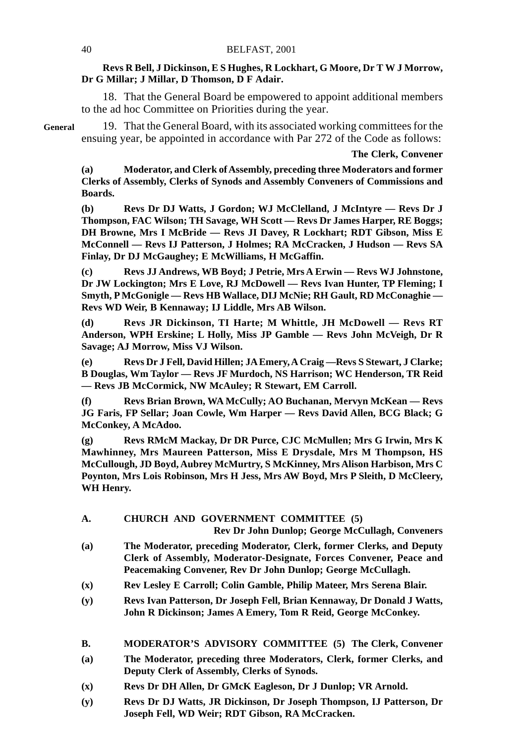## **Revs R Bell, J Dickinson, E S Hughes, R Lockhart, G Moore, Dr T W J Morrow, Dr G Millar; J Millar, D Thomson, D F Adair.**

18. That the General Board be empowered to appoint additional members to the ad hoc Committee on Priorities during the year.

19. That the General Board, with its associated working committees for the ensuing year, be appointed in accordance with Par 272 of the Code as follows:

#### **The Clerk, Convener**

**(a) Moderator, and Clerk of Assembly, preceding three Moderators and former Clerks of Assembly, Clerks of Synods and Assembly Conveners of Commissions and Boards.**

**(b) Revs Dr DJ Watts, J Gordon; WJ McClelland, J McIntyre — Revs Dr J Thompson, FAC Wilson; TH Savage, WH Scott — Revs Dr James Harper, RE Boggs; DH Browne, Mrs I McBride — Revs JI Davey, R Lockhart; RDT Gibson, Miss E McConnell — Revs IJ Patterson, J Holmes; RA McCracken, J Hudson — Revs SA Finlay, Dr DJ McGaughey; E McWilliams, H McGaffin.**

**(c) Revs JJ Andrews, WB Boyd; J Petrie, Mrs A Erwin — Revs WJ Johnstone, Dr JW Lockington; Mrs E Love, RJ McDowell — Revs Ivan Hunter, TP Fleming; I Smyth, P McGonigle — Revs HB Wallace, DIJ McNie; RH Gault, RD McConaghie — Revs WD Weir, B Kennaway; IJ Liddle, Mrs AB Wilson.**

**(d) Revs JR Dickinson, TI Harte; M Whittle, JH McDowell — Revs RT Anderson, WPH Erskine; L Holly, Miss JP Gamble — Revs John McVeigh, Dr R Savage; AJ Morrow, Miss VJ Wilson.**

**(e) Revs Dr J Fell, David Hillen; JA Emery, A Craig —Revs S Stewart, J Clarke; B Douglas, Wm Taylor — Revs JF Murdoch, NS Harrison; WC Henderson, TR Reid — Revs JB McCormick, NW McAuley; R Stewart, EM Carroll.**

**(f) Revs Brian Brown, WA McCully; AO Buchanan, Mervyn McKean — Revs JG Faris, FP Sellar; Joan Cowle, Wm Harper — Revs David Allen, BCG Black; G McConkey, A McAdoo.**

**(g) Revs RMcM Mackay, Dr DR Purce, CJC McMullen; Mrs G Irwin, Mrs K Mawhinney, Mrs Maureen Patterson, Miss E Drysdale, Mrs M Thompson, HS McCullough, JD Boyd, Aubrey McMurtry, S McKinney, Mrs Alison Harbison, Mrs C Poynton, Mrs Lois Robinson, Mrs H Jess, Mrs AW Boyd, Mrs P Sleith, D McCleery, WH Henry.**

## **A. CHURCH AND GOVERNMENT COMMITTEE (5)**

**Rev Dr John Dunlop; George McCullagh, Conveners**

- **(a) The Moderator, preceding Moderator, Clerk, former Clerks, and Deputy Clerk of Assembly, Moderator-Designate, Forces Convener, Peace and Peacemaking Convener, Rev Dr John Dunlop; George McCullagh.**
- **(x) Rev Lesley E Carroll; Colin Gamble, Philip Mateer, Mrs Serena Blair.**
- **(y) Revs Ivan Patterson, Dr Joseph Fell, Brian Kennaway, Dr Donald J Watts, John R Dickinson; James A Emery, Tom R Reid, George McConkey.**
- **B. MODERATOR'S ADVISORY COMMITTEE (5) The Clerk, Convener**
- **(a) The Moderator, preceding three Moderators, Clerk, former Clerks, and Deputy Clerk of Assembly, Clerks of Synods.**
- **(x) Revs Dr DH Allen, Dr GMcK Eagleson, Dr J Dunlop; VR Arnold.**
- **(y) Revs Dr DJ Watts, JR Dickinson, Dr Joseph Thompson, IJ Patterson, Dr Joseph Fell, WD Weir; RDT Gibson, RA McCracken.**

**General**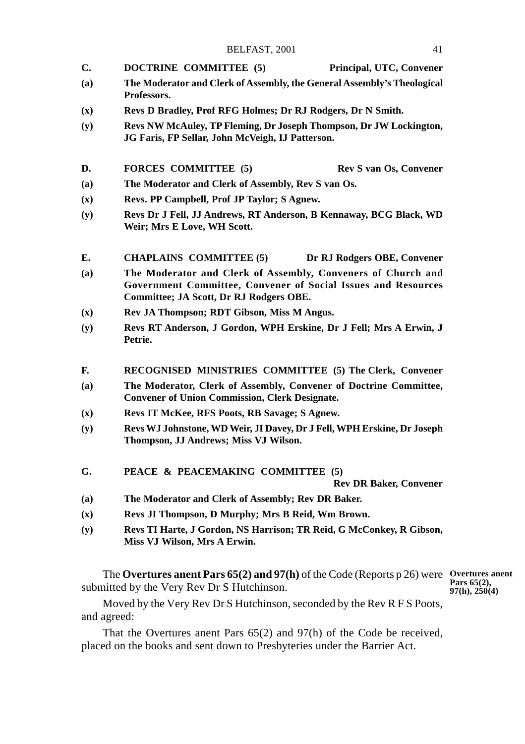- **C. DOCTRINE COMMITTEE (5) Principal, UTC, Convener**
- **(a) The Moderator and Clerk of Assembly, the General Assembly's Theological Professors.**
- **(x) Revs D Bradley, Prof RFG Holmes; Dr RJ Rodgers, Dr N Smith.**
- **(y) Revs NW McAuley, TP Fleming, Dr Joseph Thompson, Dr JW Lockington, JG Faris, FP Sellar, John McVeigh, IJ Patterson.**
- **D.** FORCES COMMITTEE (5) Rev S van Os, Convener
- **(a) The Moderator and Clerk of Assembly, Rev S van Os.**
- **(x) Revs. PP Campbell, Prof JP Taylor; S Agnew.**
- **(y) Revs Dr J Fell, JJ Andrews, RT Anderson, B Kennaway, BCG Black, WD Weir; Mrs E Love, WH Scott.**
- **E. CHAPLAINS COMMITTEE (5) Dr RJ Rodgers OBE, Convener**
- **(a) The Moderator and Clerk of Assembly, Conveners of Church and Government Committee, Convener of Social Issues and Resources Committee; JA Scott, Dr RJ Rodgers OBE.**
- **(x) Rev JA Thompson; RDT Gibson, Miss M Angus.**
- **(y) Revs RT Anderson, J Gordon, WPH Erskine, Dr J Fell; Mrs A Erwin, J Petrie.**
- **F. RECOGNISED MINISTRIES COMMITTEE (5) The Clerk, Convener**
- **(a) The Moderator, Clerk of Assembly, Convener of Doctrine Committee, Convener of Union Commission, Clerk Designate.**
- **(x) Revs IT McKee, RFS Poots, RB Savage; S Agnew.**
- **(y) Revs WJ Johnstone, WD Weir, JI Davey, Dr J Fell, WPH Erskine, Dr Joseph Thompson, JJ Andrews; Miss VJ Wilson.**
- **G. PEACE & PEACEMAKING COMMITTEE (5)**

**Rev DR Baker, Convener**

- **(a) The Moderator and Clerk of Assembly; Rev DR Baker.**
- **(x) Revs JI Thompson, D Murphy; Mrs B Reid, Wm Brown.**
- **(y) Revs TI Harte, J Gordon, NS Harrison; TR Reid, G McConkey, R Gibson, Miss VJ Wilson, Mrs A Erwin.**

The **Overtures anent Pars 65(2) and 97(h)** of the Code (Reports p 26) were **Overtures anent** submitted by the Very Rev Dr S Hutchinson. **Pars 65(2), 97(h), 250(4)**

Moved by the Very Rev Dr S Hutchinson, seconded by the Rev R F S Poots, and agreed:

That the Overtures anent Pars 65(2) and 97(h) of the Code be received, placed on the books and sent down to Presbyteries under the Barrier Act.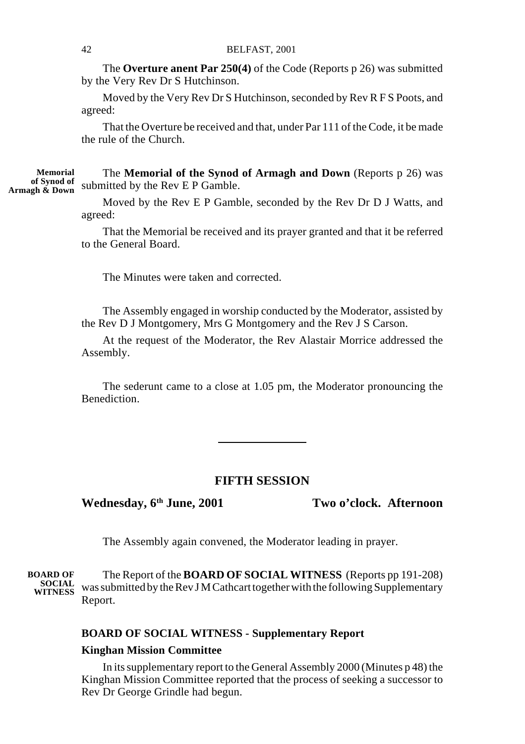The **Overture anent Par 250(4)** of the Code (Reports p 26) was submitted by the Very Rev Dr S Hutchinson.

Moved by the Very Rev Dr S Hutchinson, seconded by Rev R F S Poots, and agreed:

That the Overture be received and that, under Par 111 of the Code, it be made the rule of the Church.

The **Memorial of the Synod of Armagh and Down** (Reports p 26) was of Synod of submitted by the Rev E P Gamble. **Memorial**

> Moved by the Rev E P Gamble, seconded by the Rev Dr D J Watts, and agreed:

That the Memorial be received and its prayer granted and that it be referred to the General Board.

The Minutes were taken and corrected.

The Assembly engaged in worship conducted by the Moderator, assisted by the Rev D J Montgomery, Mrs G Montgomery and the Rev J S Carson.

At the request of the Moderator, the Rev Alastair Morrice addressed the Assembly.

The sederunt came to a close at 1.05 pm, the Moderator pronouncing the Benediction.

## **FIFTH SESSION**

Wednesday, 6<sup>th</sup> June, 2001 Two o'clock. Afternoon

The Assembly again convened, the Moderator leading in prayer.

The Report of the **BOARD OF SOCIAL WITNESS** (Reports pp 191-208) SOCIAL was submitted by the Rev J M Cathcart together with the following Supplementary Report. **BOARD OF**

### **BOARD OF SOCIAL WITNESS - Supplementary Report**

## **Kinghan Mission Committee**

In its supplementary report to the General Assembly 2000 (Minutes p 48) the Kinghan Mission Committee reported that the process of seeking a successor to Rev Dr George Grindle had begun.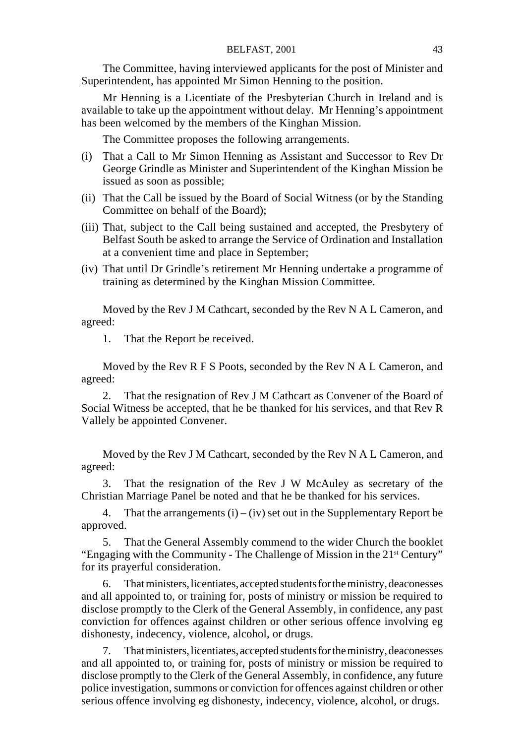The Committee, having interviewed applicants for the post of Minister and Superintendent, has appointed Mr Simon Henning to the position.

Mr Henning is a Licentiate of the Presbyterian Church in Ireland and is available to take up the appointment without delay. Mr Henning's appointment has been welcomed by the members of the Kinghan Mission.

The Committee proposes the following arrangements.

- (i) That a Call to Mr Simon Henning as Assistant and Successor to Rev Dr George Grindle as Minister and Superintendent of the Kinghan Mission be issued as soon as possible;
- (ii) That the Call be issued by the Board of Social Witness (or by the Standing Committee on behalf of the Board);
- (iii) That, subject to the Call being sustained and accepted, the Presbytery of Belfast South be asked to arrange the Service of Ordination and Installation at a convenient time and place in September;
- (iv) That until Dr Grindle's retirement Mr Henning undertake a programme of training as determined by the Kinghan Mission Committee.

Moved by the Rev J M Cathcart, seconded by the Rev N A L Cameron, and agreed:

1. That the Report be received.

Moved by the Rev R F S Poots, seconded by the Rev N A L Cameron, and agreed:

2. That the resignation of Rev J M Cathcart as Convener of the Board of Social Witness be accepted, that he be thanked for his services, and that Rev R Vallely be appointed Convener.

Moved by the Rev J M Cathcart, seconded by the Rev N A L Cameron, and agreed:

3. That the resignation of the Rev J W McAuley as secretary of the Christian Marriage Panel be noted and that he be thanked for his services.

4. That the arrangements  $(i) - (iv)$  set out in the Supplementary Report be approved.

5. That the General Assembly commend to the wider Church the booklet "Engaging with the Community - The Challenge of Mission in the 21<sup>st</sup> Century" for its prayerful consideration.

6. That ministers, licentiates, accepted students for the ministry, deaconesses and all appointed to, or training for, posts of ministry or mission be required to disclose promptly to the Clerk of the General Assembly, in confidence, any past conviction for offences against children or other serious offence involving eg dishonesty, indecency, violence, alcohol, or drugs.

That ministers, licentiates, accepted students for the ministry, deaconesses and all appointed to, or training for, posts of ministry or mission be required to disclose promptly to the Clerk of the General Assembly, in confidence, any future police investigation, summons or conviction for offences against children or other serious offence involving eg dishonesty, indecency, violence, alcohol, or drugs.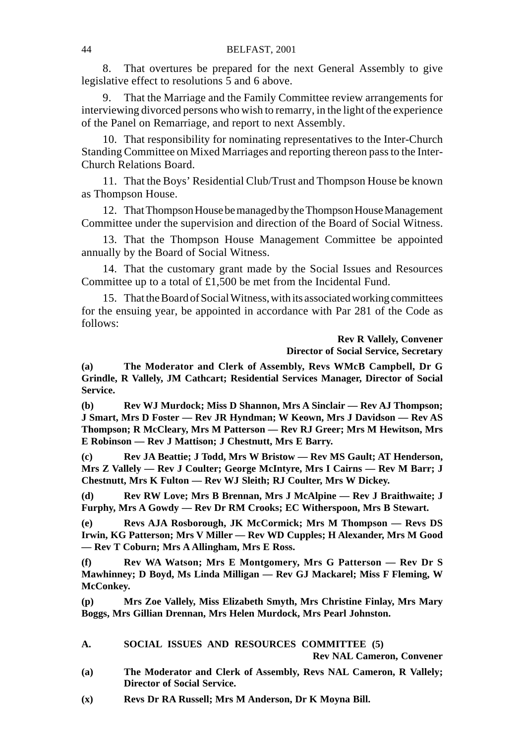8. That overtures be prepared for the next General Assembly to give legislative effect to resolutions  $\overline{5}$  and 6 above.

9. That the Marriage and the Family Committee review arrangements for interviewing divorced persons who wish to remarry, in the light of the experience of the Panel on Remarriage, and report to next Assembly.

10. That responsibility for nominating representatives to the Inter-Church Standing Committee on Mixed Marriages and reporting thereon pass to the Inter-Church Relations Board.

11. That the Boys' Residential Club/Trust and Thompson House be known as Thompson House.

12. That Thompson House be managed by the Thompson House Management Committee under the supervision and direction of the Board of Social Witness.

13. That the Thompson House Management Committee be appointed annually by the Board of Social Witness.

14. That the customary grant made by the Social Issues and Resources Committee up to a total of £1,500 be met from the Incidental Fund.

15. That the Board of Social Witness, with its associated working committees for the ensuing year, be appointed in accordance with Par 281 of the Code as follows:

> **Rev R Vallely, Convener Director of Social Service, Secretary**

**(a) The Moderator and Clerk of Assembly, Revs WMcB Campbell, Dr G Grindle, R Vallely, JM Cathcart; Residential Services Manager, Director of Social Service.**

**(b) Rev WJ Murdock; Miss D Shannon, Mrs A Sinclair — Rev AJ Thompson; J Smart, Mrs D Foster — Rev JR Hyndman; W Keown, Mrs J Davidson — Rev AS Thompson; R McCleary, Mrs M Patterson — Rev RJ Greer; Mrs M Hewitson, Mrs E Robinson — Rev J Mattison; J Chestnutt, Mrs E Barry.**

**(c) Rev JA Beattie; J Todd, Mrs W Bristow — Rev MS Gault; AT Henderson, Mrs Z Vallely — Rev J Coulter; George McIntyre, Mrs I Cairns — Rev M Barr; J Chestnutt, Mrs K Fulton — Rev WJ Sleith; RJ Coulter, Mrs W Dickey.**

**(d) Rev RW Love; Mrs B Brennan, Mrs J McAlpine — Rev J Braithwaite; J Furphy, Mrs A Gowdy — Rev Dr RM Crooks; EC Witherspoon, Mrs B Stewart.**

**(e) Revs AJA Rosborough, JK McCormick; Mrs M Thompson — Revs DS Irwin, KG Patterson; Mrs V Miller — Rev WD Cupples; H Alexander, Mrs M Good — Rev T Coburn; Mrs A Allingham, Mrs E Ross.**

**(f) Rev WA Watson; Mrs E Montgomery, Mrs G Patterson — Rev Dr S Mawhinney; D Boyd, Ms Linda Milligan — Rev GJ Mackarel; Miss F Fleming, W McConkey.**

**(p) Mrs Zoe Vallely, Miss Elizabeth Smyth, Mrs Christine Finlay, Mrs Mary Boggs, Mrs Gillian Drennan, Mrs Helen Murdock, Mrs Pearl Johnston.**

## **A. SOCIAL ISSUES AND RESOURCES COMMITTEE (5)**

**Rev NAL Cameron, Convener**

- **(a) The Moderator and Clerk of Assembly, Revs NAL Cameron, R Vallely; Director of Social Service.**
- **(x) Revs Dr RA Russell; Mrs M Anderson, Dr K Moyna Bill.**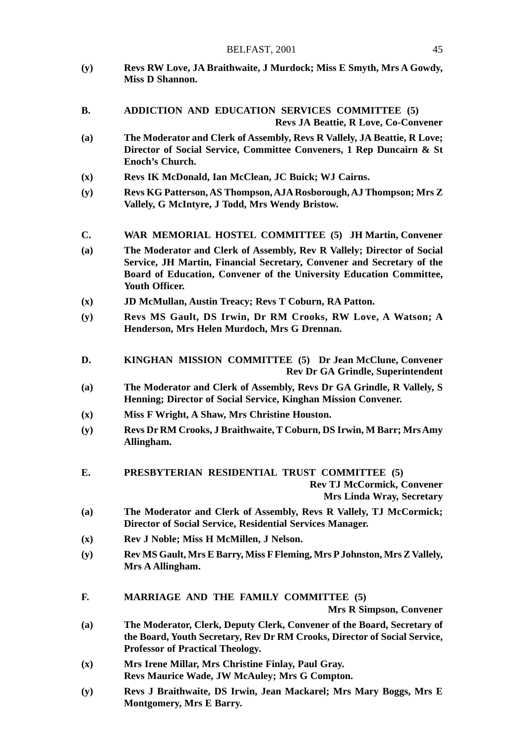- **(y) Revs RW Love, JA Braithwaite, J Murdock; Miss E Smyth, Mrs A Gowdy, Miss D Shannon.**
- **B. ADDICTION AND EDUCATION SERVICES COMMITTEE (5) Revs JA Beattie, R Love, Co-Convener**
- **(a) The Moderator and Clerk of Assembly, Revs R Vallely, JA Beattie, R Love; Director of Social Service, Committee Conveners, 1 Rep Duncairn & St Enoch's Church.**
- **(x) Revs IK McDonald, Ian McClean, JC Buick; WJ Cairns.**
- **(y) Revs KG Patterson, AS Thompson, AJA Rosborough, AJ Thompson; Mrs Z Vallely, G McIntyre, J Todd, Mrs Wendy Bristow.**
- **C. WAR MEMORIAL HOSTEL COMMITTEE (5) JH Martin, Convener**
- **(a) The Moderator and Clerk of Assembly, Rev R Vallely; Director of Social Service, JH Martin, Financial Secretary, Convener and Secretary of the Board of Education, Convener of the University Education Committee, Youth Officer.**
- **(x) JD McMullan, Austin Treacy; Revs T Coburn, RA Patton.**
- **(y) Revs MS Gault, DS Irwin, Dr RM Crooks, RW Love, A Watson; A Henderson, Mrs Helen Murdoch, Mrs G Drennan.**
- **D. KINGHAN MISSION COMMITTEE (5) Dr Jean McClune, Convener Rev Dr GA Grindle, Superintendent**
- **(a) The Moderator and Clerk of Assembly, Revs Dr GA Grindle, R Vallely, S Henning; Director of Social Service, Kinghan Mission Convener.**
- **(x) Miss F Wright, A Shaw, Mrs Christine Houston.**
- **(y) Revs Dr RM Crooks, J Braithwaite, T Coburn, DS Irwin, M Barr; Mrs Amy Allingham.**
- **E. PRESBYTERIAN RESIDENTIAL TRUST COMMITTEE (5) Rev TJ McCormick, Convener Mrs Linda Wray, Secretary**
- **(a) The Moderator and Clerk of Assembly, Revs R Vallely, TJ McCormick; Director of Social Service, Residential Services Manager.**
- **(x) Rev J Noble; Miss H McMillen, J Nelson.**
- **(y) Rev MS Gault, Mrs E Barry, Miss F Fleming, Mrs P Johnston, Mrs Z Vallely, Mrs A Allingham.**
- **F. MARRIAGE AND THE FAMILY COMMITTEE (5)**

**Mrs R Simpson, Convener**

- **(a) The Moderator, Clerk, Deputy Clerk, Convener of the Board, Secretary of the Board, Youth Secretary, Rev Dr RM Crooks, Director of Social Service, Professor of Practical Theology.**
- **(x) Mrs Irene Millar, Mrs Christine Finlay, Paul Gray. Revs Maurice Wade, JW McAuley; Mrs G Compton.**
- **(y) Revs J Braithwaite, DS Irwin, Jean Mackarel; Mrs Mary Boggs, Mrs E Montgomery, Mrs E Barry.**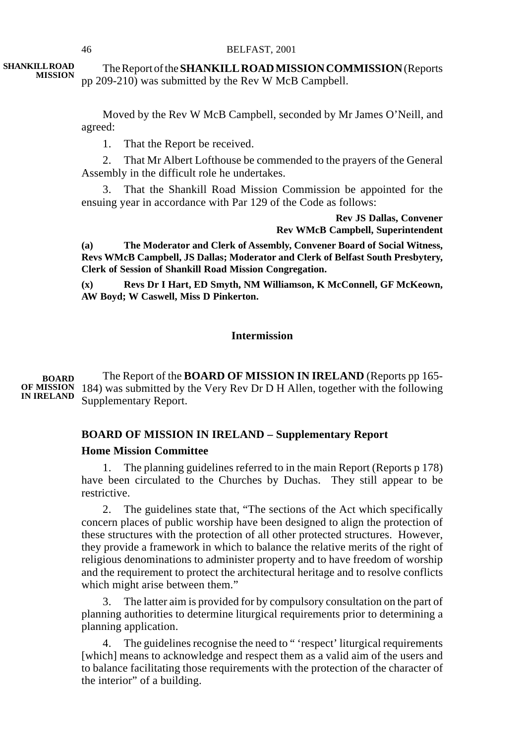The Report of the **SHANKILL ROAD MISSION COMMISSION** (Reports pp 209-210) was submitted by the Rev W McB Campbell. **SHANKILL ROAD MISSION**

> Moved by the Rev W McB Campbell, seconded by Mr James O'Neill, and agreed:

1. That the Report be received.

2. That Mr Albert Lofthouse be commended to the prayers of the General Assembly in the difficult role he undertakes.

3. That the Shankill Road Mission Commission be appointed for the ensuing year in accordance with Par 129 of the Code as follows:

> **Rev JS Dallas, Convener Rev WMcB Campbell, Superintendent**

**(a) The Moderator and Clerk of Assembly, Convener Board of Social Witness, Revs WMcB Campbell, JS Dallas; Moderator and Clerk of Belfast South Presbytery, Clerk of Session of Shankill Road Mission Congregation.**

**(x) Revs Dr I Hart, ED Smyth, NM Williamson, K McConnell, GF McKeown, AW Boyd; W Caswell, Miss D Pinkerton.**

## **Intermission**

The Report of the **BOARD OF MISSION IN IRELAND** (Reports pp 165- OF MISSION 184) was submitted by the Very Rev Dr D H Allen, together with the following Supplementary Report. **BOARD IN IRELAND**

# **BOARD OF MISSION IN IRELAND – Supplementary Report**

## **Home Mission Committee**

1. The planning guidelines referred to in the main Report (Reports p 178) have been circulated to the Churches by Duchas. They still appear to be restrictive.

2. The guidelines state that, "The sections of the Act which specifically concern places of public worship have been designed to align the protection of these structures with the protection of all other protected structures. However, they provide a framework in which to balance the relative merits of the right of religious denominations to administer property and to have freedom of worship and the requirement to protect the architectural heritage and to resolve conflicts which might arise between them."

3. The latter aim is provided for by compulsory consultation on the part of planning authorities to determine liturgical requirements prior to determining a planning application.

4. The guidelines recognise the need to " 'respect' liturgical requirements [which] means to acknowledge and respect them as a valid aim of the users and to balance facilitating those requirements with the protection of the character of the interior" of a building.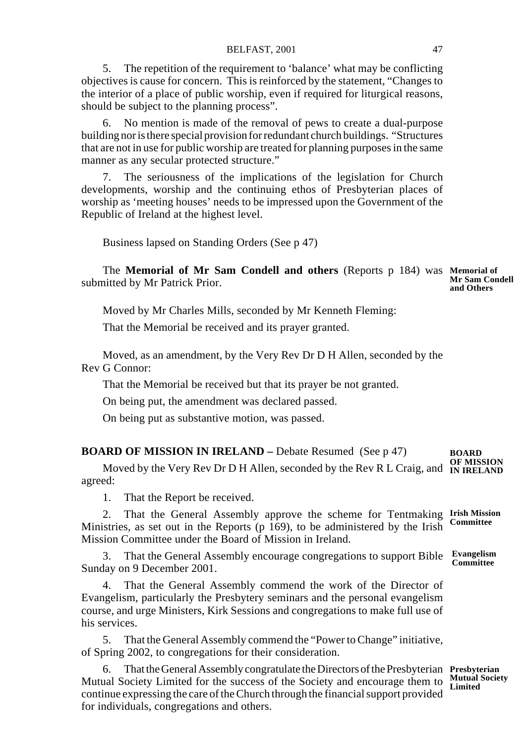5. The repetition of the requirement to 'balance' what may be conflicting objectives is cause for concern. This is reinforced by the statement, "Changes to the interior of a place of public worship, even if required for liturgical reasons, should be subject to the planning process".

6. No mention is made of the removal of pews to create a dual-purpose building nor is there special provision for redundant church buildings. "Structures that are not in use for public worship are treated for planning purposes in the same manner as any secular protected structure."

7. The seriousness of the implications of the legislation for Church developments, worship and the continuing ethos of Presbyterian places of worship as 'meeting houses' needs to be impressed upon the Government of the Republic of Ireland at the highest level.

Business lapsed on Standing Orders (See p 47)

The **Memorial of Mr Sam Condell and others** (Reports p 184) was **Memorial of** submitted by Mr Patrick Prior. **Mr Sam Condell and Others**

Moved by Mr Charles Mills, seconded by Mr Kenneth Fleming:

That the Memorial be received and its prayer granted.

Moved, as an amendment, by the Very Rev Dr D H Allen, seconded by the Rev G Connor:

That the Memorial be received but that its prayer be not granted.

On being put, the amendment was declared passed.

On being put as substantive motion, was passed.

| <b>BOARD OF MISSION IN IRELAND</b> – Debate Resumed (See p 47) |  | <b>BOARD</b> |
|----------------------------------------------------------------|--|--------------|
|----------------------------------------------------------------|--|--------------|

Moved by the Very Rev Dr D H Allen, seconded by the Rev R L Craig, and agreed: **BOARD OF MISSION IN IRELAND**

1. That the Report be received.

2. That the General Assembly approve the scheme for Tentmaking Irish Mission Ministries, as set out in the Reports (p 169), to be administered by the Irish Mission Committee under the Board of Mission in Ireland. **Committee**

3. That the General Assembly encourage congregations to support Bible **Evangelism** Sunday on 9 December 2001.

That the General Assembly commend the work of the Director of Evangelism, particularly the Presbytery seminars and the personal evangelism course, and urge Ministers, Kirk Sessions and congregations to make full use of his services.

5. That the General Assembly commend the "Power to Change" initiative, of Spring 2002, to congregations for their consideration.

6. That the General Assembly congratulate the Directors of the Presbyterian **Presbyterian** Mutual Society Limited for the success of the Society and encourage them to continue expressing the care of the Church through the financial support provided for individuals, congregations and others. **Mutual Society Limited**

**Committee**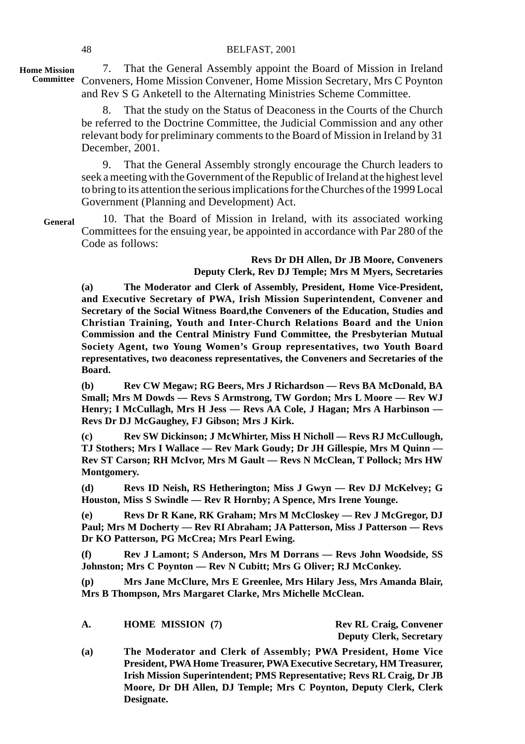## 48 BELFAST, 2001

**Home Mission**

7. That the General Assembly appoint the Board of Mission in Ireland Committee Conveners, Home Mission Convener, Home Mission Secretary, Mrs C Poynton and Rev S G Anketell to the Alternating Ministries Scheme Committee.

> 8. That the study on the Status of Deaconess in the Courts of the Church be referred to the Doctrine Committee, the Judicial Commission and any other relevant body for preliminary comments to the Board of Mission in Ireland by 31 December, 2001.

> 9. That the General Assembly strongly encourage the Church leaders to seek a meeting with the Government of the Republic of Ireland at the highest level to bring to its attention the serious implications for the Churches of the 1999 Local Government (Planning and Development) Act.

**General**

10. That the Board of Mission in Ireland, with its associated working Committees for the ensuing year, be appointed in accordance with Par 280 of the Code as follows:

> **Revs Dr DH Allen, Dr JB Moore, Conveners Deputy Clerk, Rev DJ Temple; Mrs M Myers, Secretaries**

**(a) The Moderator and Clerk of Assembly, President, Home Vice-President, and Executive Secretary of PWA, Irish Mission Superintendent, Convener and Secretary of the Social Witness Board,the Conveners of the Education, Studies and Christian Training, Youth and Inter-Church Relations Board and the Union Commission and the Central Ministry Fund Committee, the Presbyterian Mutual Society Agent, two Young Women's Group representatives, two Youth Board representatives, two deaconess representatives, the Conveners and Secretaries of the Board.**

**(b) Rev CW Megaw; RG Beers, Mrs J Richardson — Revs BA McDonald, BA Small; Mrs M Dowds — Revs S Armstrong, TW Gordon; Mrs L Moore — Rev WJ Henry; I McCullagh, Mrs H Jess — Revs AA Cole, J Hagan; Mrs A Harbinson — Revs Dr DJ McGaughey, FJ Gibson; Mrs J Kirk.**

**(c) Rev SW Dickinson; J McWhirter, Miss H Nicholl — Revs RJ McCullough, TJ Stothers; Mrs I Wallace — Rev Mark Goudy; Dr JH Gillespie, Mrs M Quinn — Rev ST Carson; RH McIvor, Mrs M Gault — Revs N McClean, T Pollock; Mrs HW Montgomery.**

**(d) Revs ID Neish, RS Hetherington; Miss J Gwyn — Rev DJ McKelvey; G Houston, Miss S Swindle — Rev R Hornby; A Spence, Mrs Irene Younge.**

**(e) Revs Dr R Kane, RK Graham; Mrs M McCloskey — Rev J McGregor, DJ Paul; Mrs M Docherty — Rev RI Abraham; JA Patterson, Miss J Patterson — Revs Dr KO Patterson, PG McCrea; Mrs Pearl Ewing.**

**(f) Rev J Lamont; S Anderson, Mrs M Dorrans — Revs John Woodside, SS Johnston; Mrs C Poynton — Rev N Cubitt; Mrs G Oliver; RJ McConkey.**

**(p) Mrs Jane McClure, Mrs E Greenlee, Mrs Hilary Jess, Mrs Amanda Blair, Mrs B Thompson, Mrs Margaret Clarke, Mrs Michelle McClean.**

**A. HOME MISSION (7) Rev RL Craig, Convener**

**Deputy Clerk, Secretary**

**(a) The Moderator and Clerk of Assembly; PWA President, Home Vice President, PWA Home Treasurer, PWA Executive Secretary, HM Treasurer, Irish Mission Superintendent; PMS Representative; Revs RL Craig, Dr JB Moore, Dr DH Allen, DJ Temple; Mrs C Poynton, Deputy Clerk, Clerk Designate.**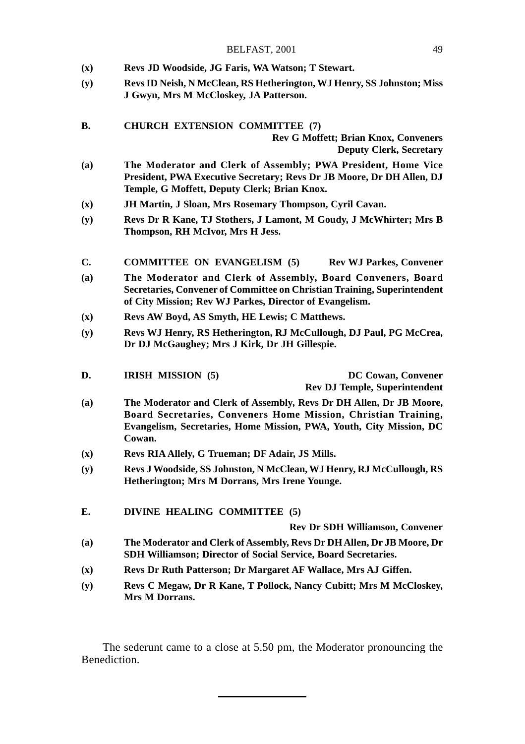| BELFAST, 2001 |  |
|---------------|--|
|               |  |

- **(x) Revs JD Woodside, JG Faris, WA Watson; T Stewart.**
- **(y) Revs ID Neish, N McClean, RS Hetherington, WJ Henry, SS Johnston; Miss J Gwyn, Mrs M McCloskey, JA Patterson.**
- **B. CHURCH EXTENSION COMMITTEE (7) Rev G Moffett; Brian Knox, Conveners Deputy Clerk, Secretary**
- **(a) The Moderator and Clerk of Assembly; PWA President, Home Vice President, PWA Executive Secretary; Revs Dr JB Moore, Dr DH Allen, DJ Temple, G Moffett, Deputy Clerk; Brian Knox.**
- **(x) JH Martin, J Sloan, Mrs Rosemary Thompson, Cyril Cavan.**
- **(y) Revs Dr R Kane, TJ Stothers, J Lamont, M Goudy, J McWhirter; Mrs B Thompson, RH McIvor, Mrs H Jess.**
- **C. COMMITTEE ON EVANGELISM (5) Rev WJ Parkes, Convener**
- **(a) The Moderator and Clerk of Assembly, Board Conveners, Board Secretaries, Convener of Committee on Christian Training, Superintendent of City Mission; Rev WJ Parkes, Director of Evangelism.**
- **(x) Revs AW Boyd, AS Smyth, HE Lewis; C Matthews.**
- **(y) Revs WJ Henry, RS Hetherington, RJ McCullough, DJ Paul, PG McCrea, Dr DJ McGaughey; Mrs J Kirk, Dr JH Gillespie.**
- **D. IRISH MISSION (5) DC Cowan, Convener Rev DJ Temple, Superintendent**
- **(a) The Moderator and Clerk of Assembly, Revs Dr DH Allen, Dr JB Moore, Board Secretaries, Conveners Home Mission, Christian Training, Evangelism, Secretaries, Home Mission, PWA, Youth, City Mission, DC Cowan.**
- **(x) Revs RIA Allely, G Trueman; DF Adair, JS Mills.**
- **(y) Revs J Woodside, SS Johnston, N McClean, WJ Henry, RJ McCullough, RS Hetherington; Mrs M Dorrans, Mrs Irene Younge.**
- **E. DIVINE HEALING COMMITTEE (5)**

**Rev Dr SDH Williamson, Convener**

- **(a) The Moderator and Clerk of Assembly, Revs Dr DH Allen, Dr JB Moore, Dr SDH Williamson; Director of Social Service, Board Secretaries.**
- **(x) Revs Dr Ruth Patterson; Dr Margaret AF Wallace, Mrs AJ Giffen.**
- **(y) Revs C Megaw, Dr R Kane, T Pollock, Nancy Cubitt; Mrs M McCloskey, Mrs M Dorrans.**

The sederunt came to a close at 5.50 pm, the Moderator pronouncing the Benediction.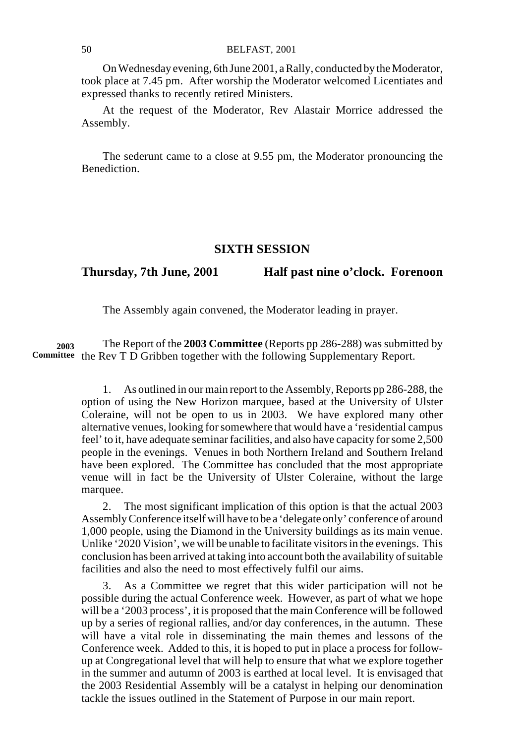## 50 BELFAST, 2001

On Wednesday evening, 6th June 2001, a Rally, conducted by the Moderator, took place at 7.45 pm. After worship the Moderator welcomed Licentiates and expressed thanks to recently retired Ministers.

At the request of the Moderator, Rev Alastair Morrice addressed the Assembly.

The sederunt came to a close at 9.55 pm, the Moderator pronouncing the Benediction.

### **SIXTH SESSION**

**Thursday, 7th June, 2001 Half past nine o'clock. Forenoon**

The Assembly again convened, the Moderator leading in prayer.

The Report of the **2003 Committee** (Reports pp 286-288) was submitted by Committee the Rev T D Gribben together with the following Supplementary Report. **2003**

> 1. As outlined in our main report to the Assembly, Reports pp 286-288, the option of using the New Horizon marquee, based at the University of Ulster Coleraine, will not be open to us in 2003. We have explored many other alternative venues, looking for somewhere that would have a 'residential campus feel' to it, have adequate seminar facilities, and also have capacity for some 2,500 people in the evenings. Venues in both Northern Ireland and Southern Ireland have been explored. The Committee has concluded that the most appropriate venue will in fact be the University of Ulster Coleraine, without the large marquee.

> 2. The most significant implication of this option is that the actual 2003 Assembly Conference itself will have to be a 'delegate only' conference of around 1,000 people, using the Diamond in the University buildings as its main venue. Unlike '2020 Vision', we will be unable to facilitate visitors in the evenings. This conclusion has been arrived at taking into account both the availability of suitable facilities and also the need to most effectively fulfil our aims.

> 3. As a Committee we regret that this wider participation will not be possible during the actual Conference week. However, as part of what we hope will be a '2003 process', it is proposed that the main Conference will be followed up by a series of regional rallies, and/or day conferences, in the autumn. These will have a vital role in disseminating the main themes and lessons of the Conference week. Added to this, it is hoped to put in place a process for followup at Congregational level that will help to ensure that what we explore together in the summer and autumn of 2003 is earthed at local level. It is envisaged that the 2003 Residential Assembly will be a catalyst in helping our denomination tackle the issues outlined in the Statement of Purpose in our main report.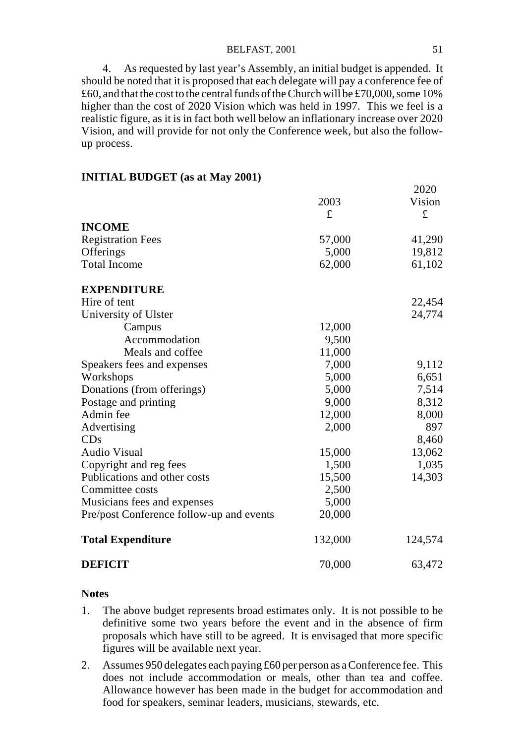## BELFAST, 2001 51

4. As requested by last year's Assembly, an initial budget is appended. It should be noted that it is proposed that each delegate will pay a conference fee of £60, and that the cost to the central funds of the Church will be £70,000, some 10% higher than the cost of 2020 Vision which was held in 1997. This we feel is a realistic figure, as it is in fact both well below an inflationary increase over 2020 Vision, and will provide for not only the Conference week, but also the followup process.

## **INITIAL BUDGET (as at May 2001)**

|                                          | 2003<br>£ | ∠∪∠∪<br>Vision<br>£ |
|------------------------------------------|-----------|---------------------|
| <b>INCOME</b>                            |           |                     |
| <b>Registration Fees</b>                 | 57,000    | 41,290              |
| Offerings                                | 5,000     | 19,812              |
| <b>Total Income</b>                      | 62,000    | 61,102              |
| <b>EXPENDITURE</b>                       |           |                     |
| Hire of tent                             |           | 22,454              |
| University of Ulster                     |           | 24,774              |
| Campus                                   | 12,000    |                     |
| Accommodation                            | 9,500     |                     |
| Meals and coffee                         | 11,000    |                     |
| Speakers fees and expenses               | 7,000     | 9,112               |
| Workshops                                | 5,000     | 6,651               |
| Donations (from offerings)               | 5,000     | 7,514               |
| Postage and printing                     | 9,000     | 8,312               |
| Admin fee                                | 12,000    | 8,000               |
| Advertising                              | 2,000     | 897                 |
| CDs                                      |           | 8,460               |
| <b>Audio Visual</b>                      | 15,000    | 13,062              |
| Copyright and reg fees                   | 1,500     | 1,035               |
| Publications and other costs             | 15,500    | 14,303              |
| Committee costs                          | 2,500     |                     |
| Musicians fees and expenses              | 5,000     |                     |
| Pre/post Conference follow-up and events | 20,000    |                     |
| <b>Total Expenditure</b>                 | 132,000   | 124,574             |
| <b>DEFICIT</b>                           | 70,000    | 63,472              |

#### **Notes**

- 1. The above budget represents broad estimates only. It is not possible to be definitive some two years before the event and in the absence of firm proposals which have still to be agreed. It is envisaged that more specific figures will be available next year.
- 2. Assumes 950 delegates each paying £60 per person as a Conference fee. This does not include accommodation or meals, other than tea and coffee. Allowance however has been made in the budget for accommodation and food for speakers, seminar leaders, musicians, stewards, etc.

 $2020$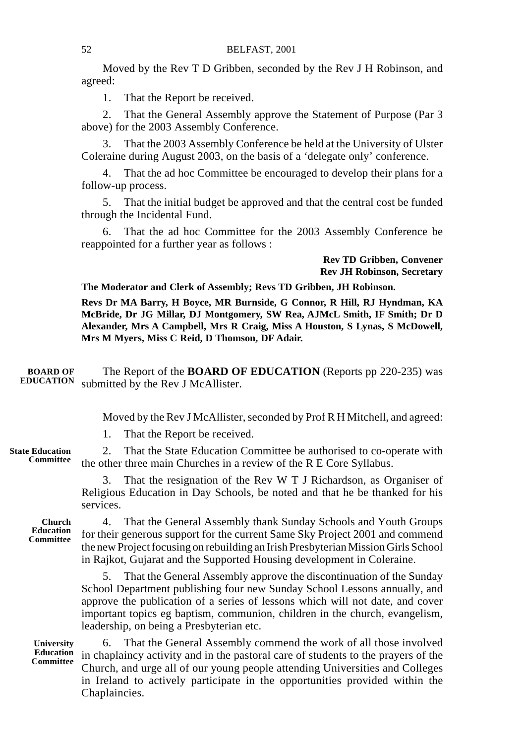Moved by the Rev T D Gribben, seconded by the Rev J H Robinson, and agreed:

1. That the Report be received.

2. That the General Assembly approve the Statement of Purpose (Par 3 above) for the 2003 Assembly Conference.

3. That the 2003 Assembly Conference be held at the University of Ulster Coleraine during August 2003, on the basis of a 'delegate only' conference.

That the ad hoc Committee be encouraged to develop their plans for a follow-up process.

5. That the initial budget be approved and that the central cost be funded through the Incidental Fund.

6. That the ad hoc Committee for the 2003 Assembly Conference be reappointed for a further year as follows :

> **Rev TD Gribben, Convener Rev JH Robinson, Secretary**

**The Moderator and Clerk of Assembly; Revs TD Gribben, JH Robinson.**

**Revs Dr MA Barry, H Boyce, MR Burnside, G Connor, R Hill, RJ Hyndman, KA McBride, Dr JG Millar, DJ Montgomery, SW Rea, AJMcL Smith, IF Smith; Dr D Alexander, Mrs A Campbell, Mrs R Craig, Miss A Houston, S Lynas, S McDowell, Mrs M Myers, Miss C Reid, D Thomson, DF Adair.**

The Report of the **BOARD OF EDUCATION** (Reports pp 220-235) was submitted by the Rev J McAllister. **BOARD OF EDUCATION**

Moved by the Rev J McAllister, seconded by Prof R H Mitchell, and agreed:

1. That the Report be received.

2. That the State Education Committee be authorised to co-operate with the other three main Churches in a review of the R E Core Syllabus. **State Education Committee**

> 3. That the resignation of the Rev W T J Richardson, as Organiser of Religious Education in Day Schools, be noted and that he be thanked for his services.

**Church Education Committee**

4. That the General Assembly thank Sunday Schools and Youth Groups for their generous support for the current Same Sky Project 2001 and commend the new Project focusing on rebuilding an Irish Presbyterian Mission Girls School in Rajkot, Gujarat and the Supported Housing development in Coleraine.

5. That the General Assembly approve the discontinuation of the Sunday School Department publishing four new Sunday School Lessons annually, and approve the publication of a series of lessons which will not date, and cover important topics eg baptism, communion, children in the church, evangelism, leadership, on being a Presbyterian etc.

**University Education Committee**

6. That the General Assembly commend the work of all those involved in chaplaincy activity and in the pastoral care of students to the prayers of the Church, and urge all of our young people attending Universities and Colleges in Ireland to actively participate in the opportunities provided within the Chaplaincies.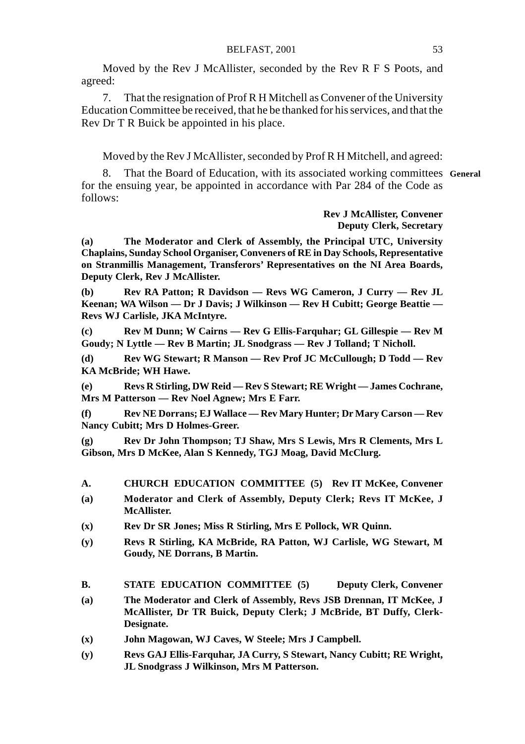Moved by the Rev J McAllister, seconded by the Rev R F S Poots, and agreed:

7. That the resignation of Prof R H Mitchell as Convener of the University Education Committee be received, that he be thanked for his services, and that the Rev Dr T R Buick be appointed in his place.

Moved by the Rev J McAllister, seconded by Prof R H Mitchell, and agreed:

8. That the Board of Education, with its associated working committees **General**for the ensuing year, be appointed in accordance with Par 284 of the Code as follows:

## **Rev J McAllister, Convener Deputy Clerk, Secretary**

**(a) The Moderator and Clerk of Assembly, the Principal UTC, University Chaplains, Sunday School Organiser, Conveners of RE in Day Schools, Representative on Stranmillis Management, Transferors' Representatives on the NI Area Boards, Deputy Clerk, Rev J McAllister.**

**(b) Rev RA Patton; R Davidson — Revs WG Cameron, J Curry — Rev JL Keenan; WA Wilson — Dr J Davis; J Wilkinson — Rev H Cubitt; George Beattie — Revs WJ Carlisle, JKA McIntyre.**

**(c) Rev M Dunn; W Cairns — Rev G Ellis-Farquhar; GL Gillespie — Rev M Goudy; N Lyttle — Rev B Martin; JL Snodgrass — Rev J Tolland; T Nicholl.**

**(d) Rev WG Stewart; R Manson — Rev Prof JC McCullough; D Todd — Rev KA McBride; WH Hawe.**

**(e) Revs R Stirling, DW Reid — Rev S Stewart; RE Wright — James Cochrane, Mrs M Patterson — Rev Noel Agnew; Mrs E Farr.**

**(f) Rev NE Dorrans; EJ Wallace — Rev Mary Hunter; Dr Mary Carson — Rev Nancy Cubitt; Mrs D Holmes-Greer.**

**(g) Rev Dr John Thompson; TJ Shaw, Mrs S Lewis, Mrs R Clements, Mrs L Gibson, Mrs D McKee, Alan S Kennedy, TGJ Moag, David McClurg.**

- **A. CHURCH EDUCATION COMMITTEE (5) Rev IT McKee, Convener**
- **(a) Moderator and Clerk of Assembly, Deputy Clerk; Revs IT McKee, J McAllister.**
- **(x) Rev Dr SR Jones; Miss R Stirling, Mrs E Pollock, WR Quinn.**
- **(y) Revs R Stirling, KA McBride, RA Patton, WJ Carlisle, WG Stewart, M Goudy, NE Dorrans, B Martin.**
- **B. STATE EDUCATION COMMITTEE (5) Deputy Clerk, Convener**
- **(a) The Moderator and Clerk of Assembly, Revs JSB Drennan, IT McKee, J McAllister, Dr TR Buick, Deputy Clerk; J McBride, BT Duffy, Clerk-Designate.**
- **(x) John Magowan, WJ Caves, W Steele; Mrs J Campbell.**
- **(y) Revs GAJ Ellis-Farquhar, JA Curry, S Stewart, Nancy Cubitt; RE Wright, JL Snodgrass J Wilkinson, Mrs M Patterson.**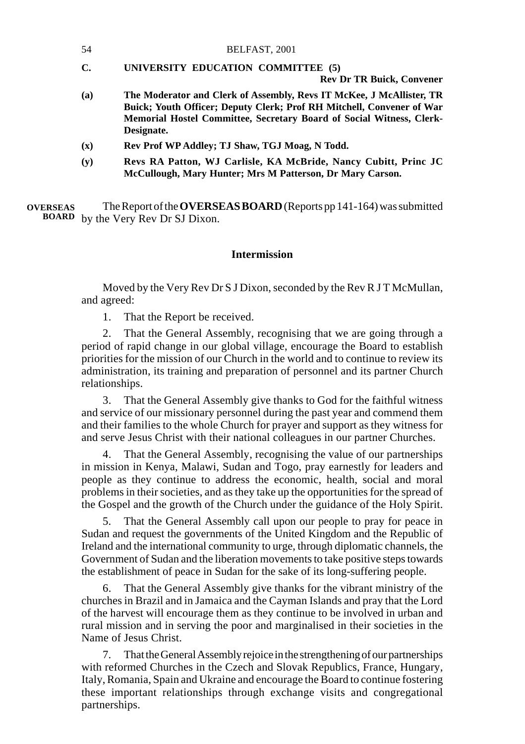- 54 BELFAST, 2001
- **C. UNIVERSITY EDUCATION COMMITTEE (5)**

**Rev Dr TR Buick, Convener**

- **(a) The Moderator and Clerk of Assembly, Revs IT McKee, J McAllister, TR Buick; Youth Officer; Deputy Clerk; Prof RH Mitchell, Convener of War Memorial Hostel Committee, Secretary Board of Social Witness, Clerk-Designate.**
- **(x) Rev Prof WP Addley; TJ Shaw, TGJ Moag, N Todd.**
- **(y) Revs RA Patton, WJ Carlisle, KA McBride, Nancy Cubitt, Princ JC McCullough, Mary Hunter; Mrs M Patterson, Dr Mary Carson.**

The Report of the **OVERSEAS BOARD** (Reports pp 141-164) was submitted by the Very Rev Dr SJ Dixon. **BOARDOVERSEAS**

## **Intermission**

Moved by the Very Rev Dr S J Dixon, seconded by the Rev R J T McMullan, and agreed:

1. That the Report be received.

2. That the General Assembly, recognising that we are going through a period of rapid change in our global village, encourage the Board to establish priorities for the mission of our Church in the world and to continue to review its administration, its training and preparation of personnel and its partner Church relationships.

3. That the General Assembly give thanks to God for the faithful witness and service of our missionary personnel during the past year and commend them and their families to the whole Church for prayer and support as they witness for and serve Jesus Christ with their national colleagues in our partner Churches.

4. That the General Assembly, recognising the value of our partnerships in mission in Kenya, Malawi, Sudan and Togo, pray earnestly for leaders and people as they continue to address the economic, health, social and moral problems in their societies, and as they take up the opportunities for the spread of the Gospel and the growth of the Church under the guidance of the Holy Spirit.

5. That the General Assembly call upon our people to pray for peace in Sudan and request the governments of the United Kingdom and the Republic of Ireland and the international community to urge, through diplomatic channels, the Government of Sudan and the liberation movements to take positive steps towards the establishment of peace in Sudan for the sake of its long-suffering people.

6. That the General Assembly give thanks for the vibrant ministry of the churches in Brazil and in Jamaica and the Cayman Islands and pray that the Lord of the harvest will encourage them as they continue to be involved in urban and rural mission and in serving the poor and marginalised in their societies in the Name of Jesus Christ.

7. That the General Assembly rejoice in the strengthening of our partnerships with reformed Churches in the Czech and Slovak Republics, France, Hungary, Italy, Romania, Spain and Ukraine and encourage the Board to continue fostering these important relationships through exchange visits and congregational partnerships.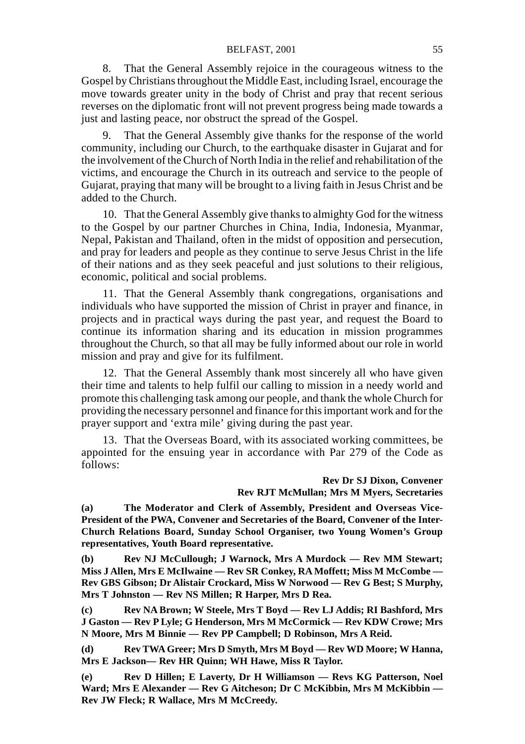#### BELFAST, 2001 55

8. That the General Assembly rejoice in the courageous witness to the Gospel by Christians throughout the Middle East, including Israel, encourage the move towards greater unity in the body of Christ and pray that recent serious reverses on the diplomatic front will not prevent progress being made towards a just and lasting peace, nor obstruct the spread of the Gospel.

9. That the General Assembly give thanks for the response of the world community, including our Church, to the earthquake disaster in Gujarat and for the involvement of the Church of North India in the relief and rehabilitation of the victims, and encourage the Church in its outreach and service to the people of Gujarat, praying that many will be brought to a living faith in Jesus Christ and be added to the Church.

10. That the General Assembly give thanks to almighty God for the witness to the Gospel by our partner Churches in China, India, Indonesia, Myanmar, Nepal, Pakistan and Thailand, often in the midst of opposition and persecution, and pray for leaders and people as they continue to serve Jesus Christ in the life of their nations and as they seek peaceful and just solutions to their religious, economic, political and social problems.

11. That the General Assembly thank congregations, organisations and individuals who have supported the mission of Christ in prayer and finance, in projects and in practical ways during the past year, and request the Board to continue its information sharing and its education in mission programmes throughout the Church, so that all may be fully informed about our role in world mission and pray and give for its fulfilment.

12. That the General Assembly thank most sincerely all who have given their time and talents to help fulfil our calling to mission in a needy world and promote this challenging task among our people, and thank the whole Church for providing the necessary personnel and finance for this important work and for the prayer support and 'extra mile' giving during the past year.

13. That the Overseas Board, with its associated working committees, be appointed for the ensuing year in accordance with Par 279 of the Code as follows:

## **Rev Dr SJ Dixon, Convener Rev RJT McMullan; Mrs M Myers, Secretaries**

**(a) The Moderator and Clerk of Assembly, President and Overseas Vice-President of the PWA, Convener and Secretaries of the Board, Convener of the Inter-Church Relations Board, Sunday School Organiser, two Young Women's Group representatives, Youth Board representative.**

**(b) Rev NJ McCullough; J Warnock, Mrs A Murdock — Rev MM Stewart; Miss J Allen, Mrs E McIlwaine — Rev SR Conkey, RA Moffett; Miss M McCombe — Rev GBS Gibson; Dr Alistair Crockard, Miss W Norwood — Rev G Best; S Murphy, Mrs T Johnston — Rev NS Millen; R Harper, Mrs D Rea.**

**(c) Rev NA Brown; W Steele, Mrs T Boyd — Rev LJ Addis; RI Bashford, Mrs J Gaston — Rev P Lyle; G Henderson, Mrs M McCormick — Rev KDW Crowe; Mrs N Moore, Mrs M Binnie — Rev PP Campbell; D Robinson, Mrs A Reid.**

**(d) Rev TWA Greer; Mrs D Smyth, Mrs M Boyd — Rev WD Moore; W Hanna, Mrs E Jackson— Rev HR Quinn; WH Hawe, Miss R Taylor.**

**(e) Rev D Hillen; E Laverty, Dr H Williamson — Revs KG Patterson, Noel Ward; Mrs E Alexander — Rev G Aitcheson; Dr C McKibbin, Mrs M McKibbin — Rev JW Fleck; R Wallace, Mrs M McCreedy.**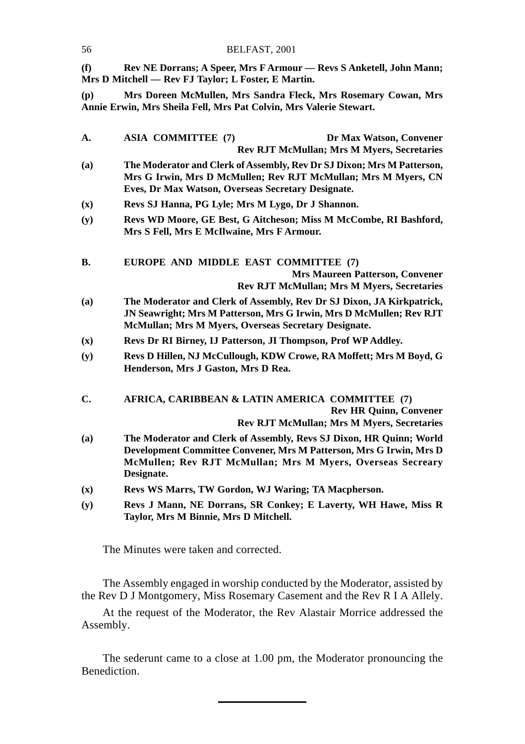| (f)            | Rev NE Dorrans; A Speer, Mrs F Armour - Revs S Anketell, John Mann;<br>Mrs D Mitchell — Rev FJ Taylor; L Foster, E Martin.                                                                                             |
|----------------|------------------------------------------------------------------------------------------------------------------------------------------------------------------------------------------------------------------------|
| (p)            | Mrs Doreen McMullen, Mrs Sandra Fleck, Mrs Rosemary Cowan, Mrs<br>Annie Erwin, Mrs Sheila Fell, Mrs Pat Colvin, Mrs Valerie Stewart.                                                                                   |
| A.             | <b>ASIA COMMITTEE (7)</b><br>Dr Max Watson, Convener<br><b>Rev RJT McMullan; Mrs M Myers, Secretaries</b>                                                                                                              |
| (a)            | The Moderator and Clerk of Assembly, Rev Dr SJ Dixon; Mrs M Patterson,<br>Mrs G Irwin, Mrs D McMullen; Rev RJT McMullan; Mrs M Myers, CN<br>Eves, Dr Max Watson, Overseas Secretary Designate.                         |
| (x)            | Revs SJ Hanna, PG Lyle; Mrs M Lygo, Dr J Shannon.                                                                                                                                                                      |
| (y)            | Revs WD Moore, GE Best, G Aitcheson; Miss M McCombe, RI Bashford,<br>Mrs S Fell, Mrs E McIlwaine, Mrs F Armour.                                                                                                        |
| В.             | EUROPE AND MIDDLE EAST COMMITTEE (7)<br><b>Mrs Maureen Patterson, Convener</b><br><b>Rev RJT McMullan; Mrs M Myers, Secretaries</b>                                                                                    |
| (a)            | The Moderator and Clerk of Assembly, Rev Dr SJ Dixon, JA Kirkpatrick,<br>JN Seawright; Mrs M Patterson, Mrs G Irwin, Mrs D McMullen; Rev RJT<br>McMullan; Mrs M Myers, Overseas Secretary Designate.                   |
| $(\mathbf{x})$ | Revs Dr RI Birney, IJ Patterson, JI Thompson, Prof WP Addley.                                                                                                                                                          |
| (y)            | Revs D Hillen, NJ McCullough, KDW Crowe, RA Moffett; Mrs M Boyd, G<br>Henderson, Mrs J Gaston, Mrs D Rea.                                                                                                              |
| C.             | AFRICA, CARIBBEAN & LATIN AMERICA COMMITTEE (7)<br><b>Rev HR Quinn, Convener</b><br><b>Rev RJT McMullan; Mrs M Myers, Secretaries</b>                                                                                  |
| (a)            | The Moderator and Clerk of Assembly, Revs SJ Dixon, HR Quinn; World<br>Development Committee Convener, Mrs M Patterson, Mrs G Irwin, Mrs D<br>McMullen; Rev RJT McMullan; Mrs M Myers, Overseas Secreary<br>Designate. |
| (x)            | Revs WS Marrs, TW Gordon, WJ Waring; TA Macpherson.                                                                                                                                                                    |
| (y)            | Revs J Mann, NE Dorrans, SR Conkey; E Laverty, WH Hawe, Miss R<br>Taylor, Mrs M Binnie, Mrs D Mitchell.                                                                                                                |

The Minutes were taken and corrected.

56 BELFAST, 2001

The Assembly engaged in worship conducted by the Moderator, assisted by the Rev D J Montgomery, Miss Rosemary Casement and the Rev R I A Allely.

At the request of the Moderator, the Rev Alastair Morrice addressed the Assembly.

The sederunt came to a close at 1.00 pm, the Moderator pronouncing the Benediction.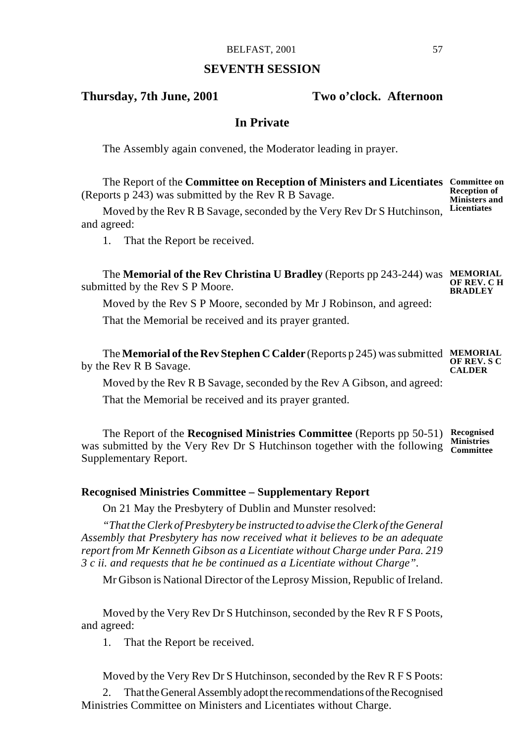## **SEVENTH SESSION**

## **Thursday, 7th June, 2001 Two o'clock. Afternoon**

## **In Private**

The Assembly again convened, the Moderator leading in prayer.

The Report of the **Committee on Reception of Ministers and Licentiates Committee on** (Reports p 243) was submitted by the Rev R B Savage. **Reception of Ministers and**

Moved by the Rev R B Savage, seconded by the Very Rev Dr S Hutchinson, and agreed: **Licentiates**

1. That the Report be received.

The **Memorial of the Rev Christina U Bradley** (Reports pp 243-244) was **MEMORIAL** submitted by the Rev S P Moore. **OF REV. C H BRADLEY**

Moved by the Rev S P Moore, seconded by Mr J Robinson, and agreed:

That the Memorial be received and its prayer granted.

The **Memorial of the Rev Stephen C Calder** (Reports p 245) was submitted **MEMORIAL** by the Rev R B Savage. **OF REV. S C CALDER**

Moved by the Rev R B Savage, seconded by the Rev A Gibson, and agreed:

That the Memorial be received and its prayer granted.

The Report of the **Recognised Ministries Committee** (Reports pp 50-51) **Recognised** was submitted by the Very Rev Dr S Hutchinson together with the following **Committee** Supplementary Report.

## **Recognised Ministries Committee – Supplementary Report**

On 21 May the Presbytery of Dublin and Munster resolved:

*"That the Clerk of Presbytery be instructed to advise the Clerk of the General Assembly that Presbytery has now received what it believes to be an adequate report from Mr Kenneth Gibson as a Licentiate without Charge under Para. 219 3 c ii. and requests that he be continued as a Licentiate without Charge".*

Mr Gibson is National Director of the Leprosy Mission, Republic of Ireland.

Moved by the Very Rev Dr S Hutchinson, seconded by the Rev R F S Poots, and agreed:

1. That the Report be received.

Moved by the Very Rev Dr S Hutchinson, seconded by the Rev R F S Poots:

2. That the General Assembly adopt the recommendations of the Recognised Ministries Committee on Ministers and Licentiates without Charge.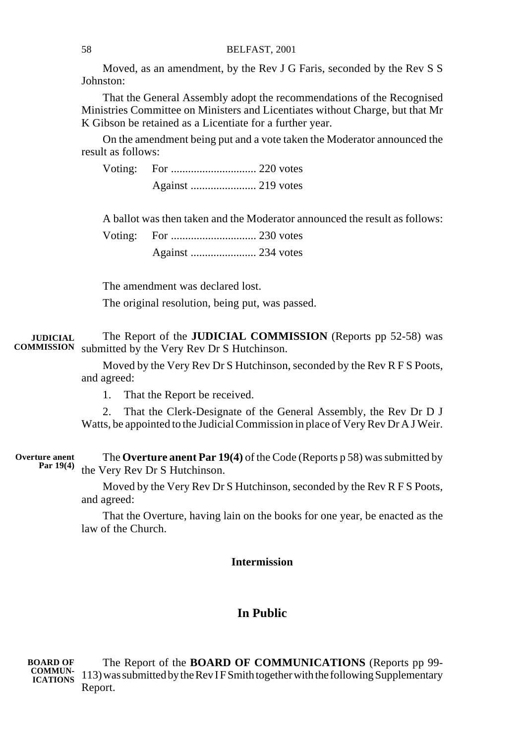Moved, as an amendment, by the Rev J G Faris, seconded by the Rev S S Johnston:

That the General Assembly adopt the recommendations of the Recognised Ministries Committee on Ministers and Licentiates without Charge, but that Mr K Gibson be retained as a Licentiate for a further year.

On the amendment being put and a vote taken the Moderator announced the result as follows:

Voting: For .............................. 220 votes Against ....................... 219 votes

A ballot was then taken and the Moderator announced the result as follows:

Voting: For .............................. 230 votes Against ....................... 234 votes

The amendment was declared lost. The original resolution, being put, was passed.

The Report of the **JUDICIAL COMMISSION** (Reports pp 52-58) was submitted by the Very Rev Dr S Hutchinson. **JUDICIAL COMMISSION**

> Moved by the Very Rev Dr S Hutchinson, seconded by the Rev R F S Poots, and agreed:

1. That the Report be received.

2. That the Clerk-Designate of the General Assembly, the Rev Dr D J Watts, be appointed to the Judicial Commission in place of Very Rev Dr A J Weir.

The **Overture anent Par 19(4)** of the Code (Reports p 58) was submitted by the Very Rev Dr S Hutchinson. **Overture anent Par 19(4)**

> Moved by the Very Rev Dr S Hutchinson, seconded by the Rev R F S Poots, and agreed:

> That the Overture, having lain on the books for one year, be enacted as the law of the Church.

## **Intermission**

## **In Public**

The Report of the **BOARD OF COMMUNICATIONS** (Reports pp 99- 113) was submitted by the Rev I F Smith together with the following Supplementary Report. **BOARD OF COMMUN-ICATIONS**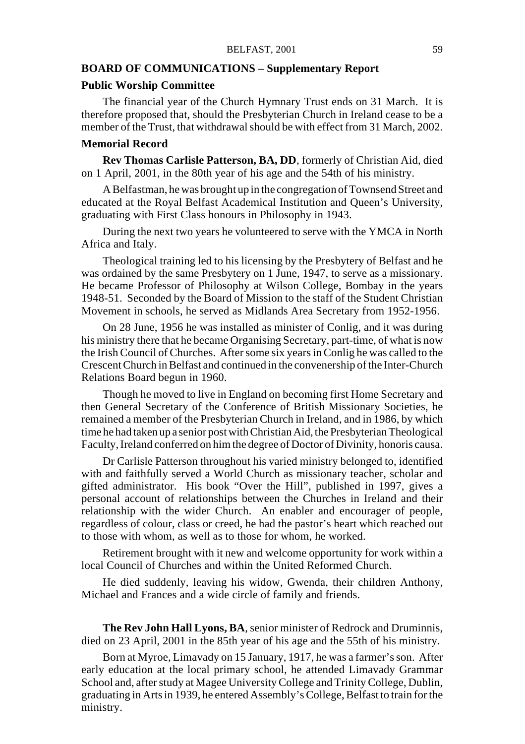#### BELFAST, 2001 59

## **BOARD OF COMMUNICATIONS – Supplementary Report**

## **Public Worship Committee**

The financial year of the Church Hymnary Trust ends on 31 March. It is therefore proposed that, should the Presbyterian Church in Ireland cease to be a member of the Trust, that withdrawal should be with effect from 31 March, 2002.

## **Memorial Record**

**Rev Thomas Carlisle Patterson, BA, DD**, formerly of Christian Aid, died on 1 April, 2001, in the 80th year of his age and the 54th of his ministry.

A Belfastman, he was brought up in the congregation of Townsend Street and educated at the Royal Belfast Academical Institution and Queen's University, graduating with First Class honours in Philosophy in 1943.

During the next two years he volunteered to serve with the YMCA in North Africa and Italy.

Theological training led to his licensing by the Presbytery of Belfast and he was ordained by the same Presbytery on 1 June, 1947, to serve as a missionary. He became Professor of Philosophy at Wilson College, Bombay in the years 1948-51. Seconded by the Board of Mission to the staff of the Student Christian Movement in schools, he served as Midlands Area Secretary from 1952-1956.

On 28 June, 1956 he was installed as minister of Conlig, and it was during his ministry there that he became Organising Secretary, part-time, of what is now the Irish Council of Churches. After some six years in Conlig he was called to the Crescent Church in Belfast and continued in the convenership of the Inter-Church Relations Board begun in 1960.

Though he moved to live in England on becoming first Home Secretary and then General Secretary of the Conference of British Missionary Societies, he remained a member of the Presbyterian Church in Ireland, and in 1986, by which time he had taken up a senior post with Christian Aid, the Presbyterian Theological Faculty, Ireland conferred on him the degree of Doctor of Divinity, honoris causa.

Dr Carlisle Patterson throughout his varied ministry belonged to, identified with and faithfully served a World Church as missionary teacher, scholar and gifted administrator. His book "Over the Hill", published in 1997, gives a personal account of relationships between the Churches in Ireland and their relationship with the wider Church. An enabler and encourager of people, regardless of colour, class or creed, he had the pastor's heart which reached out to those with whom, as well as to those for whom, he worked.

Retirement brought with it new and welcome opportunity for work within a local Council of Churches and within the United Reformed Church.

He died suddenly, leaving his widow, Gwenda, their children Anthony, Michael and Frances and a wide circle of family and friends.

**The Rev John Hall Lyons, BA**, senior minister of Redrock and Druminnis, died on 23 April, 2001 in the 85th year of his age and the 55th of his ministry.

Born at Myroe, Limavady on 15 January, 1917, he was a farmer's son. After early education at the local primary school, he attended Limavady Grammar School and, after study at Magee University College and Trinity College, Dublin, graduating in Arts in 1939, he entered Assembly's College, Belfast to train for the ministry.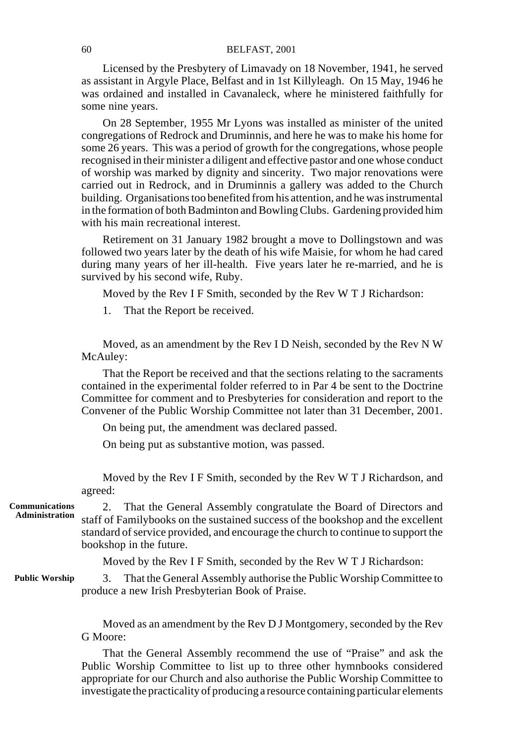## 60 BELFAST, 2001

Licensed by the Presbytery of Limavady on 18 November, 1941, he served as assistant in Argyle Place, Belfast and in 1st Killyleagh. On 15 May, 1946 he was ordained and installed in Cavanaleck, where he ministered faithfully for some nine years.

On 28 September, 1955 Mr Lyons was installed as minister of the united congregations of Redrock and Druminnis, and here he was to make his home for some 26 years. This was a period of growth for the congregations, whose people recognised in their minister a diligent and effective pastor and one whose conduct of worship was marked by dignity and sincerity. Two major renovations were carried out in Redrock, and in Druminnis a gallery was added to the Church building. Organisations too benefited from his attention, and he was instrumental in the formation of both Badminton and Bowling Clubs. Gardening provided him with his main recreational interest.

Retirement on 31 January 1982 brought a move to Dollingstown and was followed two years later by the death of his wife Maisie, for whom he had cared during many years of her ill-health. Five years later he re-married, and he is survived by his second wife, Ruby.

Moved by the Rev I F Smith, seconded by the Rev W T J Richardson:

1. That the Report be received.

Moved, as an amendment by the Rev I D Neish, seconded by the Rev N W McAuley:

That the Report be received and that the sections relating to the sacraments contained in the experimental folder referred to in Par 4 be sent to the Doctrine Committee for comment and to Presbyteries for consideration and report to the Convener of the Public Worship Committee not later than 31 December, 2001.

On being put, the amendment was declared passed.

On being put as substantive motion, was passed.

Moved by the Rev I F Smith, seconded by the Rev W T J Richardson, and agreed:

2. That the General Assembly congratulate the Board of Directors and staff of Familybooks on the sustained success of the bookshop and the excellent standard of service provided, and encourage the church to continue to support the bookshop in the future. **Communications Administration**

Moved by the Rev I F Smith, seconded by the Rev W T J Richardson:

3. That the General Assembly authorise the Public Worship Committee to produce a new Irish Presbyterian Book of Praise. **Public Worship**

> Moved as an amendment by the Rev D J Montgomery, seconded by the Rev G Moore:

> That the General Assembly recommend the use of "Praise" and ask the Public Worship Committee to list up to three other hymnbooks considered appropriate for our Church and also authorise the Public Worship Committee to investigate the practicality of producing a resource containing particular elements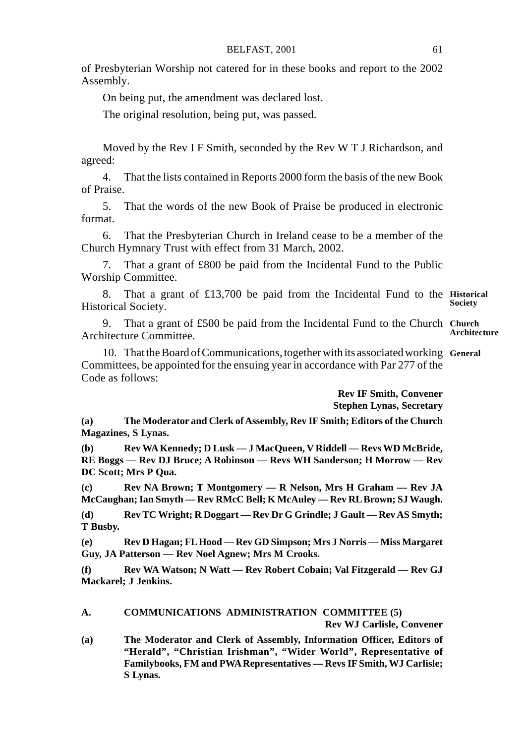of Presbyterian Worship not catered for in these books and report to the 2002 Assembly.

On being put, the amendment was declared lost.

The original resolution, being put, was passed.

Moved by the Rev I F Smith, seconded by the Rev W T J Richardson, and agreed:

4. That the lists contained in Reports 2000 form the basis of the new Book of Praise.

5. That the words of the new Book of Praise be produced in electronic format.

6. That the Presbyterian Church in Ireland cease to be a member of the Church Hymnary Trust with effect from 31 March, 2002.

7. That a grant of £800 be paid from the Incidental Fund to the Public Worship Committee.

8. That a grant of £13,700 be paid from the Incidental Fund to the **Historical** Historical Society. **Society**

9. That a grant of £500 be paid from the Incidental Fund to the Church **Church** Architecture Committee. **Architecture**

10. That the Board of Communications, together with its associated working **General** Committees, be appointed for the ensuing year in accordance with Par 277 of the Code as follows:

> **Rev IF Smith, Convener Stephen Lynas, Secretary**

**(a) The Moderator and Clerk of Assembly, Rev IF Smith; Editors of the Church Magazines, S Lynas.**

**(b) Rev WA Kennedy; D Lusk — J MacQueen, V Riddell — Revs WD McBride, RE Boggs — Rev DJ Bruce; A Robinson — Revs WH Sanderson; H Morrow — Rev DC Scott; Mrs P Qua.**

**(c) Rev NA Brown; T Montgomery — R Nelson, Mrs H Graham — Rev JA McCaughan; Ian Smyth — Rev RMcC Bell; K McAuley — Rev RL Brown; SJ Waugh.**

**(d) Rev TC Wright; R Doggart — Rev Dr G Grindle; J Gault — Rev AS Smyth; T Busby.**

**(e) Rev D Hagan; FL Hood — Rev GD Simpson; Mrs J Norris — Miss Margaret Guy, JA Patterson — Rev Noel Agnew; Mrs M Crooks.**

**(f) Rev WA Watson; N Watt — Rev Robert Cobain; Val Fitzgerald — Rev GJ Mackarel; J Jenkins.**

#### **A. COMMUNICATIONS ADMINISTRATION COMMITTEE (5) Rev WJ Carlisle, Convener**

**(a) The Moderator and Clerk of Assembly, Information Officer, Editors of "Herald", "Christian Irishman", "Wider World", Representative of Familybooks, FM and PWA Representatives — Revs IF Smith, WJ Carlisle; S Lynas.**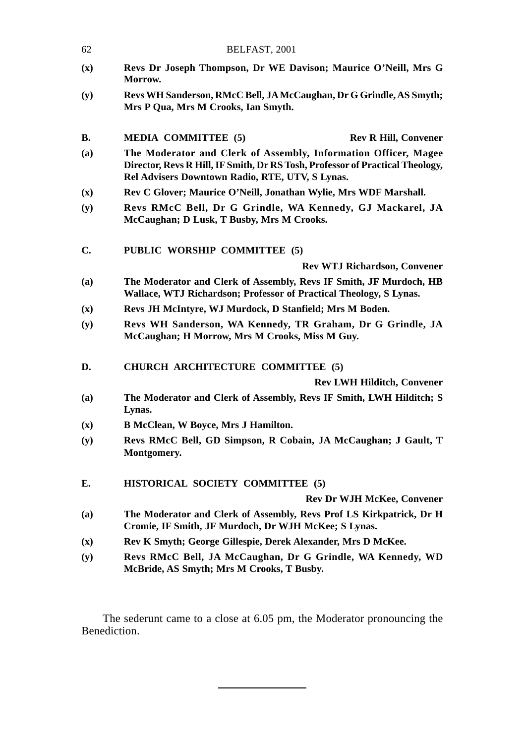| 62             | BELFAST, 2001                                                                                                                                                                                       |  |
|----------------|-----------------------------------------------------------------------------------------------------------------------------------------------------------------------------------------------------|--|
| $(\mathbf{x})$ | Revs Dr Joseph Thompson, Dr WE Davison; Maurice O'Neill, Mrs G<br>Morrow.                                                                                                                           |  |
| (y)            | Revs WH Sanderson, RMcC Bell, JA McCaughan, Dr G Grindle, AS Smyth;<br>Mrs P Qua, Mrs M Crooks, Ian Smyth.                                                                                          |  |
| В.             | <b>MEDIA COMMITTEE (5)</b><br><b>Rev R Hill, Convener</b>                                                                                                                                           |  |
| (a)            | The Moderator and Clerk of Assembly, Information Officer, Magee<br>Director, Revs R Hill, IF Smith, Dr RS Tosh, Professor of Practical Theology,<br>Rel Advisers Downtown Radio, RTE, UTV, S Lynas. |  |
| $(\mathbf{x})$ | Rev C Glover; Maurice O'Neill, Jonathan Wylie, Mrs WDF Marshall.                                                                                                                                    |  |
| (y)            | Revs RMcC Bell, Dr G Grindle, WA Kennedy, GJ Mackarel, JA<br>McCaughan; D Lusk, T Busby, Mrs M Crooks.                                                                                              |  |
| C.             | PUBLIC WORSHIP COMMITTEE (5)                                                                                                                                                                        |  |
|                | <b>Rev WTJ Richardson, Convener</b>                                                                                                                                                                 |  |
| (a)            | The Moderator and Clerk of Assembly, Revs IF Smith, JF Murdoch, HB<br>Wallace, WTJ Richardson; Professor of Practical Theology, S Lynas.                                                            |  |
| $(\mathbf{x})$ | Revs JH McIntyre, WJ Murdock, D Stanfield; Mrs M Boden.                                                                                                                                             |  |
| (y)            | Revs WH Sanderson, WA Kennedy, TR Graham, Dr G Grindle, JA<br>McCaughan; H Morrow, Mrs M Crooks, Miss M Guy.                                                                                        |  |
| D.             | CHURCH ARCHITECTURE COMMITTEE (5)                                                                                                                                                                   |  |
|                | <b>Rev LWH Hilditch, Convener</b>                                                                                                                                                                   |  |
| (a)            | The Moderator and Clerk of Assembly, Revs IF Smith, LWH Hilditch; S<br>Lynas.                                                                                                                       |  |
| (x)            | B McClean, W Boyce, Mrs J Hamilton.                                                                                                                                                                 |  |
| (y)            | Revs RMcC Bell, GD Simpson, R Cobain, JA McCaughan; J Gault, T<br>Montgomery.                                                                                                                       |  |
| E.             | <b>HISTORICAL SOCIETY COMMITTEE (5)</b>                                                                                                                                                             |  |
|                | Rev Dr WJH McKee, Convener                                                                                                                                                                          |  |
| (a)            | The Moderator and Clerk of Assembly, Revs Prof LS Kirkpatrick, Dr H<br>Cromie, IF Smith, JF Murdoch, Dr WJH McKee; S Lynas.                                                                         |  |
| $(\mathbf{x})$ | Rev K Smyth; George Gillespie, Derek Alexander, Mrs D McKee.                                                                                                                                        |  |
| (y)            | Revs RMcC Bell, JA McCaughan, Dr G Grindle, WA Kennedy, WD<br>McBride, AS Smyth; Mrs M Crooks, T Busby.                                                                                             |  |

The sederunt came to a close at 6.05 pm, the Moderator pronouncing the Benediction.

l,

 $\mathcal{L} = \mathcal{L} \mathcal{L}$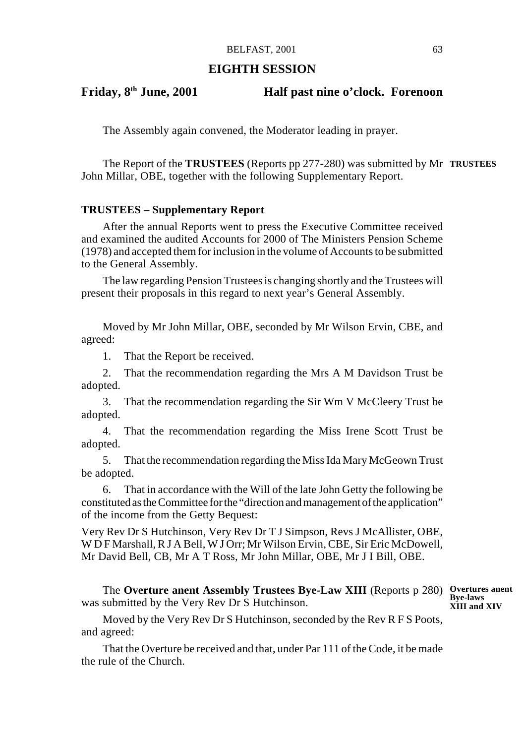## **EIGHTH SESSION**

## **Friday, 8th June, 2001 Half past nine o'clock. Forenoon**

The Assembly again convened, the Moderator leading in prayer.

The Report of the **TRUSTEES** (Reports pp 277-280) was submitted by Mr **TRUSTEES** John Millar, OBE, together with the following Supplementary Report.

#### **TRUSTEES – Supplementary Report**

After the annual Reports went to press the Executive Committee received and examined the audited Accounts for 2000 of The Ministers Pension Scheme (1978) and accepted them for inclusion in the volume of Accounts to be submitted to the General Assembly.

The law regarding Pension Trustees is changing shortly and the Trustees will present their proposals in this regard to next year's General Assembly.

Moved by Mr John Millar, OBE, seconded by Mr Wilson Ervin, CBE, and agreed:

1. That the Report be received.

2. That the recommendation regarding the Mrs A M Davidson Trust be adopted.

3. That the recommendation regarding the Sir Wm V McCleery Trust be adopted.

4. That the recommendation regarding the Miss Irene Scott Trust be adopted.

5. That the recommendation regarding the Miss Ida Mary McGeown Trust be adopted.

6. That in accordance with the Will of the late John Getty the following be constituted as the Committee for the "direction and management of the application" of the income from the Getty Bequest:

Very Rev Dr S Hutchinson, Very Rev Dr T J Simpson, Revs J McAllister, OBE, W D F Marshall, R J A Bell, W J Orr; Mr Wilson Ervin, CBE, Sir Eric McDowell, Mr David Bell, CB, Mr A T Ross, Mr John Millar, OBE, Mr J I Bill, OBE.

The **Overture anent Assembly Trustees Bye-Law XIII** (Reports p 280) Overtures anent was submitted by the Very Rev Dr S Hutchinson.

**Bye-laws XIII and XIV**

Moved by the Very Rev Dr S Hutchinson, seconded by the Rev R F S Poots, and agreed:

That the Overture be received and that, under Par 111 of the Code, it be made the rule of the Church.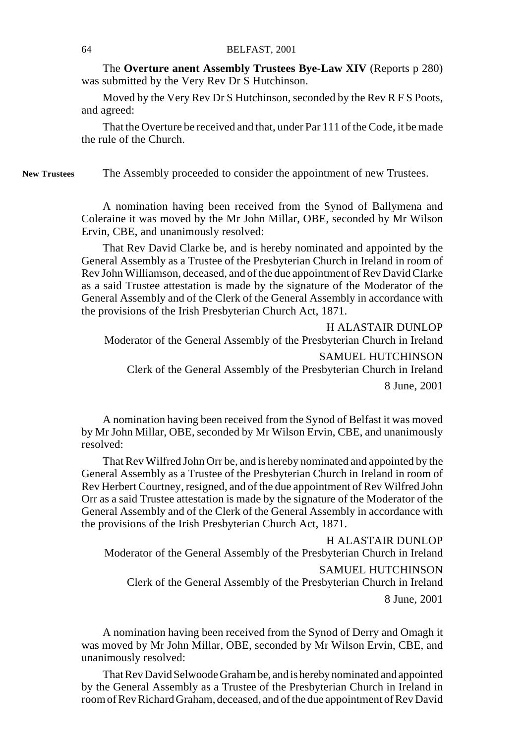The **Overture anent Assembly Trustees Bye-Law XIV** (Reports p 280) was submitted by the Very Rev Dr S Hutchinson.

Moved by the Very Rev Dr S Hutchinson, seconded by the Rev R F S Poots, and agreed:

That the Overture be received and that, under Par 111 of the Code, it be made the rule of the Church.

The Assembly proceeded to consider the appointment of new Trustees. **New Trustees**

> A nomination having been received from the Synod of Ballymena and Coleraine it was moved by the Mr John Millar, OBE, seconded by Mr Wilson Ervin, CBE, and unanimously resolved:

> That Rev David Clarke be, and is hereby nominated and appointed by the General Assembly as a Trustee of the Presbyterian Church in Ireland in room of Rev John Williamson, deceased, and of the due appointment of Rev David Clarke as a said Trustee attestation is made by the signature of the Moderator of the General Assembly and of the Clerk of the General Assembly in accordance with the provisions of the Irish Presbyterian Church Act, 1871.

H ALASTAIR DUNLOP Moderator of the General Assembly of the Presbyterian Church in Ireland SAMUEL HUTCHINSON Clerk of the General Assembly of the Presbyterian Church in Ireland 8 June, 2001

A nomination having been received from the Synod of Belfast it was moved by Mr John Millar, OBE, seconded by Mr Wilson Ervin, CBE, and unanimously resolved:

That Rev Wilfred John Orr be, and is hereby nominated and appointed by the General Assembly as a Trustee of the Presbyterian Church in Ireland in room of Rev Herbert Courtney, resigned, and of the due appointment of Rev Wilfred John Orr as a said Trustee attestation is made by the signature of the Moderator of the General Assembly and of the Clerk of the General Assembly in accordance with the provisions of the Irish Presbyterian Church Act, 1871.

H ALASTAIR DUNLOP Moderator of the General Assembly of the Presbyterian Church in Ireland SAMUEL HUTCHINSON Clerk of the General Assembly of the Presbyterian Church in Ireland 8 June, 2001

A nomination having been received from the Synod of Derry and Omagh it was moved by Mr John Millar, OBE, seconded by Mr Wilson Ervin, CBE, and unanimously resolved:

That Rev David Selwoode Graham be, and is hereby nominated and appointed by the General Assembly as a Trustee of the Presbyterian Church in Ireland in room of Rev Richard Graham, deceased, and of the due appointment of Rev David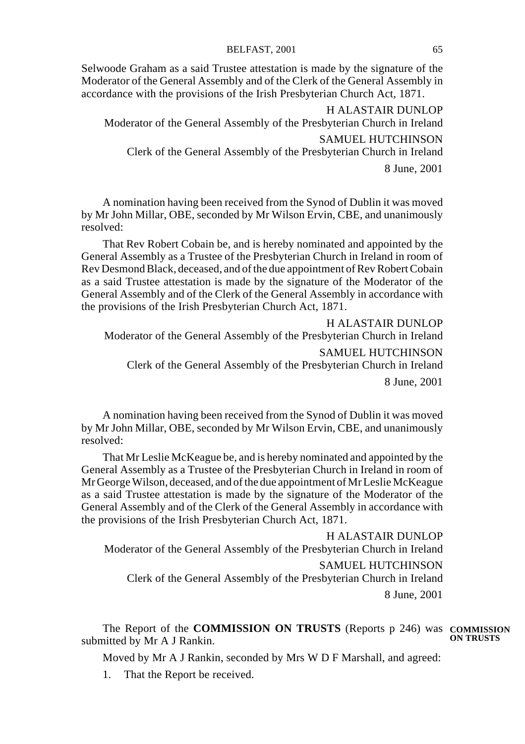Selwoode Graham as a said Trustee attestation is made by the signature of the Moderator of the General Assembly and of the Clerk of the General Assembly in accordance with the provisions of the Irish Presbyterian Church Act, 1871.

H ALASTAIR DUNLOP Moderator of the General Assembly of the Presbyterian Church in Ireland SAMUEL HUTCHINSON Clerk of the General Assembly of the Presbyterian Church in Ireland 8 June, 2001

A nomination having been received from the Synod of Dublin it was moved by Mr John Millar, OBE, seconded by Mr Wilson Ervin, CBE, and unanimously resolved:

That Rev Robert Cobain be, and is hereby nominated and appointed by the General Assembly as a Trustee of the Presbyterian Church in Ireland in room of Rev Desmond Black, deceased, and of the due appointment of Rev Robert Cobain as a said Trustee attestation is made by the signature of the Moderator of the General Assembly and of the Clerk of the General Assembly in accordance with the provisions of the Irish Presbyterian Church Act, 1871.

H ALASTAIR DUNLOP Moderator of the General Assembly of the Presbyterian Church in Ireland SAMUEL HUTCHINSON Clerk of the General Assembly of the Presbyterian Church in Ireland 8 June, 2001

A nomination having been received from the Synod of Dublin it was moved by Mr John Millar, OBE, seconded by Mr Wilson Ervin, CBE, and unanimously resolved:

That Mr Leslie McKeague be, and is hereby nominated and appointed by the General Assembly as a Trustee of the Presbyterian Church in Ireland in room of Mr George Wilson, deceased, and of the due appointment of Mr Leslie McKeague as a said Trustee attestation is made by the signature of the Moderator of the General Assembly and of the Clerk of the General Assembly in accordance with the provisions of the Irish Presbyterian Church Act, 1871.

H ALASTAIR DUNLOP Moderator of the General Assembly of the Presbyterian Church in Ireland SAMUEL HUTCHINSON Clerk of the General Assembly of the Presbyterian Church in Ireland 8 June, 2001

The Report of the **COMMISSION ON TRUSTS** (Reports p 246) was **COMMISSION** submitted by Mr A J Rankin. **ON TRUSTS**

Moved by Mr A J Rankin, seconded by Mrs W D F Marshall, and agreed:

1. That the Report be received.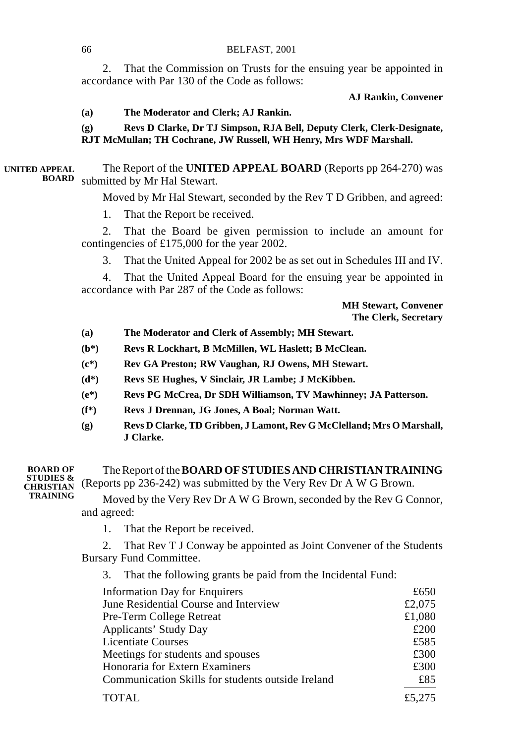2. That the Commission on Trusts for the ensuing year be appointed in accordance with Par 130 of the Code as follows:

## **AJ Rankin, Convener**

#### **(a) The Moderator and Clerk; AJ Rankin.**

**(g) Revs D Clarke, Dr TJ Simpson, RJA Bell, Deputy Clerk, Clerk-Designate, RJT McMullan; TH Cochrane, JW Russell, WH Henry, Mrs WDF Marshall.**

The Report of the **UNITED APPEAL BOARD** (Reports pp 264-270) was submitted by Mr Hal Stewart. **UNITED APPEAL BOARD**

Moved by Mr Hal Stewart, seconded by the Rev T D Gribben, and agreed:

1. That the Report be received.

2. That the Board be given permission to include an amount for contingencies of £175,000 for the year 2002.

3. That the United Appeal for 2002 be as set out in Schedules III and IV.

4. That the United Appeal Board for the ensuing year be appointed in accordance with Par 287 of the Code as follows:

> **MH Stewart, Convener The Clerk, Secretary**

- **(a) The Moderator and Clerk of Assembly; MH Stewart.**
- **(b\*) Revs R Lockhart, B McMillen, WL Haslett; B McClean.**
- **(c\*) Rev GA Preston; RW Vaughan, RJ Owens, MH Stewart.**
- **(d\*) Revs SE Hughes, V Sinclair, JR Lambe; J McKibben.**
- **(e\*) Revs PG McCrea, Dr SDH Williamson, TV Mawhinney; JA Patterson.**
- **(f\*) Revs J Drennan, JG Jones, A Boal; Norman Watt.**
- **(g) Revs D Clarke, TD Gribben, J Lamont, Rev G McClelland; Mrs O Marshall, J Clarke.**

The Report of the **BOARD OF STUDIES AND CHRISTIAN TRAINING** (Reports pp 236-242) was submitted by the Very Rev Dr A W G Brown. Moved by the Very Rev Dr A W G Brown, seconded by the Rev G Connor, and agreed: **BOARD OF STUDIES & CHRISTIAN TRAINING**

1. That the Report be received.

2. That Rev T J Conway be appointed as Joint Convener of the Students Bursary Fund Committee.

3. That the following grants be paid from the Incidental Fund:

| <b>Information Day for Enquirers</b>              | £650   |
|---------------------------------------------------|--------|
| June Residential Course and Interview             | £2,075 |
| Pre-Term College Retreat                          | £1,080 |
| Applicants' Study Day                             | £200   |
| <b>Licentiate Courses</b>                         | £585   |
| Meetings for students and spouses                 | £300   |
| Honoraria for Extern Examiners                    | £300   |
| Communication Skills for students outside Ireland | £85    |
| <b>TOTAL</b>                                      | £5,275 |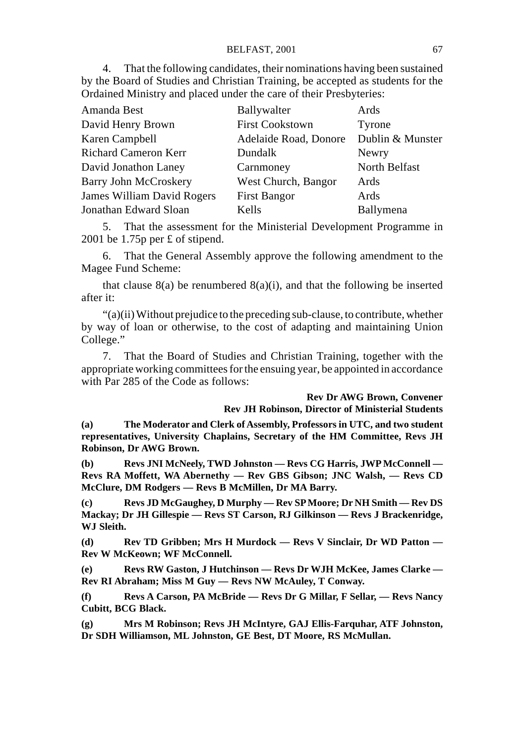4. That the following candidates, their nominations having been sustained by the Board of Studies and Christian Training, be accepted as students for the Ordained Ministry and placed under the care of their Presbyteries:

| Amanda Best                | Ballywalter            | Ards             |
|----------------------------|------------------------|------------------|
| David Henry Brown          | <b>First Cookstown</b> | Tyrone           |
| Karen Campbell             | Adelaide Road, Donore  | Dublin & Munster |
| Richard Cameron Kerr       | Dundalk                | Newry            |
| David Jonathon Laney       | Carnmoney              | North Belfast    |
| Barry John McCroskery      | West Church, Bangor    | Ards             |
| James William David Rogers | <b>First Bangor</b>    | Ards             |
| Jonathan Edward Sloan      | Kells                  | Ballymena        |

5. That the assessment for the Ministerial Development Programme in 2001 be 1.75p per £ of stipend.

6. That the General Assembly approve the following amendment to the Magee Fund Scheme:

that clause  $8(a)$  be renumbered  $8(a)(i)$ , and that the following be inserted after it:

"(a)(ii) Without prejudice to the preceding sub-clause, to contribute, whether by way of loan or otherwise, to the cost of adapting and maintaining Union College."

7. That the Board of Studies and Christian Training, together with the appropriate working committees for the ensuing year, be appointed in accordance with Par 285 of the Code as follows:

#### **Rev Dr AWG Brown, Convener Rev JH Robinson, Director of Ministerial Students**

**(a) The Moderator and Clerk of Assembly, Professors in UTC, and two student representatives, University Chaplains, Secretary of the HM Committee, Revs JH Robinson, Dr AWG Brown.**

**(b) Revs JNI McNeely, TWD Johnston — Revs CG Harris, JWP McConnell — Revs RA Moffett, WA Abernethy — Rev GBS Gibson; JNC Walsh, — Revs CD McClure, DM Rodgers — Revs B McMillen, Dr MA Barry.**

**(c) Revs JD McGaughey, D Murphy — Rev SP Moore; Dr NH Smith — Rev DS Mackay; Dr JH Gillespie — Revs ST Carson, RJ Gilkinson — Revs J Brackenridge, WJ Sleith.**

**(d) Rev TD Gribben; Mrs H Murdock — Revs V Sinclair, Dr WD Patton — Rev W McKeown; WF McConnell.**

**(e) Revs RW Gaston, J Hutchinson — Revs Dr WJH McKee, James Clarke — Rev RI Abraham; Miss M Guy — Revs NW McAuley, T Conway.**

**(f) Revs A Carson, PA McBride — Revs Dr G Millar, F Sellar, — Revs Nancy Cubitt, BCG Black.**

**(g) Mrs M Robinson; Revs JH McIntyre, GAJ Ellis-Farquhar, ATF Johnston, Dr SDH Williamson, ML Johnston, GE Best, DT Moore, RS McMullan.**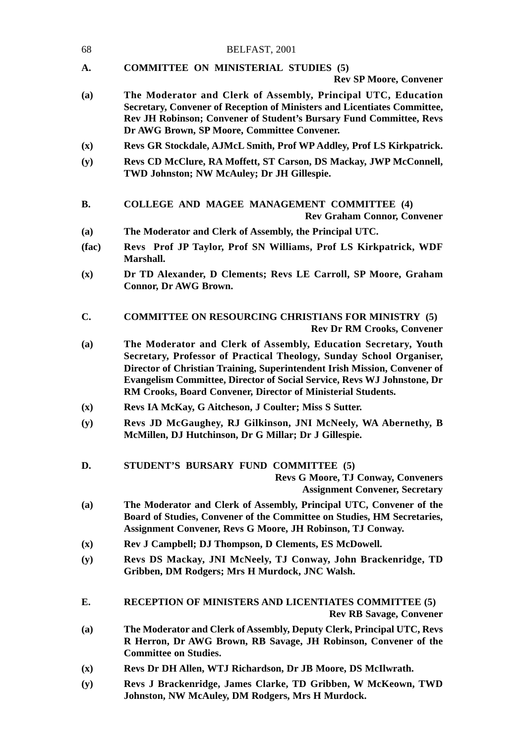| 68        | BELFAST, 2001                                                                                                                                                                                                                                                          |
|-----------|------------------------------------------------------------------------------------------------------------------------------------------------------------------------------------------------------------------------------------------------------------------------|
| A.        | <b>COMMITTEE ON MINISTERIAL STUDIES (5)</b><br><b>Rev SP Moore, Convener</b>                                                                                                                                                                                           |
| (a)       | The Moderator and Clerk of Assembly, Principal UTC, Education<br>Secretary, Convener of Reception of Ministers and Licentiates Committee,<br><b>Rev JH Robinson: Convener of Student's Bursary Fund Committee, Revs</b><br>Dr AWG Brown, SP Moore, Committee Convener. |
| (x)       | Revs GR Stockdale, AJMcL Smith, Prof WP Addley, Prof LS Kirkpatrick.                                                                                                                                                                                                   |
| (y)       | Revs CD McClure, RA Moffett, ST Carson, DS Mackay, JWP McConnell,<br>TWD Johnston; NW McAuley; Dr JH Gillespie.                                                                                                                                                        |
| <b>B.</b> | COLLEGE AND MAGEE MANAGEMENT COMMITTEE (4)<br><b>Rev Graham Connor, Convener</b>                                                                                                                                                                                       |
| (a)       | The Moderator and Clerk of Assembly, the Principal UTC.                                                                                                                                                                                                                |

- **(fac) Revs Prof JP Taylor, Prof SN Williams, Prof LS Kirkpatrick, WDF Marshall.**
- **(x) Dr TD Alexander, D Clements; Revs LE Carroll, SP Moore, Graham Connor, Dr AWG Brown.**
- **C. COMMITTEE ON RESOURCING CHRISTIANS FOR MINISTRY (5) Rev Dr RM Crooks, Convener**
- **(a) The Moderator and Clerk of Assembly, Education Secretary, Youth Secretary, Professor of Practical Theology, Sunday School Organiser, Director of Christian Training, Superintendent Irish Mission, Convener of Evangelism Committee, Director of Social Service, Revs WJ Johnstone, Dr RM Crooks, Board Convener, Director of Ministerial Students.**
- **(x) Revs IA McKay, G Aitcheson, J Coulter; Miss S Sutter.**
- **(y) Revs JD McGaughey, RJ Gilkinson, JNI McNeely, WA Abernethy, B McMillen, DJ Hutchinson, Dr G Millar; Dr J Gillespie.**
- **D. STUDENT'S BURSARY FUND COMMITTEE (5)**

**Revs G Moore, TJ Conway, Conveners Assignment Convener, Secretary**

- **(a) The Moderator and Clerk of Assembly, Principal UTC, Convener of the Board of Studies, Convener of the Committee on Studies, HM Secretaries, Assignment Convener, Revs G Moore, JH Robinson, TJ Conway.**
- **(x) Rev J Campbell; DJ Thompson, D Clements, ES McDowell.**
- **(y) Revs DS Mackay, JNI McNeely, TJ Conway, John Brackenridge, TD Gribben, DM Rodgers; Mrs H Murdock, JNC Walsh.**
- **E. RECEPTION OF MINISTERS AND LICENTIATES COMMITTEE (5) Rev RB Savage, Convener**
- **(a) The Moderator and Clerk of Assembly, Deputy Clerk, Principal UTC, Revs R Herron, Dr AWG Brown, RB Savage, JH Robinson, Convener of the Committee on Studies.**
- **(x) Revs Dr DH Allen, WTJ Richardson, Dr JB Moore, DS McIlwrath.**
- **(y) Revs J Brackenridge, James Clarke, TD Gribben, W McKeown, TWD Johnston, NW McAuley, DM Rodgers, Mrs H Murdock.**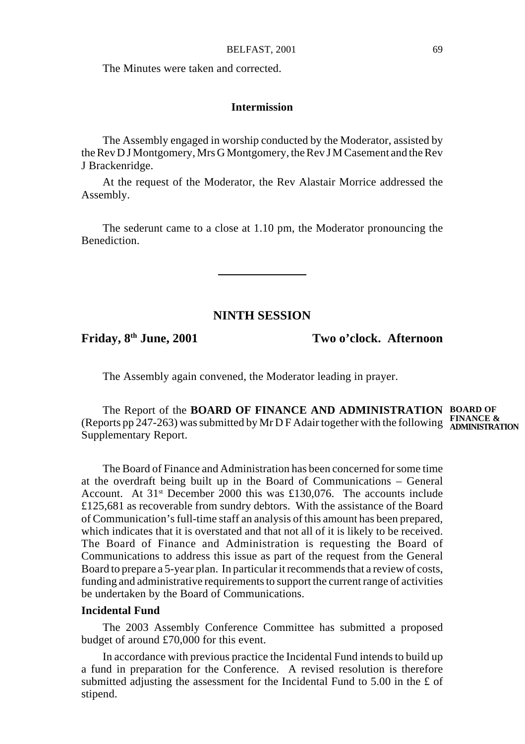The Minutes were taken and corrected.

### **Intermission**

The Assembly engaged in worship conducted by the Moderator, assisted by the Rev D J Montgomery, Mrs G Montgomery, the Rev J M Casement and the Rev J Brackenridge.

At the request of the Moderator, the Rev Alastair Morrice addressed the Assembly.

The sederunt came to a close at 1.10 pm, the Moderator pronouncing the Benediction.

## **NINTH SESSION**

**Friday, 8th June, 2001 Two o'clock. Afternoon**

The Assembly again convened, the Moderator leading in prayer.

The Report of the **BOARD OF FINANCE AND ADMINISTRATION BOARD OF** (Reports pp 247-263) was submitted by Mr D F Adair together with the following **FINANCE & ADMINISTRATION**Supplementary Report.

The Board of Finance and Administration has been concerned for some time at the overdraft being built up in the Board of Communications – General Account. At  $31$ <sup>st</sup> December 2000 this was £130,076. The accounts include £125,681 as recoverable from sundry debtors. With the assistance of the Board of Communication's full-time staff an analysis of this amount has been prepared, which indicates that it is overstated and that not all of it is likely to be received. The Board of Finance and Administration is requesting the Board of Communications to address this issue as part of the request from the General Board to prepare a 5-year plan. In particular it recommends that a review of costs, funding and administrative requirements to support the current range of activities be undertaken by the Board of Communications.

## **Incidental Fund**

The 2003 Assembly Conference Committee has submitted a proposed budget of around £70,000 for this event.

In accordance with previous practice the Incidental Fund intends to build up a fund in preparation for the Conference. A revised resolution is therefore submitted adjusting the assessment for the Incidental Fund to 5.00 in the £ of stipend.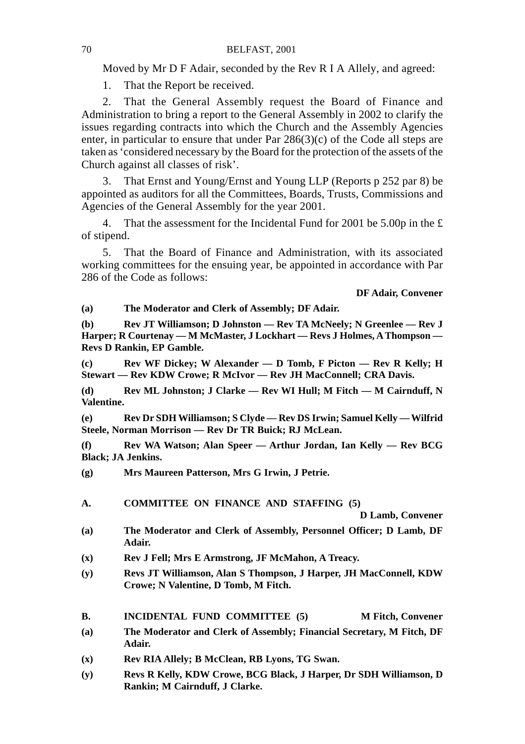Moved by Mr D F Adair, seconded by the Rev R I A Allely, and agreed:

1. That the Report be received.

2. That the General Assembly request the Board of Finance and Administration to bring a report to the General Assembly in 2002 to clarify the issues regarding contracts into which the Church and the Assembly Agencies enter, in particular to ensure that under Par 286(3)(c) of the Code all steps are taken as 'considered necessary by the Board for the protection of the assets of the Church against all classes of risk'.

3. That Ernst and Young/Ernst and Young LLP (Reports p 252 par 8) be appointed as auditors for all the Committees, Boards, Trusts, Commissions and Agencies of the General Assembly for the year 2001.

4. That the assessment for the Incidental Fund for 2001 be 5.00p in the £ of stipend.

5. That the Board of Finance and Administration, with its associated working committees for the ensuing year, be appointed in accordance with Par 286 of the Code as follows:

**DF Adair, Convener**

**(a) The Moderator and Clerk of Assembly; DF Adair.**

**(b) Rev JT Williamson; D Johnston — Rev TA McNeely; N Greenlee — Rev J Harper; R Courtenay — M McMaster, J Lockhart — Revs J Holmes, A Thompson — Revs D Rankin, EP Gamble.**

**(c) Rev WF Dickey; W Alexander — D Tomb, F Picton — Rev R Kelly; H Stewart — Rev KDW Crowe; R McIvor — Rev JH MacConnell; CRA Davis.**

**(d) Rev ML Johnston; J Clarke — Rev WI Hull; M Fitch — M Cairnduff, N Valentine.**

**(e) Rev Dr SDH Williamson; S Clyde — Rev DS Irwin; Samuel Kelly — Wilfrid Steele, Norman Morrison — Rev Dr TR Buick; RJ McLean.**

**(f) Rev WA Watson; Alan Speer — Arthur Jordan, Ian Kelly — Rev BCG Black; JA Jenkins.**

**(g) Mrs Maureen Patterson, Mrs G Irwin, J Petrie.**

**A. COMMITTEE ON FINANCE AND STAFFING (5)**

**D Lamb, Convener**

- **(a) The Moderator and Clerk of Assembly, Personnel Officer; D Lamb, DF Adair.**
- **(x) Rev J Fell; Mrs E Armstrong, JF McMahon, A Treacy.**
- **(y) Revs JT Williamson, Alan S Thompson, J Harper, JH MacConnell, KDW Crowe; N Valentine, D Tomb, M Fitch.**

**B.** INCIDENTAL FUND COMMITTEE (5) M Fitch, Convener

- **(a) The Moderator and Clerk of Assembly; Financial Secretary, M Fitch, DF Adair.**
- **(x) Rev RIA Allely; B McClean, RB Lyons, TG Swan.**
- **(y) Revs R Kelly, KDW Crowe, BCG Black, J Harper, Dr SDH Williamson, D Rankin; M Cairnduff, J Clarke.**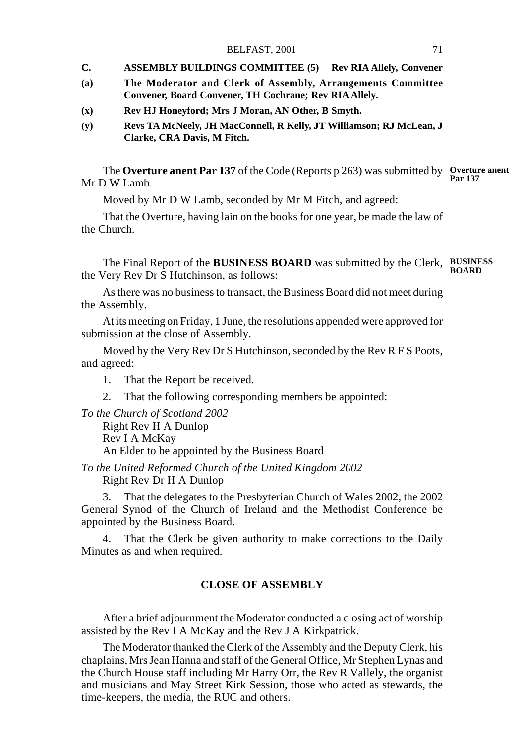#### BELFAST, 2001 71

- **C. ASSEMBLY BUILDINGS COMMITTEE (5) Rev RIA Allely, Convener**
- **(a) The Moderator and Clerk of Assembly, Arrangements Committee Convener, Board Convener, TH Cochrane; Rev RIA Allely.**
- **(x) Rev HJ Honeyford; Mrs J Moran, AN Other, B Smyth.**
- **(y) Revs TA McNeely, JH MacConnell, R Kelly, JT Williamson; RJ McLean, J Clarke, CRA Davis, M Fitch.**

The **Overture anent Par 137** of the Code (Reports p 263) was submitted by **Overture anent** Mr D W Lamb. **Par 137**

Moved by Mr D W Lamb, seconded by Mr M Fitch, and agreed:

That the Overture, having lain on the books for one year, be made the law of the Church.

The Final Report of the **BUSINESS BOARD** was submitted by the Clerk, **BUSINESS** the Very Rev Dr S Hutchinson, as follows: **BOARD**

As there was no business to transact, the Business Board did not meet during the Assembly.

At its meeting on Friday, 1 June, the resolutions appended were approved for submission at the close of Assembly.

Moved by the Very Rev Dr S Hutchinson, seconded by the Rev R F S Poots, and agreed:

1. That the Report be received.

2. That the following corresponding members be appointed:

*To the Church of Scotland 2002*

Right Rev H A Dunlop Rev I A McKay An Elder to be appointed by the Business Board

*To the United Reformed Church of the United Kingdom 2002* Right Rev Dr H A Dunlop

3. That the delegates to the Presbyterian Church of Wales 2002, the 2002 General Synod of the Church of Ireland and the Methodist Conference be appointed by the Business Board.

4. That the Clerk be given authority to make corrections to the Daily Minutes as and when required.

## **CLOSE OF ASSEMBLY**

After a brief adjournment the Moderator conducted a closing act of worship assisted by the Rev I A McKay and the Rev J A Kirkpatrick.

The Moderator thanked the Clerk of the Assembly and the Deputy Clerk, his chaplains, Mrs Jean Hanna and staff of the General Office, Mr Stephen Lynas and the Church House staff including Mr Harry Orr, the Rev R Vallely, the organist and musicians and May Street Kirk Session, those who acted as stewards, the time-keepers, the media, the RUC and others.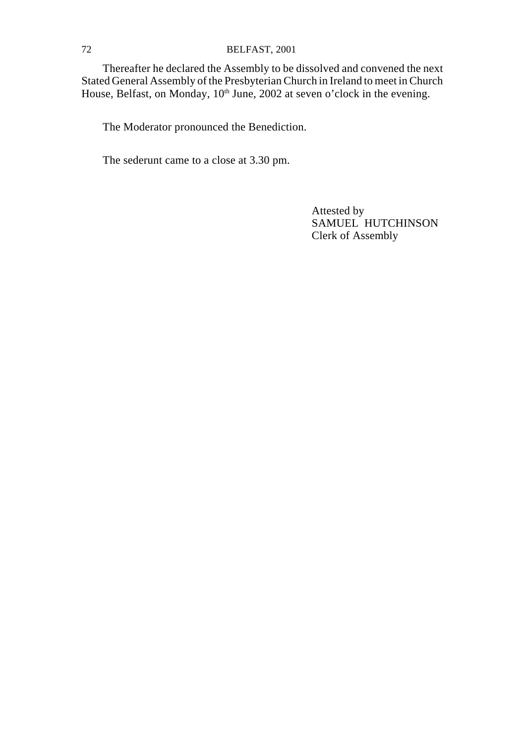## 72 BELFAST, 2001

Thereafter he declared the Assembly to be dissolved and convened the next Stated General Assembly of the Presbyterian Church in Ireland to meet in Church House, Belfast, on Monday, 10<sup>th</sup> June, 2002 at seven o'clock in the evening.

The Moderator pronounced the Benediction.

The sederunt came to a close at 3.30 pm.

Attested by SAMUEL HUTCHINSON Clerk of Assembly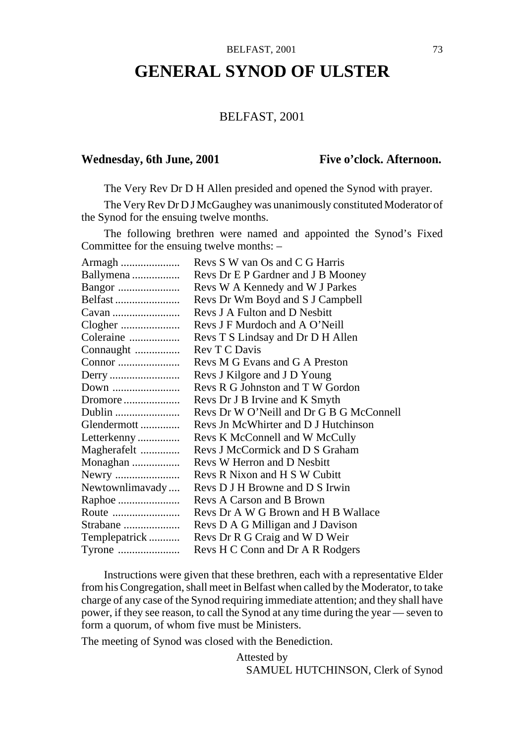#### BELFAST, 2001 73

## **GENERAL SYNOD OF ULSTER**

#### BELFAST, 2001

#### Wednesday, 6th June, 2001 Five o'clock. Afternoon.

The Very Rev Dr D H Allen presided and opened the Synod with prayer.

The Very Rev Dr D J McGaughey was unanimously constituted Moderator of the Synod for the ensuing twelve months.

The following brethren were named and appointed the Synod's Fixed Committee for the ensuing twelve months: –

| Armagh          | Revs S W van Os and C G Harris           |
|-----------------|------------------------------------------|
| Ballymena       | Revs Dr E P Gardner and J B Mooney       |
| Bangor          | Revs W A Kennedy and W J Parkes          |
| Belfast         | Revs Dr Wm Boyd and S J Campbell         |
| Cavan           | Revs J A Fulton and D Nesbitt            |
| Clogher         | Revs J F Murdoch and A O'Neill           |
| Coleraine       | Revs T S Lindsay and Dr D H Allen        |
| Connaught       | Rev T C Davis                            |
| Connor          | Revs M G Evans and G A Preston           |
| Derry           | Revs J Kilgore and J D Young             |
| Down            | Revs R G Johnston and T W Gordon         |
| Dromore         | Revs Dr J B Irvine and K Smyth           |
| Dublin          | Revs Dr W O'Neill and Dr G B G McConnell |
| Glendermott     | Revs Jn McWhirter and D J Hutchinson     |
| Letterkenny     | Revs K McConnell and W McCully           |
| Magherafelt     | Revs J McCormick and D S Graham          |
| Monaghan        | Revs W Herron and D Nesbitt              |
| Newry           | Revs R Nixon and H S W Cubitt            |
| Newtownlimavady | Revs D J H Browne and D S Irwin          |
| Raphoe          | Revs A Carson and B Brown                |
| Route           | Revs Dr A W G Brown and H B Wallace      |
| Strabane        | Revs D A G Milligan and J Davison        |
| Templepatrick   | Revs Dr R G Craig and W D Weir           |
| Tyrone          | Revs H C Conn and Dr A R Rodgers         |

Instructions were given that these brethren, each with a representative Elder from his Congregation, shall meet in Belfast when called by the Moderator, to take charge of any case of the Synod requiring immediate attention; and they shall have power, if they see reason, to call the Synod at any time during the year — seven to form a quorum, of whom five must be Ministers.

The meeting of Synod was closed with the Benediction.

Attested by SAMUEL HUTCHINSON, Clerk of Synod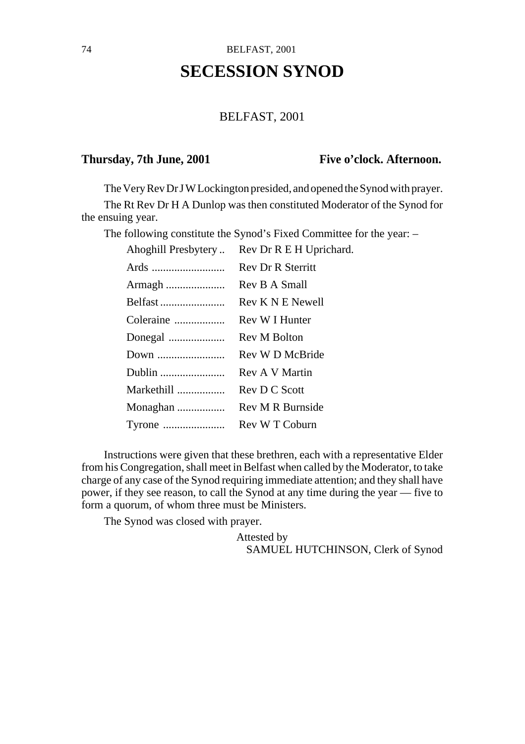# **SECESSION SYNOD**

### BELFAST, 2001

#### Thursday, 7th June, 2001 Five o'clock. Afternoon.

The Very Rev Dr J W Lockington presided, and opened the Synod with prayer.

The Rt Rev Dr H A Dunlop was then constituted Moderator of the Synod for the ensuing year.

The following constitute the Synod's Fixed Committee for the year: –

| Ahoghill Presbytery | Rev Dr R E H Uprichard.  |
|---------------------|--------------------------|
|                     | <b>Rev Dr R Sterritt</b> |
| Armagh              | Rev B A Small            |
| Belfast             | Rev K N E Newell         |
| Coleraine           | Rev W I Hunter           |
| Donegal             | Rev M Bolton             |
| Down                | Rev W D McBride          |
| Dublin              | Rev A V Martin           |
| Markethill          | Rev D C Scott            |
| Monaghan            | Rev M R Burnside         |
|                     | Rev W T Coburn           |

Instructions were given that these brethren, each with a representative Elder from his Congregation, shall meet in Belfast when called by the Moderator, to take charge of any case of the Synod requiring immediate attention; and they shall have power, if they see reason, to call the Synod at any time during the year — five to form a quorum, of whom three must be Ministers.

The Synod was closed with prayer.

Attested by SAMUEL HUTCHINSON, Clerk of Synod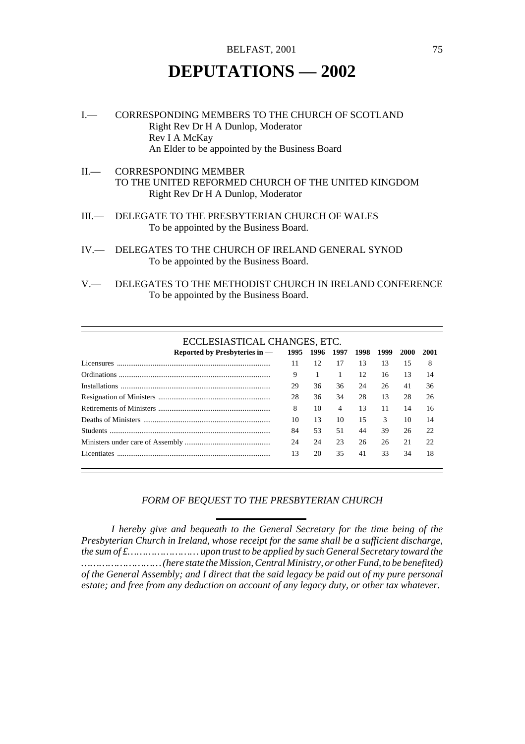## **DEPUTATIONS — 2002**

- I.— CORRESPONDING MEMBERS TO THE CHURCH OF SCOTLAND Right Rev Dr H A Dunlop, Moderator Rev I A McKay An Elder to be appointed by the Business Board
- II.— CORRESPONDING MEMBER TO THE UNITED REFORMED CHURCH OF THE UNITED KINGDOM Right Rev Dr H A Dunlop, Moderator
- III.— DELEGATE TO THE PRESBYTERIAN CHURCH OF WALES To be appointed by the Business Board.
- IV.— DELEGATES TO THE CHURCH OF IRELAND GENERAL SYNOD To be appointed by the Business Board.
- V.— DELEGATES TO THE METHODIST CHURCH IN IRELAND CONFERENCE To be appointed by the Business Board.

#### ECCLESIASTICAL CHANGES, ETC.

| Reported by Presbyteries in - 1995 1996 1997 1998 1999 |    |    |                       |    |    | 2000 | 2001 |
|--------------------------------------------------------|----|----|-----------------------|----|----|------|------|
| Licensures                                             | 11 | 12 | 17                    | 13 | 13 | 15   | 8    |
|                                                        | 9  |    |                       | 12 | 16 | 13   | 14   |
|                                                        | 29 | 36 | 36                    | 24 | 26 | 41   | 36   |
|                                                        | 28 | 36 | 34                    | 28 | 13 | 28   | 26   |
|                                                        | 8  | 10 | $\boldsymbol{\Delta}$ | 13 | 11 | 14   | 16   |
|                                                        | 10 | 13 | 10                    | 15 | 3  | 10   | 14   |
|                                                        | 84 | 53 | 51                    | 44 | 39 | 26   | 22   |
|                                                        | 24 | 24 | 23                    | 26 | 26 | 21   | 22   |
| Licentiates                                            | 13 | 20 | 35                    | 41 | 33 | 34   | 18   |

#### *FORM OF BEQUEST TO THE PRESBYTERIAN CHURCH*

*I hereby give and bequeath to the General Secretary for the time being of the Presbyterian Church in Ireland, whose receipt for the same shall be a sufficient discharge, the sum of £…………………… upon trust to be applied by such General Secretary toward the ……………………… (here state the Mission, Central Ministry, or other Fund, to be benefited) of the General Assembly; and I direct that the said legacy be paid out of my pure personal estate; and free from any deduction on account of any legacy duty, or other tax whatever.*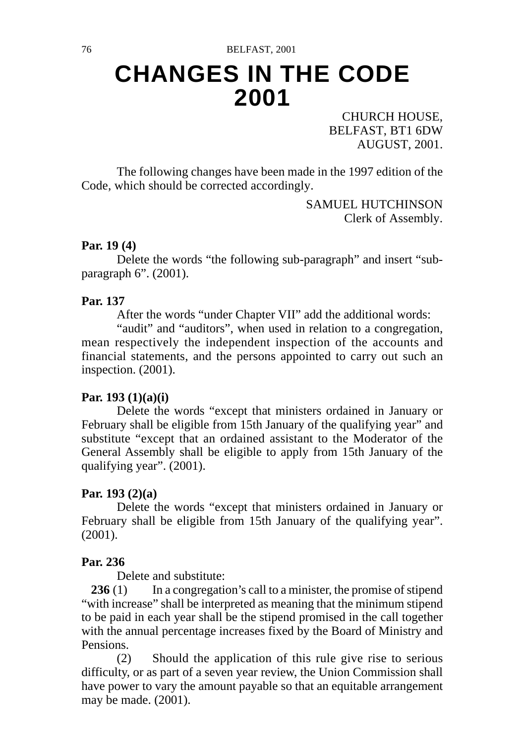# **CHANGES IN THE CODE 2001**

CHURCH HOUSE, BELFAST, BT1 6DW AUGUST, 2001.

The following changes have been made in the 1997 edition of the Code, which should be corrected accordingly.

> SAMUEL HUTCHINSON Clerk of Assembly.

#### **Par. 19 (4)**

Delete the words "the following sub-paragraph" and insert "subparagraph 6". (2001).

#### **Par. 137**

After the words "under Chapter VII" add the additional words:

"audit" and "auditors", when used in relation to a congregation, mean respectively the independent inspection of the accounts and financial statements, and the persons appointed to carry out such an inspection. (2001).

### **Par. 193 (1)(a)(i)**

Delete the words "except that ministers ordained in January or February shall be eligible from 15th January of the qualifying year" and substitute "except that an ordained assistant to the Moderator of the General Assembly shall be eligible to apply from 15th January of the qualifying year". (2001).

#### **Par. 193 (2)(a)**

Delete the words "except that ministers ordained in January or February shall be eligible from 15th January of the qualifying year". (2001).

#### **Par. 236**

Delete and substitute:

236 (1) In a congregation's call to a minister, the promise of stipend "with increase" shall be interpreted as meaning that the minimum stipend to be paid in each year shall be the stipend promised in the call together with the annual percentage increases fixed by the Board of Ministry and Pensions.

(2) Should the application of this rule give rise to serious difficulty, or as part of a seven year review, the Union Commission shall have power to vary the amount payable so that an equitable arrangement may be made. (2001).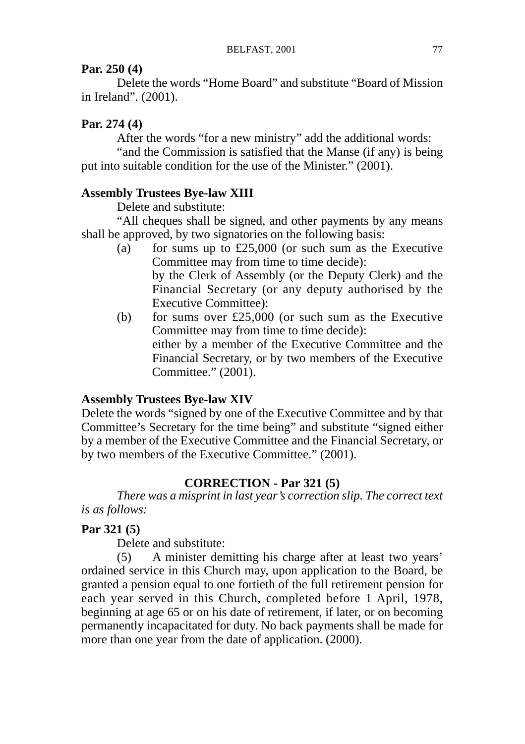### **Par. 250 (4)**

Delete the words "Home Board" and substitute "Board of Mission in Ireland". (2001).

#### **Par. 274 (4)**

After the words "for a new ministry" add the additional words:

"and the Commission is satisfied that the Manse (if any) is being put into suitable condition for the use of the Minister." (2001).

#### **Assembly Trustees Bye-law XIII**

Delete and substitute:

"All cheques shall be signed, and other payments by any means shall be approved, by two signatories on the following basis:

- (a) for sums up to  $£25,000$  (or such sum as the Executive Committee may from time to time decide): by the Clerk of Assembly (or the Deputy Clerk) and the Financial Secretary (or any deputy authorised by the Executive Committee):
- (b) for sums over £25,000 (or such sum as the Executive Committee may from time to time decide): either by a member of the Executive Committee and the Financial Secretary, or by two members of the Executive Committee." (2001).

#### **Assembly Trustees Bye-law XIV**

Delete the words "signed by one of the Executive Committee and by that Committee's Secretary for the time being" and substitute "signed either by a member of the Executive Committee and the Financial Secretary, or by two members of the Executive Committee." (2001).

#### **CORRECTION - Par 321 (5)**

*There was a misprint in last year's correction slip. The correct text is as follows:*

### **Par 321 (5)**

Delete and substitute:

(5) A minister demitting his charge after at least two years' ordained service in this Church may, upon application to the Board, be granted a pension equal to one fortieth of the full retirement pension for each year served in this Church, completed before 1 April, 1978, beginning at age 65 or on his date of retirement, if later, or on becoming permanently incapacitated for duty. No back payments shall be made for more than one year from the date of application. (2000).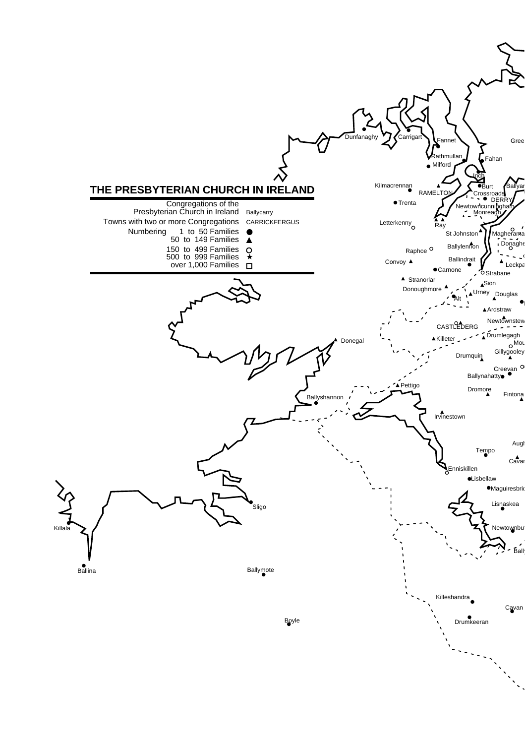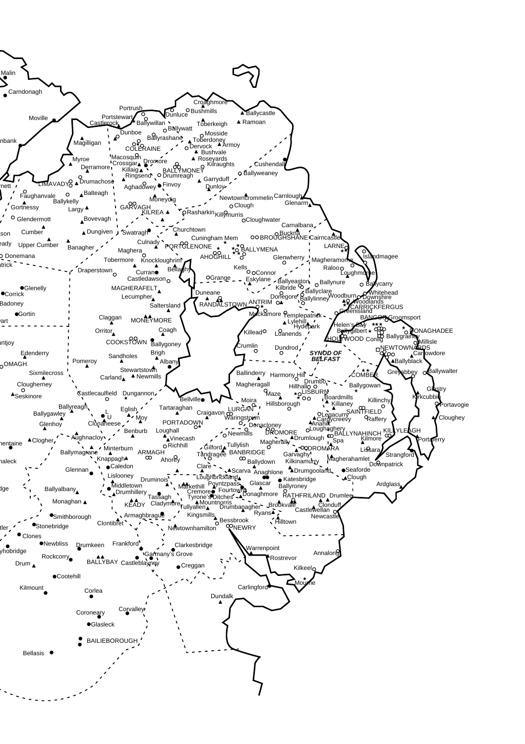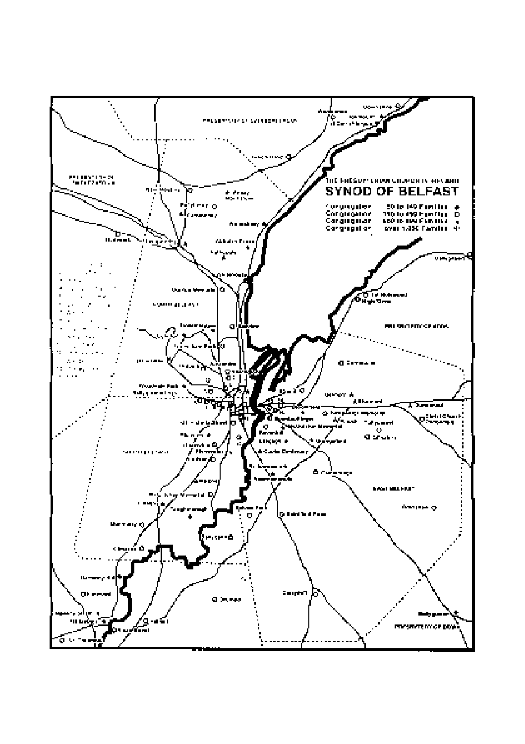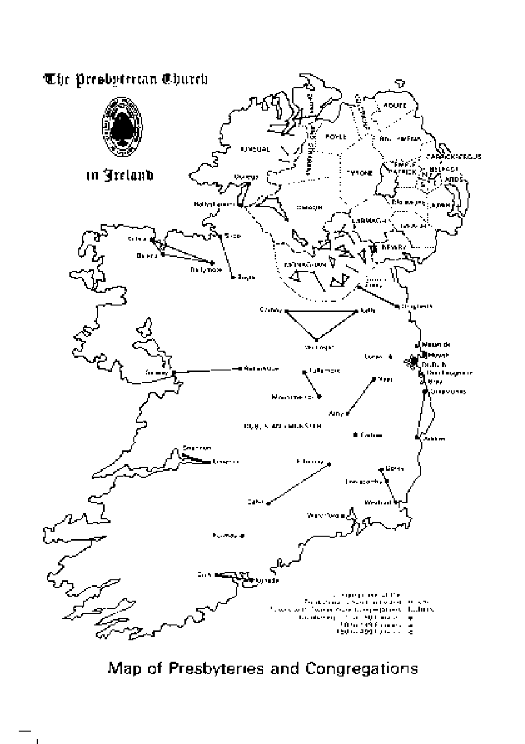

Map of Presbyteries and Congregations